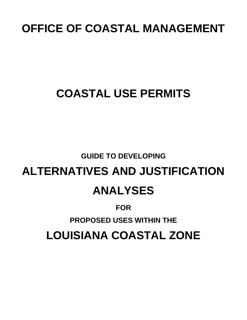# **OFFICE OF COASTAL MANAGEMENT**

# **COASTAL USE PERMITS**

# **GUIDE TO DEVELOPING**

# **ALTERNATIVES AND JUSTIFICATION ANALYSES**

# **FOR**

# **PROPOSED USES WITHIN THE**

# **LOUISIANA COASTAL ZONE**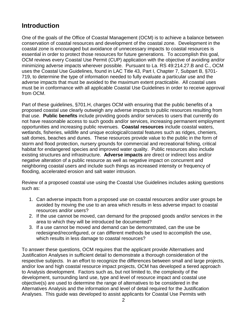# **Introduction**

One of the goals of the Office of Coastal Management (OCM) is to achieve a balance between conservation of coastal resources and development of the coastal zone. Development in the coastal zone is encouraged but avoidance of unnecessary impacts to coastal resources is essential in order to protect those resources for future generations. To accomplish this goal, OCM reviews every Coastal Use Permit (CUP) application with the objective of avoiding and/or minimizing adverse impacts wherever possible. Pursuant to La. RS 49:214.27.B and C., OCM uses the Coastal Use Guidelines, found in LAC Title 43, Part I, Chapter 7, Subpart B, §701- 719, to determine the type of information needed to fully evaluate a particular use and the adverse impacts that must be avoided to the maximum extent practicable. All coastal uses must be in conformance with all applicable Coastal Use Guidelines in order to receive approval from OCM.

Part of these guidelines, §701.H, charges OCM with ensuring that the public benefits of a proposed coastal use clearly outweigh any adverse impacts to public resources resulting from that use. **Public benefits** include providing goods and/or services to users that currently do not have reasonable access to such goods and/or services, increasing permanent employment opportunities and increasing public revenues. **Coastal resources** include coastal waters, wetlands, fisheries, wildlife and unique ecological/coastal features such as ridges, cheniers, salt domes, beaches and dunes. These resources provide value to the public in the form of storm and flood protection, nursery grounds for commercial and recreational fishing, critical habitat for endangered species and improved water quality. Public resources also include existing structures and infrastructure. **Adverse impacts** are direct or indirect loss and/or negative alteration of a public resource as well as negative impact on concurrent and neighboring coastal users and include such things as increased intensity or frequency of flooding, accelerated erosion and salt water intrusion.

Review of a proposed coastal use using the Coastal Use Guidelines includes asking questions such as:

- 1. Can adverse impacts from a proposed use on coastal resources and/or user groups be avoided by moving the use to an area which results in less adverse impact to coastal resources and/or users?
- 2. If the use cannot be moved, can demand for the proposed goods and/or services in the area to which they will be introduced be documented?
- 3. If a use cannot be moved and demand can be demonstrated, can the use be redesigned/reconfigured, or can different methods be used to accomplish the use, which results in less damage to coastal resources?

To answer these questions, OCM requires that the applicant provide Alternatives and Justification Analyses in sufficient detail to demonstrate a thorough consideration of the respective subjects. In an effort to recognize the differences between small and large projects, and/or low and high coastal resource impact projects, OCM has developed a tiered approach to Analysis development. Factors such as, but not limited to, the complexity of the development, surrounding land use, type and level of resource impact and coastal use objective(s) are used to determine the range of alternatives to be considered in the Alternatives Analysis and the information and level of detail required for the Justification Analyses. This guide was developed to assist applicants for Coastal Use Permits with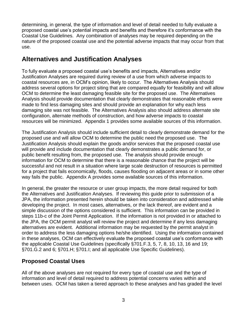determining, in general, the type of information and level of detail needed to fully evaluate a proposed coastal use's potential impacts and benefits and therefore it's conformance with the Coastal Use Guidelines. Any combination of analyses may be required depending on the nature of the proposed coastal use and the potential adverse impacts that may occur from that use.

# **Alternatives and Justification Analyses**

To fully evaluate a proposed coastal use's benefits and impacts, Alternatives and/or Justification Analyses are required during review of a use from which adverse impacts to coastal resources are, in OCM's opinion, likely to occur. The Alternatives Analysis should address several options for project siting that are compared equally for feasibility and will allow OCM to determine the least damaging feasible site for the proposed use. The Alternatives Analysis should provide documentation that clearly demonstrates that reasonable efforts were made to find less damaging sites and should provide an explanation for why each less damaging site was not feasible. The Alternatives Analysis also should address alternate site configuration, alternate methods of construction, and how adverse impacts to coastal resources will be minimized. Appendix 1 provides some available sources of this information.

The Justification Analysis should include sufficient detail to clearly demonstrate demand for the proposed use and will allow OCM to determine the public need the proposed use. The Justification Analysis should explain the goods and/or services that the proposed coastal use will provide and include documentation that clearly demonstrates a public demand for, or public benefit resulting from, the proposed use. The analysis should provide enough information for OCM to determine that there is a reasonable chance that the project will be successful and not result in a situation where large scale destruction of resources is permitted for a project that fails economically, floods, causes flooding on adjacent areas or in some other way fails the public. Appendix A provides some available sources of this information.

In general, the greater the resource or user group impacts, the more detail required for both the Alternatives and Justification Analyses. If reviewing this guide prior to submission of a JPA, the information presented herein should be taken into consideration and addressed while developing the project. In most cases, alternatives, or the lack thereof, are evident and a simple discussion of the options considered is sufficient. This information can be provided in steps 11b-c of the Joint Permit Application. If the information is not provided in or attached to the JPA, the OCM permit analyst will review the project and determine if any less damaging alternatives are evident. Additional information may be requested by the permit analyst in order to address the less damaging options he/she identified. Using the information contained in these analyses, OCM can effectively evaluate the proposed coastal use's conformance with the applicable Coastal Use Guidelines (specifically §701.F.3, 5, 7, 8, 10, 13, 16 and 19; §701.G.2 and 6; §701.H; §701.I; and all applicable Use Specific Guidelines).

## **Proposed Coastal Uses**

All of the above analyses are not required for every type of coastal use and the type of information and level of detail required to address potential concerns varies within and between uses. OCM has taken a tiered approach to these analyses and has graded the level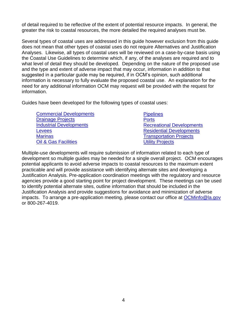of detail required to be reflective of the extent of potential resource impacts. In general, the greater the risk to coastal resources, the more detailed the required analyses must be.

Several types of coastal uses are addressed in this guide however exclusion from this guide does not mean that other types of coastal uses do not require Alternatives and Justification Analyses. Likewise, all types of coastal uses will be reviewed on a case-by-case basis using the Coastal Use Guidelines to determine which, if any, of the analyses are required and to what level of detail they should be developed. Depending on the nature of the proposed use and the type and extent of adverse impact that may occur, information in addition to that suggested in a particular guide may be required, if in OCM's opinion, such additional information is necessary to fully evaluate the proposed coastal use. An explanation for the need for any additional information OCM may request will be provided with the request for information.

Guides have been developed for the following types of coastal uses:

| <b>Commercial Developments</b>  | <b>Pipelines</b>                 |
|---------------------------------|----------------------------------|
| <b>Drainage Projects</b>        | <b>Ports</b>                     |
| <b>Industrial Developments</b>  | <b>Recreational Developments</b> |
| Levees                          | <b>Residential Developments</b>  |
| <b>Marinas</b>                  | <b>Transportation Projects</b>   |
| <b>Oil &amp; Gas Facilities</b> | <b>Utility Projects</b>          |

Multiple-use developments will require submission of information related to each type of development so multiple guides may be needed for a single overall project. OCM encourages potential applicants to avoid adverse impacts to coastal resources to the maximum extent practicable and will provide assistance with identifying alternate sites and developing a Justification Analysis. Pre-application coordination meetings with the regulatory and resource agencies provide a good starting point for project development. These meetings can be used to identify potential alternate sites, outline information that should be included in the Justification Analysis and provide suggestions for avoidance and minimization of adverse impacts. To arrange a pre-application meeting, please contact our office at [OCMinfo@la.gov](mailto:OCMinfo@la.gov) or 800-267-4019.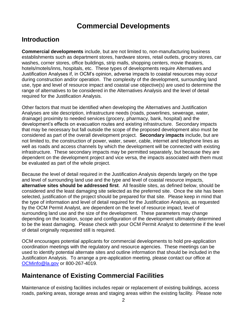# **Commercial Developments**

# <span id="page-4-0"></span>**Introduction**

**Commercial developments** include, but are not limited to, non-manufacturing business establishments such as department stores, hardware stores, retail outlets, grocery stores, car washes, corner stores, office buildings, strip malls, shopping centers, movie theaters, hotels/motels/inns, hospitals, etc. These types of developments require Alternatives and Justification Analyses if, in OCM's opinion, adverse impacts to coastal resources may occur during construction and/or operation. The complexity of the development, surrounding land use, type and level of resource impact and coastal use objective(s) are used to determine the range of alternatives to be considered in the Alternatives Analysis and the level of detail required for the Justification Analysis.

Other factors that must be identified when developing the Alternatives and Justification Analyses are site description, infrastructure needs (roads, powerlines, sewerage, water, drainage) proximity to needed services (grocery, pharmacy, bank, hospital) and the development's effects on evacuation routes and existing infrastructure. Secondary impacts that may be necessary but fall outside the scope of the proposed development also must be considered as part of the overall development project. **Secondary impacts** include, but are not limited to, the construction of power, water, sewer, cable, internet and telephone lines as well as roads and access channels by which the development will be connected with existing infrastructure. These secondary impacts may be permitted separately, but because they are dependent on the development project and vice versa, the impacts associated with them must be evaluated as part of the whole project.

Because the level of detail required in the Justification Analysis depends largely on the type and level of surrounding land use and the type and level of coastal resource impacts, **alternative sites should be addressed first**. All feasible sites, as defined below, should be considered and the least damaging site selected as the preferred site. Once the site has been selected, justification of the project should be prepared for that site. Please keep in mind that the type of information and level of detail required for the Justification Analysis, as requested by the OCM Permit Analyst, are dependent on the level of resource impact, level of surrounding land use and the size of the development. These parameters may change depending on the location, scope and configuration of the development ultimately determined to be the least damaging. Please check with your OCM Permit Analyst to determine if the level of detail originally requested still is required.

OCM encourages potential applicants for commercial developments to hold pre-application coordination meetings with the regulatory and resource agencies. These meetings can be used to identify potential alternate sites and outline information that should be included in the Justification Analysis. To arrange a pre-application meeting, please contact our office at [OCMinfo@la.gov](mailto:OCMinfo@la.gov) or 800-267-4019.

# **Maintenance of Existing Commercial Facilities**

Maintenance of existing facilities includes repair or replacement of existing buildings, access roads, parking areas, storage areas and staging areas within the existing facility. Please note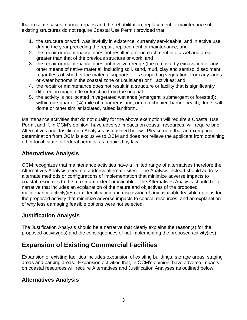that in some cases, normal repairs and the rehabilitation, replacement or maintenance of existing structures do not require Coastal Use Permit provided that:

- 1. the structure or work was lawfully in existence, currently serviceable, and in active use during the year preceding the repair, replacement or maintenance; and
- 2. the repair or maintenance does not result in an encroachment into a wetland area greater than that of the previous structure or work; and
- 3. the repair or maintenance does not involve dredge (the removal by excavation or any other means of native material, including soil, sand, mud, clay and semisolid sediment, regardless of whether the material supports or is supporting vegetation, from any lands or water bottoms in the coastal zone of Louisiana) or fill activities; and
- 4. the repair or maintenance does not result in a structure or facility that is significantly different in magnitude or function from the original.
- 5. the activity is not located in vegetated wetlands (emergent, submergent or forested); within one-quarter (¼) mile of a barrier island; or on a chenier, barrier beach, dune, salt dome or other similar isolated, raised landform.

Maintenance activities that do not qualify for the above exemption will require a Coastal Use Permit and if, in OCM's opinion, have adverse impacts on coastal resources, will require brief Alternatives and Justification Analyses as outlined below. Please note that an exemption determination from OCM is exclusive to OCM and does not relieve the applicant from obtaining other local, state or federal permits, as required by law.

## **Alternatives Analysis**

OCM recognizes that maintenance activities have a limited range of alternatives therefore the Alternatives Analysis need not address alternate sites. The Analysis instead should address alternate methods or configurations of implementation that minimize adverse impacts to coastal resources to the maximum extent practicable. The Alternatives Analysis should be a narrative that includes an explanation of the nature and objectives of the proposed maintenance activity(ies); an identification and discussion of any available feasible options for the proposed activity that minimize adverse impacts to coastal resources; and an explanation of why less damaging feasible options were not selected.

## **Justification Analysis**

The Justification Analysis should be a narrative that clearly explains the reason(s) for the proposed activity(ies) and the consequences of not implementing the proposed activity(ies).

# **Expansion of Existing Commercial Facilities**

Expansion of existing facilities includes expansion of existing buildings, storage areas, staging areas and parking areas. Expansion activities that, in OCM's opinion, have adverse impacts on coastal resources will require Alternatives and Justification Analyses as outlined below.

## **Alternatives Analysis**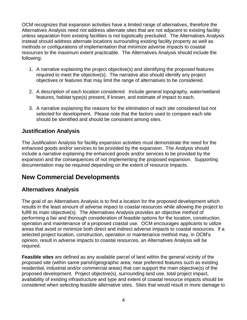OCM recognizes that expansion activities have a limited range of alternatives, therefore the Alternatives Analysis need not address alternate sites that are not adjacent to existing facility unless separation from existing facilities is not logistically precluded. The Alternatives Analysis instead should address alternate locations surrounding existing facility property as well as methods or configurations of implementation that minimize adverse impacts to coastal resources to the maximum extent practicable. The Alternatives Analysis should include the following:

- 1. A narrative explaining the project objective(s) and identifying the proposed features required to meet the objective(s). The narrative also should identify any project objectives or features that may limit the range of alternatives to be considered.
- 2. A description of each location considered. Include general topography, water/wetland features, habitat type(s) present, if known, and estimate of impact to each.
- 3. A narrative explaining the reasons for the elimination of each site considered but not selected for development. Please note that the factors used to compare each site should be identified and should be consistent among sites.

## **Justification Analysis**

The Justification Analysis for facility expansion activities must demonstrate the need for the enhanced goods and/or services to be provided by the expansion. The Analysis should include a narrative explaining the enhanced goods and/or services to be provided by the expansion and the consequences of not implementing the proposed expansion. Supporting documentation may be required depending on the extent of resource impacts.

# **New Commercial Developments**

## **Alternatives Analysis**

The goal of an Alternatives Analysis is to find a location for the proposed development which results in the least amount of adverse impact to coastal resources while allowing the project to fulfill its main objective(s). The Alternatives Analysis provides an objective method of performing a fair and thorough consideration of feasible options for the location, construction, operation and maintenance of a proposed coastal use. OCM encourages applicants to utilize areas that avoid or minimize both direct and indirect adverse impacts to coastal resources. If a selected project location, construction, operation or maintenance method may, in OCM's opinion, result in adverse impacts to coastal resources, an Alternatives Analysis will be required.

**Feasible sites** are defined as any available parcel of land within the general vicinity of the proposed site (within same parish/geographic area; near preferred features such as existing residential, industrial and/or commercial areas) that can support the main objective(s) of the proposed development. Project objective(s), surrounding land use, total project impact, availability of existing infrastructure and type and extent of coastal resource impacts should be considered when selecting feasible alternative sites. Sites that would result in more damage to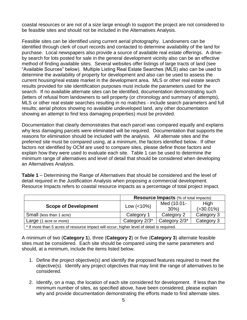coastal resources or are not of a size large enough to support the project are not considered to be feasible sites and should not be included in the Alternatives Analysis.

Feasible sites can be identified using current aerial photography. Landowners can be identified through clerk of court records and contacted to determine availability of the land for purchase. Local newspapers also provide a source of available real estate offerings. A driveby search for lots posted for sale in the general development vicinity also can be an effective method of finding available sites. Several websites offer listings of large tracts of land (see "Available Sources" below). Multiple Listing Real Estate Searches (MLS) also can be used to determine the availability of property for development and also can be used to assess the current housing/real estate market in the development area. MLS or other real estate search results provided for site identification purposes must include the parameters used for the search. If no available alternate sites can be identified, documentation demonstrating such (letters of refusal from landowners to sell property (or chronology and summary of attempts), MLS or other real estate searches resulting in no matches - include search parameters and full results; aerial photos showing no available undeveloped land, any other documentation showing an attempt to find less damaging properties) must be provided.

Documentation that clearly demonstrates that each parcel was compared equally and explains why less damaging parcels were eliminated will be required. Documentation that supports the reasons for elimination should be included with the analysis. All alternate sites and the preferred site must be compared using, at a minimum, the factors identified below. If other factors not identified by OCM are used to compare sites, please define those factors and explain how they were used to evaluate each site. Table 1 can be used to determine the minimum range of alternatives and level of detail that should be considered when developing an Alternatives Analysis.

**Table 1** – Determining the Range of Alternatives that should be considered and the level of detail required in the Justification Analysis when proposing a commercial development. Resource Impacts refers to coastal resource impacts as a percentage of total project impact.

| <b>Resource Impacts (% of total impacts)</b>                                              |               |             |                |  |  |
|-------------------------------------------------------------------------------------------|---------------|-------------|----------------|--|--|
|                                                                                           |               | Med (10.01- | High           |  |  |
| <b>Scope of Development</b>                                                               | Low $(<10\%)$ | $30\%$      | $( > 30.01\%)$ |  |  |
| Small (less than 1 acre)                                                                  | Category 1    | Category 2  | Category 3     |  |  |
| Category 2/3*<br>Category 2/3*<br>Category 3<br>Large (1 acre or more)                    |               |             |                |  |  |
| * If more than 5 acres of resource impact will occur, higher level of detail is required. |               |             |                |  |  |

A minimum of two (**Category 1**), three (**Category 2**) or five (**Category 3**) alternate feasible sites must be considered. Each site should be compared using the same parameters and should, at a minimum, include the items listed below.

- 1. Define the project objective(s) and identify the proposed features required to meet the objective(s). Identify any project objectives that may limit the range of alternatives to be considered.
- 2. Identify, on a map, the location of each site considered for development. If less than the minimum number of sites, as specified above, have been considered, please explain why and provide documentation demonstrating the efforts made to find alternate sites.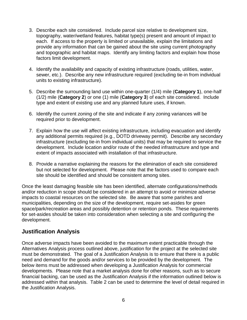- 3. Describe each site considered. Include parcel size relative to development size, topography, water/wetland features, habitat type(s) present and amount of impact to each. If access to the property is limited or unavailable, explain the limitations and provide any information that can be gained about the site using current photography and topographic and habitat maps. Identify any limiting factors and explain how those factors limit development.
- 4. Identify the availability and capacity of existing infrastructure (roads, utilities, water, sewer, etc.). Describe any new infrastructure required (excluding tie-in from individual units to existing infrastructure).
- 5. Describe the surrounding land use within one-quarter (1/4) mile (**Category 1**), one-half (1/2) mile (**Category 2**) or one (1) mile (**Category 3**) of each site considered. Include type and extent of existing use and any planned future uses, if known.
- 6. Identify the current zoning of the site and indicate if any zoning variances will be required prior to development.
- 7. Explain how the use will affect existing infrastructure, including evacuation and identify any additional permits required (e.g., DOTD driveway permit). Describe any secondary infrastructure (excluding tie-in from individual units) that may be required to service the development. Include location and/or route of the needed infrastructure and type and extent of impacts associated with installation of that infrastructure.
- 8. Provide a narrative explaining the reasons for the elimination of each site considered but not selected for development. Please note that the factors used to compare each site should be identified and should be consistent among sites.

Once the least damaging feasible site has been identified, alternate configurations/methods and/or reduction in scope should be considered in an attempt to avoid or minimize adverse impacts to coastal resources on the selected site. Be aware that some parishes and municipalities, depending on the size of the development, require set-asides for green space/park/recreation areas and possibly detention or retention ponds. These requirements for set-asides should be taken into consideration when selecting a site and configuring the development.

#### **Justification Analysis**

Once adverse impacts have been avoided to the maximum extent practicable through the Alternatives Analysis process outlined above, justification for the project at the selected site must be demonstrated. The goal of a Justification Analysis is to ensure that there is a public need and demand for the goods and/or services to be provided by the development. The below items must be addressed when developing a Justification Analysis for commercial developments. Please note that a market analysis done for other reasons, such as to secure financial backing, can be used as the Justification Analysis if the information outlined below is addressed within that analysis. Table 2 can be used to determine the level of detail required in the Justification Analysis.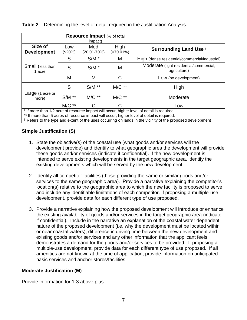| <b>Table 2</b> – Determining the level of detail required in the Justification Analysis. |  |
|------------------------------------------------------------------------------------------|--|
|                                                                                          |  |

|                                                           | <b>Resource Impact (% of total</b><br>impact) |                    |                      |                                                         |
|-----------------------------------------------------------|-----------------------------------------------|--------------------|----------------------|---------------------------------------------------------|
| Size of<br><b>Development</b>                             | Low<br>(≤20%)                                 | Med<br>(20.01-70%) | High<br>$(>70.01\%)$ | <b>Surrounding Land Use +</b>                           |
|                                                           | S                                             | $S/M$ *            | M                    | High (dense residential/commercial/industrial)          |
| Small (less than<br>1 acre                                | S                                             | $S/M$ *            | M                    | Moderate (light residential/commercial,<br>agriculture) |
|                                                           | M                                             | M                  | С                    | Low (no development)                                    |
|                                                           | S                                             | $S/M$ **           | $MC**$               | High                                                    |
| Large (1 acre or<br>more)                                 | $S/M$ **                                      | $MC**$             | $MC**$               | Moderate                                                |
| $\mathbf{a}$ and $\mathbf{a}$<br>$\overline{\phantom{a}}$ | $M/C$ **                                      | C                  | C.<br>.              | Low<br>.                                                |

\* If more than 1/2 acre of resource impact will occur, higher level of detail is required.

\*\* If more than 5 acres of resource impact will occur, higher level of detail is required.

† Refers to the type and extent of the uses occurring on lands in the vicinity of the proposed development

#### **Simple Justification (S)**

- 1. State the objective(s) of the coastal use (what goods and/or services will the development provide) and identify to what geographic area the development will provide these goods and/or services (indicate if confidential). If the new development is intended to serve existing developments in the target geographic area, identify the existing developments which will be served by the new development.
- 2. Identify all competitor facilities (those providing the same or similar goods and/or services to the same geographic area). Provide a narrative explaining the competitor's location(s) relative to the geographic area to which the new facility is proposed to serve and include any identifiable limitations of each competitor. If proposing a multiple-use development, provide data for each different type of use proposed.
- 3. Provide a narrative explaining how the proposed development will introduce or enhance the existing availability of goods and/or services in the target geographic area (indicate if confidential). Include in the narrative an explanation of the coastal water dependent nature of the proposed development (i.e. why the development must be located within or near coastal waters), difference in driving time between the new development and existing goods and/or services and any other information that the applicant feels demonstrates a demand for the goods and/or services to be provided. If proposing a multiple-use development, provide data for each different type of use proposed. If all amenities are not known at the time of application, provide information on anticipated basic services and anchor stores/facilities.

#### **Moderate Justification (M)**

Provide information for 1-3 above plus: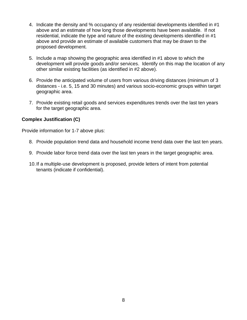- 4. Indicate the density and % occupancy of any residential developments identified in #1 above and an estimate of how long those developments have been available. If not residential, indicate the type and nature of the existing developments identified in #1 above and provide an estimate of available customers that may be drawn to the proposed development.
- 5. Include a map showing the geographic area identified in #1 above to which the development will provide goods and/or services. Identify on this map the location of any other similar existing facilities (as identified in #2 above).
- 6. Provide the anticipated volume of users from various driving distances (minimum of 3 distances - i.e. 5, 15 and 30 minutes) and various socio-economic groups within target geographic area.
- 7. Provide existing retail goods and services expenditures trends over the last ten years for the target geographic area.

#### **Complex Justification (C)**

Provide information for 1-7 above plus:

- 8. Provide population trend data and household income trend data over the last ten years.
- 9. Provide labor force trend data over the last ten years in the target geographic area.
- 10.If a multiple-use development is proposed, provide letters of intent from potential tenants (indicate if confidential).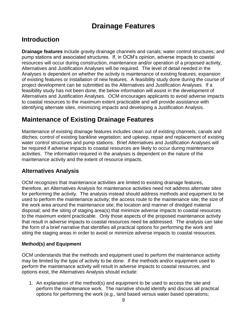# **Drainage Features**

# <span id="page-11-0"></span>**Introduction**

**Drainage features** include gravity drainage channels and canals; water control structures; and pump stations and associated structures. If, in OCM's opinion, adverse impacts to coastal resources will occur during construction, maintenance and/or operation of a proposed activity, Alternatives and Justification Analyses will be required. The level of detail needed in the Analyses is dependent on whether the activity is maintenance of existing features, expansion of existing features or installation of new features. A feasibility study done during the course of project development can be submitted as the Alternatives and Justification Analyses. If a feasibility study has not been done, the below information will assist in the development of Alternatives and Justification Analyses. OCM encourages applicants to avoid adverse impacts to coastal resources to the maximum extent practicable and will provide assistance with identifying alternate sites, minimizing impacts and developing a Justification Analysis.

# **Maintenance of Existing Drainage Features**

Maintenance of existing drainage features includes clean out of existing channels, canals and ditches; control of existing bankline vegetation; and upkeep, repair and replacement of existing water control structures and pump stations. Brief Alternatives and Justification Analyses will be required if adverse impacts to coastal resources are likely to occur during maintenance activities. The information required in the analyses is dependent on the nature of the maintenance activity and the extent of resource impacts.

## **Alternatives Analysis**

OCM recognizes that maintenance activities are limited to existing drainage features, therefore, an Alternatives Analysis for maintenance activities need not address alternate sites for performing the activity. The analysis instead should address methods and equipment to be used to perform the maintenance activity; the access route to the maintenance site; the size of the work area around the maintenance site; the location and manner of dredged material disposal; and the siting of staging area(s) that minimize adverse impacts to coastal resources to the maximum extent practicable. Only those aspects of the proposed maintenance activity that result in adverse impacts to coastal resources need be addressed. The analysis can take the form of a brief narrative that identifies all practical options for performing the work and siting the staging areas in order to avoid or minimize adverse impacts to coastal resources.

#### **Method(s) and Equipment**

OCM understands that the methods and equipment used to perform the maintenance activity may be limited by the type of activity to be done. If the methods and/or equipment used to perform the maintenance activity will result in adverse impacts to coastal resources, and options exist, the Alternatives Analysis should include:

1. An explanation of the method(s) and equipment to be used to access the site and perform the maintenance work. The narrative should identify and discuss all practical options for performing the work (e.g., land based versus water based operations;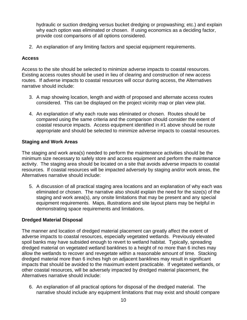hydraulic or suction dredging versus bucket dredging or propwashing; etc.) and explain why each option was eliminated or chosen. If using economics as a deciding factor, provide cost comparisons of all options considered.

2. An explanation of any limiting factors and special equipment requirements.

#### **Access**

Access to the site should be selected to minimize adverse impacts to coastal resources. Existing access routes should be used in lieu of clearing and construction of new access routes. If adverse impacts to coastal resources will occur during access, the Alternatives narrative should include:

- 3. A map showing location, length and width of proposed and alternate access routes considered. This can be displayed on the project vicinity map or plan view plat.
- 4. An explanation of why each route was eliminated or chosen. Routes should be compared using the same criteria and the comparison should consider the extent of coastal resource impacts. Access equipment identified in #1 above should be route appropriate and should be selected to minimize adverse impacts to coastal resources.

#### **Staging and Work Areas**

The staging and work area(s) needed to perform the maintenance activities should be the minimum size necessary to safely store and access equipment and perform the maintenance activity. The staging area should be located on a site that avoids adverse impacts to coastal resources. If coastal resources will be impacted adversely by staging and/or work areas, the Alternatives narrative should include:

5. A discussion of all practical staging area locations and an explanation of why each was eliminated or chosen. The narrative also should explain the need for the size(s) of the staging and work area(s), any onsite limitations that may be present and any special equipment requirements. Maps, illustrations and site layout plans may be helpful in demonstrating space requirements and limitations.

#### **Dredged Material Disposal**

The manner and location of dredged material placement can greatly affect the extent of adverse impacts to coastal resources, especially vegetated wetlands. Previously elevated spoil banks may have subsided enough to revert to wetland habitat. Typically, spreading dredged material on vegetated wetland banklines to a height of no more than 6 inches may allow the wetlands to recover and revegetate within a reasonable amount of time. Stacking dredged material more than 6 inches high on adjacent banklines may result in significant impacts that should be avoided to the maximum extent practicable. If vegetated wetlands, or other coastal resources, will be adversely impacted by dredged material placement, the Alternatives narrative should include:

6. An explanation of all practical options for disposal of the dredged material. The narrative should include any equipment limitations that may exist and should compare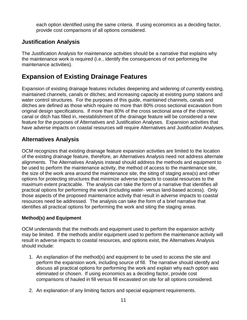each option identified using the same criteria. If using economics as a deciding factor, provide cost comparisons of all options considered.

## **Justification Analysis**

The Justification Analysis for maintenance activities should be a narrative that explains why the maintenance work is required (i.e., identify the consequences of not performing the maintenance activities).

# **Expansion of Existing Drainage Features**

Expansion of existing drainage features includes deepening and widening of currently existing, maintained channels, canals or ditches; and increasing capacity at existing pump stations and water control structures. For the purposes of this guide, maintained channels, canals and ditches are defined as those which require no more than 80% cross sectional excavation from original design specifications. If more than 80% of the cross sectional area of the channel, canal or ditch has filled in, reestablishment of the drainage feature will be considered a new feature for the purposes of Alternatives and Justification Analyses. Expansion activities that have adverse impacts on coastal resources will require Alternatives and Justification Analyses.

## **Alternatives Analysis**

OCM recognizes that existing drainage feature expansion activities are limited to the location of the existing drainage feature, therefore, an Alternatives Analysis need not address alternate alignments. The Alternatives Analysis instead should address the methods and equipment to be used to perform the maintenance activity, the method of access to the maintenance site, the size of the work area around the maintenance site, the siting of staging area(s) and other options for protecting structures that minimize adverse impacts to coastal resources to the maximum extent practicable. The analysis can take the form of a narrative that identifies all practical options for performing the work (including water- versus land-based access). Only those aspects of the proposed maintenance activity that result in adverse impacts to coastal resources need be addressed. The analysis can take the form of a brief narrative that identifies all practical options for performing the work and siting the staging areas.

#### **Method(s) and Equipment**

OCM understands that the methods and equipment used to perform the expansion activity may be limited. If the methods and/or equipment used to perform the maintenance activity will result in adverse impacts to coastal resources, and options exist, the Alternatives Analysis should include:

- 1. An explanation of the method(s) and equipment to be used to access the site and perform the expansion work, including source of fill. The narrative should identify and discuss all practical options for performing the work and explain why each option was eliminated or chosen. If using economics as a deciding factor, provide cost comparisons of hauled in fill versus fill excavated on site for all options considered.
- 2. An explanation of any limiting factors and special equipment requirements.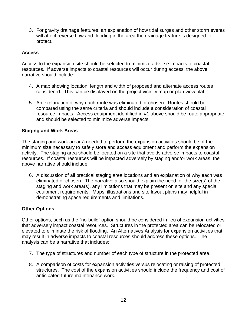3. For gravity drainage features, an explanation of how tidal surges and other storm events will affect reverse flow and flooding in the area the drainage feature is designed to protect.

#### **Access**

Access to the expansion site should be selected to minimize adverse impacts to coastal resources. If adverse impacts to coastal resources will occur during access, the above narrative should include:

- 4. A map showing location, length and width of proposed and alternate access routes considered. This can be displayed on the project vicinity map or plan view plat.
- 5. An explanation of why each route was eliminated or chosen. Routes should be compared using the same criteria and should include a consideration of coastal resource impacts. Access equipment identified in #1 above should be route appropriate and should be selected to minimize adverse impacts.

#### **Staging and Work Areas**

The staging and work area(s) needed to perform the expansion activities should be of the minimum size necessary to safely store and access equipment and perform the expansion activity. The staging area should be located on a site that avoids adverse impacts to coastal resources. If coastal resources will be impacted adversely by staging and/or work areas, the above narrative should include:

6. A discussion of all practical staging area locations and an explanation of why each was eliminated or chosen. The narrative also should explain the need for the size(s) of the staging and work area(s), any limitations that may be present on site and any special equipment requirements. Maps, illustrations and site layout plans may helpful in demonstrating space requirements and limitations.

#### **Other Options**

Other options, such as the "no-build" option should be considered in lieu of expansion activities that adversely impact coastal resources. Structures in the protected area can be relocated or elevated to eliminate the risk of flooding. An Alternatives Analysis for expansion activities that may result in adverse impacts to coastal resources should address these options. The analysis can be a narrative that includes:

- 7. The type of structures and number of each type of structure in the protected area.
- 8. A comparison of costs for expansion activities versus relocating or raising of protected structures. The cost of the expansion activities should include the frequency and cost of anticipated future maintenance work.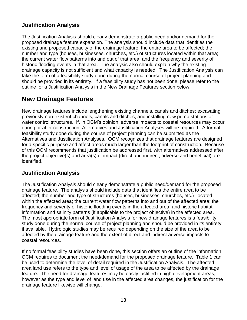## **Justification Analysis**

The Justification Analysis should clearly demonstrate a public need and/or demand for the proposed drainage feature expansion. The analysis should include data that identifies the existing and proposed capacity of the drainage feature; the entire area to be affected; the number and type (houses, businesses, churches, etc.) of structures located within that area; the current water flow patterns into and out of that area; and the frequency and severity of historic flooding events in that area. The analysis also should explain why the existing drainage capacity is not sufficient and what capacity is needed. The Justification Analysis can take the form of a feasibility study done during the normal course of project planning and should be provided in its entirety. If a feasibility study has not been done, please refer to the outline for a Justification Analysis in the New Drainage Features section below.

# **New Drainage Features**

New drainage features include lengthening existing channels, canals and ditches; excavating previously non-existent channels, canals and ditches; and installing new pump stations or water control structures. If, in OCM's opinion, adverse impacts to coastal resources may occur during or after construction, Alternatives and Justification Analyses will be required. A formal feasibility study done during the course of project planning can be submitted as the Alternatives and Justification Analyses. OCM recognizes that drainage features are designed for a specific purpose and affect areas much larger than the footprint of construction. Because of this OCM recommends that justification be addressed first, with alternatives addressed after the project objective(s) and area(s) of impact (direct and indirect; adverse and beneficial) are identified.

#### **Justification Analysis**

The Justification Analysis should clearly demonstrate a public need/demand for the proposed drainage feature. The analysis should include data that identifies the entire area to be affected; the number and type of structures (houses, businesses, churches, etc.) located within the affected area; the current water flow patterns into and out of the affected area; the frequency and severity of historic flooding events in the affected area; and historic habitat information and salinity patterns (if applicable to the project objective) in the affected area. The most appropriate form of Justification Analysis for new drainage features is a feasibility study done during the normal course of project planning and should be provided in its entirety, if available. Hydrologic studies may be required depending on the size of the area to be affected by the drainage feature and the extent of direct and indirect adverse impacts to coastal resources.

If no formal feasibility studies have been done, this section offers an outline of the information OCM requires to document the need/demand for the proposed drainage feature. Table 1 can be used to determine the level of detail required in the Justification Analysis. The affected area land use refers to the type and level of usage of the area to be affected by the drainage feature. The need for drainage features may be easily justified in high development areas, however as the type and level of land use in the affected area changes, the justification for the drainage feature likewise will change.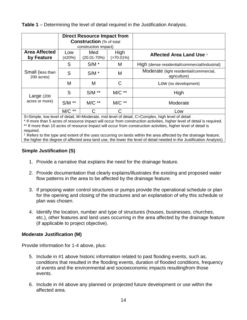|  |  |  | Table 1 – Determining the level of detail required in the Justification Analysis. |  |
|--|--|--|-----------------------------------------------------------------------------------|--|
|  |  |  |                                                                                   |  |

|                                    | <b>Direct Resource Impact from</b><br><b>Construction (% of total</b><br>construction impact) |                                            |        |                                                         |
|------------------------------------|-----------------------------------------------------------------------------------------------|--------------------------------------------|--------|---------------------------------------------------------|
| <b>Area Affected</b><br>by Feature | Low<br>(≤20%)                                                                                 | High<br>Med<br>$(>70.01\%)$<br>(20.01-70%) |        | <b>Affected Area Land Use +</b>                         |
|                                    | S                                                                                             | $S/M$ *                                    | M      | High (dense residential/commercial/industrial)          |
| Small (less than<br>200 acres)     | S                                                                                             | $S/M$ *                                    | M      | Moderate (light residential/commercial,<br>agriculture) |
|                                    | M                                                                                             | М                                          | C      | Low (no development)                                    |
| Large $(200$                       | S                                                                                             | $S/M$ **                                   | $MC**$ | High                                                    |
| acres or more)                     | $S/M$ **                                                                                      | $MC**$                                     | $MC**$ | Moderate                                                |
|                                    | $M/C$ **                                                                                      | C                                          | С      | Low                                                     |

S=Simple, low level of detail, M=Moderate, mid-level of detail, C=Complex, high level of detail

\* If more than 5 acres of resource impact will occur from construction activities, higher level of detail is required. \*\* If more than 10 acres of resource impact will occur from construction activities, higher level of detail is required.

† Refers to the type and extent of the uses occurring on lands within the area affected by the drainage feature; the higher the degree of affected area land use, the lower the level of detail needed in the Justification Analysis)

#### **Simple Justification (S)**

- 1. Provide a narrative that explains the need for the drainage feature.
- 2. Provide documentation that clearly explains/illustrates the existing and proposed water flow patterns in the area to be affected by the drainage feature.
- 3. If proposing water control structures or pumps provide the operational schedule or plan for the opening and closing of the structures and an explanation of why this schedule or plan was chosen.
- 4. Identify the location, number and type of structures (houses, businesses, churches, etc.), other features and land uses occurring in the area affected by the drainage feature (if applicable to project objective).

#### **Moderate Justification (M)**

Provide information for 1-4 above, plus:

- 5. Include in #1 above historic information related to past flooding events, such as, conditions that resulted in the flooding events, duration of flooded conditions, frequency of events and the environmental and socioeconomic impacts resultingfrom those events.
- 6. Include in #4 above any planned or projected future development or use within the affected area.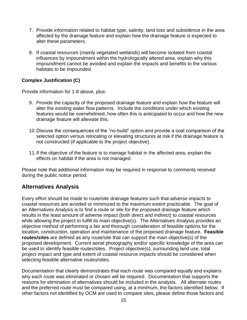- 7. Provide information related to habitat type, salinity, land loss and subsidence in the area affected by the drainage feature and explain how the drainage feature is expected to alter these parameters.
- 8. If coastal resources (mainly vegetated wetlands) will become isolated from coastal influences by impoundment within the hydrologically altered area, explain why this impoundment cannot be avoided and explain the impacts and benefits to the various habitats to be impounded.

#### **Complex Justification (C)**

Provide information for 1-8 above, plus:

- 9. Provide the capacity of the proposed drainage feature and explain how the feature will alter the existing water flow patterns. Include the conditions under which existing features would be overwhelmed, how often this is anticipated to occur and how the new drainage feature will alleviate this.
- 10.Discuss the consequences of the "no-build" option and provide a cost comparison of the selected option versus relocating or elevating structures at risk if the drainage feature is not constructed (if applicable to the project objective).
- 11.If the objective of the feature is to manage habitat in the affected area, explain the effects on habitat if the area is not managed.

Please note that additional information may be required in response to comments received during the public notice period.

#### **Alternatives Analysis**

Every effort should be made to route/site drainage features such that adverse impacts to coastal resources are avoided or minimized to the maximum extent practicable. The goal of an Alternatives Analysis is to find a route or site for the proposed drainage feature which results in the least amount of adverse impact (both direct and indirect) to coastal resources while allowing the project to fulfill its main objective(s). The Alternatives Analysis provides an objective method of performing a fair and thorough consideration of feasible options for the location, construction, operation and maintenance of the proposed drainage feature. **Feasible routes/sites** are defined as any route/site that can support the main objective(s) of the proposed development. Current aerial photography and/or specific knowledge of the area can be used to identify feasible routes/sites. Project objective(s), surrounding land use, total project impact and type and extent of coastal resource impacts should be considered when selecting feasible alternative routes/sites.

Documentation that clearly demonstrates that each route was compared equally and explains why each route was eliminated or chosen will be required. Documentation that supports the reasons for elimination of alternatives should be included in the analysis. All alternate routes and the preferred route must be compared using, at a minimum, the factors identified below. If other factors not identified by OCM are used to compare sites, please define those factors and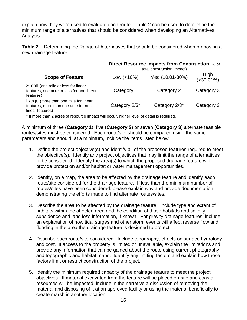explain how they were used to evaluate each route. Table 2 can be used to determine the minimum range of alternatives that should be considered when developing an Alternatives Analysis.

**Table 2** – Determining the Range of Alternatives that should be considered when proposing a new drainage feature.

|                                                                                                                                                   | <b>Direct Resource Impacts from Construction (% of</b><br>total construction impact) |                 |                        |  |  |
|---------------------------------------------------------------------------------------------------------------------------------------------------|--------------------------------------------------------------------------------------|-----------------|------------------------|--|--|
| <b>Scope of Feature</b>                                                                                                                           | Low $(< 10\%)$                                                                       | Med (10.01-30%) | High<br>$( > 30.01\%)$ |  |  |
| Small (one mile or less for linear<br>features, one acre or less for non-linear<br>features)                                                      | Category 1                                                                           | Category 2      | Category 3             |  |  |
| Large (more than one mile for linear<br>Category 2/3*<br>Category 2/3*<br>Category 3<br>features, more than one acre for non-<br>linear features) |                                                                                      |                 |                        |  |  |
| * If more than 2 acres of resource impact will occur, higher level of detail is required.                                                         |                                                                                      |                 |                        |  |  |

A minimum of three (**Category 1**), five (**Category 2**) or seven (**Category 3**) alternate feasible routes/sites must be considered. Each route/site should be compared using the same parameters and should, at a minimum, include the items listed below.

- 1. Define the project objective(s) and identify all of the proposed features required to meet the objective(s). Identify any project objectives that may limit the range of alternatives to be considered. Identify the area(s) to which the proposed drainage feature will provide protection and/or habitat or water management opportunities.
- 2. Identify, on a map, the area to be affected by the drainage feature and identify each route/site considered for the drainage feature. If less than the minimum number of routes/sites have been considered, please explain why and provide documentation demonstrating the efforts made to find alternate routes/sites.
- 3. Describe the area to be affected by the drainage feature. Include type and extent of habitats within the affected area and the condition of those habitats and salinity, subsidence and land loss information, if known. For gravity drainage features, include an explanation of how tidal surges and other storm events will affect reverse flow and flooding in the area the drainage feature is designed to protect.
- 4. Describe each route/site considered. Include topography, effects on surface hydrology, and cost. If access to the property is limited or unavailable, explain the limitations and provide any information that can be gained about the route using current photography and topographic and habitat maps. Identify any limiting factors and explain how those factors limit or restrict construction of the project.
- 5. Identify the minimum required capacity of the drainage feature to meet the project objectives. If material excavated from the feature will be placed on-site and coastal resources will be impacted, include in the narrative a discussion of removing the material and disposing of it at an approved facility or using the material beneficially to create marsh in another location.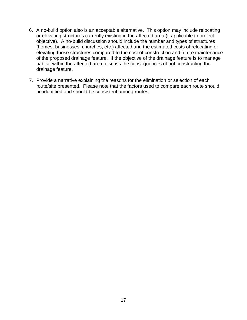- 6. A no-build option also is an acceptable alternative. This option may include relocating or elevating structures currently existing in the affected area (if applicable to project objective). A no-build discussion should include the number and types of structures (homes, businesses, churches, etc.) affected and the estimated costs of relocating or elevating those structures compared to the cost of construction and future maintenance of the proposed drainage feature. If the objective of the drainage feature is to manage habitat within the affected area, discuss the consequences of not constructing the drainage feature.
- 7. Provide a narrative explaining the reasons for the elimination or selection of each route/site presented. Please note that the factors used to compare each route should be identified and should be consistent among routes.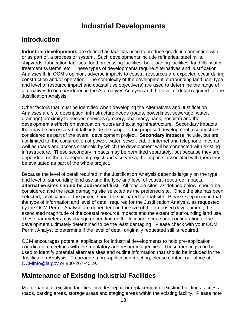# **Industrial Developments**

# <span id="page-20-0"></span>**Introduction**

**Industrial developments** are defined as facilities used to produce goods in connection with, or as part of, a process or system. Such developments include refineries, steel mills, shipyards, fabrication facilities, food processing facilities, bulk loading facilities, landfills, water treatment systems, etc. These types of developments require Alternatives and Justification Analyses if, in OCM's opinion, adverse impacts to coastal resources are expected occur during construction and/or operation. The complexity of the development, surrounding land use, type and level of resource impact and coastal use objective(s) are used to determine the range of alternatives to be considered in the Alternatives Analysis and the level of detail required for the Justification Analysis.

Other factors that must be identified when developing the Alternatives and Justification Analyses are site description, infrastructure needs (roads, powerlines, sewerage, water, drainage) proximity to needed services (grocery, pharmacy, bank, hospital) and the development's effects on evacuation routes and existing infrastructure. Secondary impacts that may be necessary but fall outside the scope of the proposed development also must be considered as part of the overall development project. **Secondary impacts** include, but are not limited to, the construction of power, water, sewer, cable, internet and telephone lines as well as roads and access channels by which the development will be connected with existing infrastructure. These secondary impacts may be permitted separately, but because they are dependent on the development project and vice versa, the impacts associated with them must be evaluated as part of the whole project.

Because the level of detail required in the Justification Analysis depends largely on the type and level of surrounding land use and the type and level of coastal resource impacts, **alternative sites should be addressed first**. All feasible sites, as defined below, should be considered and the least damaging site selected as the preferred site. Once the site has been selected, justification of the project should be prepared for that site. Please keep in mind that the type of information and level of detail required for the Justification Analysis, as requested by the OCM Permit Analyst, are dependent on the size of the proposed development, the associated magnitude of the coastal resource impacts and the extent of surrounding land use. These parameters may change depending on the location, scope and configuration of the development ultimately determined to be the least damaging. Please check with your OCM Permit Analyst to determine if the level of detail originally requested still is required.

OCM encourages potential applicants for industrial developments to hold pre-application coordination meetings with the regulatory and resource agencies. These meetings can be used to identify potential alternate sites and outline information that should be included in the Justification Analysis. To arrange a pre-application meeting, please contact our office at [OCMinfo@la.gov](mailto:OCMinfo@la.gov) or 800-267-4019.

# **Maintenance of Existing Industrial Facilities**

Maintenance of existing facilities includes repair or replacement of existing buildings, access roads, parking areas, storage areas and staging areas within the existing facility. Please note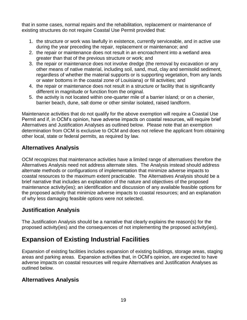that in some cases, normal repairs and the rehabilitation, replacement or maintenance of existing structures do not require Coastal Use Permit provided that:

- 1. the structure or work was lawfully in existence, currently serviceable, and in active use during the year preceding the repair, replacement or maintenance; and
- 2. the repair or maintenance does not result in an encroachment into a wetland area greater than that of the previous structure or work; and
- 3. the repair or maintenance does not involve dredge (the removal by excavation or any other means of native material, including soil, sand, mud, clay and semisolid sediment, regardless of whether the material supports or is supporting vegetation, from any lands or water bottoms in the coastal zone of Louisiana) or fill activities; and
- 4. the repair or maintenance does not result in a structure or facility that is significantly different in magnitude or function from the original.
- 5. the activity is not located within one-quarter mile of a barrier island; or on a chenier, barrier beach, dune, salt dome or other similar isolated, raised landform.

Maintenance activities that do not qualify for the above exemption will require a Coastal Use Permit and if, in OCM's opinion, have adverse impacts on coastal resources, will require brief Alternatives and Justification Analyses as outlined below. Please note that an exemption determination from OCM is exclusive to OCM and does not relieve the applicant from obtaining other local, state or federal permits, as required by law.

## **Alternatives Analysis**

OCM recognizes that maintenance activities have a limited range of alternatives therefore the Alternatives Analysis need not address alternate sites. The Analysis instead should address alternate methods or configurations of implementation that minimize adverse impacts to coastal resources to the maximum extent practicable. The Alternatives Analysis should be a brief narrative that includes an explanation of the nature and objectives of the proposed maintenance activity(ies); an identification and discussion of any available feasible options for the proposed activity that minimize adverse impacts to coastal resources; and an explanation of why less damaging feasible options were not selected.

## **Justification Analysis**

The Justification Analysis should be a narrative that clearly explains the reason(s) for the proposed activity(ies) and the consequences of not implementing the proposed activity(ies).

# **Expansion of Existing Industrial Facilities**

Expansion of existing facilities includes expansion of existing buildings, storage areas, staging areas and parking areas. Expansion activities that, in OCM's opinion, are expected to have adverse impacts on coastal resources will require Alternatives and Justification Analyses as outlined below.

## **Alternatives Analysis**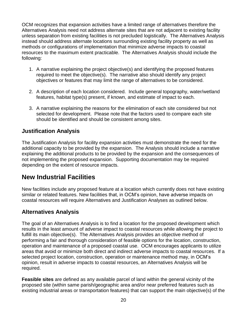OCM recognizes that expansion activities have a limited range of alternatives therefore the Alternatives Analysis need not address alternate sites that are not adjacent to existing facility unless separation from existing facilities is not precluded logistically. The Alternatives Analysis instead should address alternate locations surrounding existing facility property as well as methods or configurations of implementation that minimize adverse impacts to coastal resources to the maximum extent practicable. The Alternatives Analysis should include the following:

- 1. A narrative explaining the project objective(s) and identifying the proposed features required to meet the objective(s). The narrative also should identify any project objectives or features that may limit the range of alternatives to be considered.
- 2. A description of each location considered. Include general topography, water/wetland features, habitat type(s) present, if known, and estimate of impact to each.
- 3. A narrative explaining the reasons for the elimination of each site considered but not selected for development. Please note that the factors used to compare each site should be identified and should be consistent among sites.

## **Justification Analysis**

The Justification Analysis for facility expansion activities must demonstrate the need for the additional capacity to be provided by the expansion. The Analysis should include a narrative explaining the additional products to be provided by the expansion and the consequences of not implementing the proposed expansion. Supporting documentation may be required depending on the extent of resource impacts.

# **New Industrial Facilities**

New facilities include any proposed feature at a location which currently does not have existing similar or related features. New facilities that, in OCM's opinion, have adverse impacts on coastal resources will require Alternatives and Justification Analyses as outlined below.

## **Alternatives Analysis**

The goal of an Alternatives Analysis is to find a location for the proposed development which results in the least amount of adverse impact to coastal resources while allowing the project to fulfill its main objective(s). The Alternatives Analysis provides an objective method of performing a fair and thorough consideration of feasible options for the location, construction, operation and maintenance of a proposed coastal use. OCM encourages applicants to utilize areas that avoid or minimize both direct and indirect adverse impacts to coastal resources. If a selected project location, construction, operation or maintenance method may, in OCM's opinion, result in adverse impacts to coastal resources, an Alternatives Analysis will be required.

**Feasible sites** are defined as any available parcel of land within the general vicinity of the proposed site (within same parish/geographic area and/or near preferred features such as existing industrial areas or transportation features) that can support the main objective(s) of the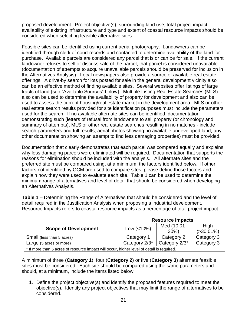proposed development. Project objective(s), surrounding land use, total project impact, availability of existing infrastructure and type and extent of coastal resource impacts should be considered when selecting feasible alternative sites.

Feasible sites can be identified using current aerial photography. Landowners can be identified through clerk of court records and contacted to determine availability of the land for purchase. Available parcels are considered any parcel that is or can be for sale. If the current landowner refuses to sell or discuss sale of the parcel, that parcel is considered unavailable (documentation of attempts to acquire unavailable parcels should be preserved for inclusion in the Alternatives Analysis). Local newspapers also provide a source of available real estate offerings. A drive-by search for lots posted for sale in the general development vicinity also can be an effective method of finding available sites. Several websites offer listings of large tracts of land (see "Available Sources" below). Multiple Listing Real Estate Searches (MLS) also can be used to determine the availability of property for development and also can be used to assess the current housing/real estate market in the development area. MLS or other real estate search results provided for site identification purposes must include the parameters used for the search. If no available alternate sites can be identified, documentation demonstrating such (letters of refusal from landowners to sell property (or chronology and summary of attempts), MLS or other real estate searches resulting in no matches - include search parameters and full results; aerial photos showing no available undeveloped land, any other documentation showing an attempt to find less damaging properties) must be provided.

Documentation that clearly demonstrates that each parcel was compared equally and explains why less damaging parcels were eliminated will be required. Documentation that supports the reasons for elimination should be included with the analysis. All alternate sites and the preferred site must be compared using, at a minimum, the factors identified below. If other factors not identified by OCM are used to compare sites, please define those factors and explain how they were used to evaluate each site. Table 1 can be used to determine the minimum range of alternatives and level of detail that should be considered when developing an Alternatives Analysis.

**Table 1** – Determining the Range of Alternatives that should be considered and the level of detail required in the Justification Analysis when proposing a industrial development. Resource Impacts refers to coastal resource impacts as a percentage of total project impact.

|                                                                                           | <b>Resource Impacts</b> |             |                |  |  |
|-------------------------------------------------------------------------------------------|-------------------------|-------------|----------------|--|--|
| <b>Scope of Development</b>                                                               | Low $(<10\%)$           | Med (10.01- | High           |  |  |
|                                                                                           |                         | $30\%$      | $( > 30.01\%)$ |  |  |
| Small (less than 5 acres)                                                                 | Category 1              | Category 2  | Category 3     |  |  |
| Category 2/3*<br>Category 2/3*<br>Category 3<br>Large (5 acres or more)                   |                         |             |                |  |  |
| * If more than 5 acres of resource impact will occur, higher level of detail is required. |                         |             |                |  |  |

A minimum of three (**Category 1**), four (**Category 2**) or five (**Category 3**) alternate feasible sites must be considered. Each site should be compared using the same parameters and should, at a minimum, include the items listed below.

1. Define the project objective(s) and identify the proposed features required to meet the objective(s). Identify any project objectives that may limit the range of alternatives to be considered.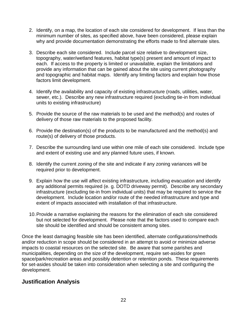- 2. Identify, on a map, the location of each site considered for development. If less than the minimum number of sites, as specified above, have been considered, please explain why and provide documentation demonstrating the efforts made to find alternate sites.
- 3. Describe each site considered. Include parcel size relative to development size, topography, water/wetland features, habitat type(s) present and amount of impact to each. If access to the property is limited or unavailable, explain the limitations and provide any information that can be gained about the site using current photography and topographic and habitat maps. Identify any limiting factors and explain how those factors limit development.
- 4. Identify the availability and capacity of existing infrastructure (roads, utilities, water, sewer, etc.). Describe any new infrastructure required (excluding tie-in from individual units to existing infrastructure)
- 5. Provide the source of the raw materials to be used and the method(s) and routes of delivery of those raw materials to the proposed facility.
- 6. Provide the destination(s) of the products to be manufactured and the method(s) and route(s) of delivery of those products.
- 7. Describe the surrounding land use within one mile of each site considered. Include type and extent of existing use and any planned future uses, if known.
- 8. Identify the current zoning of the site and indicate if any zoning variances will be required prior to development.
- 9. Explain how the use will affect existing infrastructure, including evacuation and identify any additional permits required (e. g. DOTD driveway permit). Describe any secondary infrastructure (excluding tie-in from individual units) that may be required to service the development. Include location and/or route of the needed infrastructure and type and extent of impacts associated with installation of that infrastructure.
- 10.Provide a narrative explaining the reasons for the elimination of each site considered but not selected for development. Please note that the factors used to compare each site should be identified and should be consistent among sites.

Once the least damaging feasible site has been identified, alternate configurations/methods and/or reduction in scope should be considered in an attempt to avoid or minimize adverse impacts to coastal resources on the selected site. Be aware that some parishes and municipalities, depending on the size of the development, require set-asides for green space/park/recreation areas and possibly detention or retention ponds. These requirements for set-asides should be taken into consideration when selecting a site and configuring the development.

## **Justification Analysis**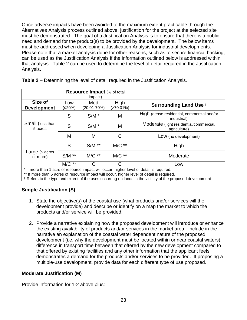Once adverse impacts have been avoided to the maximum extent practicable through the Alternatives Analysis process outlined above, justification for the project at the selected site must be demonstrated. The goal of a Justification Analysis is to ensure that there is a public need and demand for the product(s) to be provided by the development. The below items must be addressed when developing a Justification Analysis for industrial developments. Please note that a market analysis done for other reasons, such as to secure financial backing, can be used as the Justification Analysis if the information outlined below is addressed within that analysis. Table 2 can be used to determine the level of detail required in the Justification Analysis.

|                               | <b>Resource Impact</b> (% of total<br>impact) |                        |                      |                                                                                          |
|-------------------------------|-----------------------------------------------|------------------------|----------------------|------------------------------------------------------------------------------------------|
| Size of<br><b>Development</b> | Low<br>(≤20%)                                 | Med<br>$(20.01 - 70%)$ | High<br>$(>70.01\%)$ | <b>Surrounding Land Use +</b>                                                            |
|                               | S                                             | $S/M$ *                | M                    | High (dense residential, commercial and/or<br>industrial)                                |
| Small (less than<br>5 acres   | S                                             | $S/M$ *                | M                    | Moderate (light residential/commercial,<br>agriculture)                                  |
|                               | M                                             | M                      | C                    | Low (no development)                                                                     |
|                               | S                                             | $S/M$ **               | $MC**$               | High                                                                                     |
| Large (5 acres<br>or more)    | $S/M$ **                                      | $MC$ **                | $MC**$               | Moderate                                                                                 |
|                               | M/C **                                        | C                      | C                    | Low                                                                                      |
|                               |                                               |                        |                      | * If more than 1 acre of resource impact will occur, higher level of detail is required. |

**Table 2** – Determining the level of detail required in the Justification Analysis.

\*\* If more than 5 acres of resource impact will occur, higher level of detail is required.

† Refers to the type and extent of the uses occurring on lands in the vicinity of the proposed development

#### **Simple Justification (S)**

- 1. State the objective(s) of the coastal use (what products and/or services will the development provide) and describe or identify on a map the market to which the products and/or service will be provided.
- 2. Provide a narrative explaining how the proposed development will introduce or enhance the existing availability of products and/or services in the market area. Include in the narrative an explanation of the coastal water dependent nature of the proposed development (i.e. why the development must be located within or near coastal waters), difference in transport time between that offered by the new development compared to that offered by existing facilities and any other information that the applicant feels demonstrates a demand for the products and/or services to be provided. If proposing a multiple-use development, provide data for each different type of use proposed.

#### **Moderate Justification (M)**

Provide information for 1-2 above plus: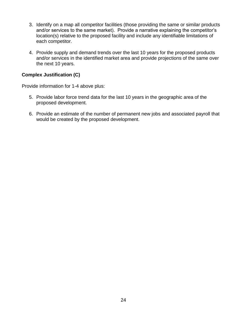- 3. Identify on a map all competitor facilities (those providing the same or similar products and/or services to the same market). Provide a narrative explaining the competitor's location(s) relative to the proposed facility and include any identifiable limitations of each competitor.
- 4. Provide supply and demand trends over the last 10 years for the proposed products and/or services in the identified market area and provide projections of the same over the next 10 years.

#### **Complex Justification (C)**

Provide information for 1-4 above plus:

- 5. Provide labor force trend data for the last 10 years in the geographic area of the proposed development.
- 6. Provide an estimate of the number of permanent new jobs and associated payroll that would be created by the proposed development.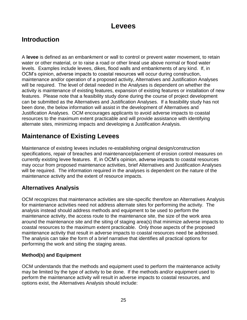# **Levees**

# <span id="page-27-0"></span>**Introduction**

A **levee** is defined as an embankment or wall to control or prevent water movement, to retain water or other material, or to raise a road or other lineal use above normal or flood water levels. Examples include levees, dikes, flood walls and embankments of any kind. If, in OCM's opinion, adverse impacts to coastal resources will occur during construction, maintenance and/or operation of a proposed activity, Alternatives and Justification Analyses will be required. The level of detail needed in the Analyses is dependent on whether the activity is maintenance of existing features, expansion of existing features or installation of new features. Please note that a feasibility study done during the course of project development can be submitted as the Alternatives and Justification Analyses. If a feasibility study has not been done, the below information will assist in the development of Alternatives and Justification Analyses. OCM encourages applicants to avoid adverse impacts to coastal resources to the maximum extent practicable and will provide assistance with identifying alternate sites, minimizing impacts and developing a Justification Analysis.

# **Maintenance of Existing Levees**

Maintenance of existing levees includes re-establishing original design/construction specifications, repair of breaches and maintenance/placement of erosion control measures on currently existing levee features. If, in OCM's opinion, adverse impacts to coastal resources may occur from proposed maintenance activities, brief Alternatives and Justification Analyses will be required. The information required in the analyses is dependent on the nature of the maintenance activity and the extent of resource impacts.

## **Alternatives Analysis**

OCM recognizes that maintenance activities are site-specific therefore an Alternatives Analysis for maintenance activities need not address alternate sites for performing the activity. The analysis instead should address methods and equipment to be used to perform the maintenance activity, the access route to the maintenance site, the size of the work area around the maintenance site and the siting of staging area(s) that minimize adverse impacts to coastal resources to the maximum extent practicable. Only those aspects of the proposed maintenance activity that result in adverse impacts to coastal resources need be addressed. The analysis can take the form of a brief narrative that identifies all practical options for performing the work and siting the staging areas.

#### **Method(s) and Equipment**

OCM understands that the methods and equipment used to perform the maintenance activity may be limited by the type of activity to be done. If the methods and/or equipment used to perform the maintenance activity will result in adverse impacts to coastal resources, and options exist, the Alternatives Analysis should include: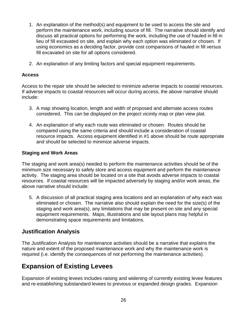- 1. An explanation of the method(s) and equipment to be used to access the site and perform the maintenance work, including source of fill. The narrative should identify and discuss all practical options for performing the work, including the use of hauled in fill in lieu of fill excavated on site, and explain why each option was eliminated or chosen. If using economics as a deciding factor, provide cost comparisons of hauled in fill versus fill excavated on site for all options considered.
- 2. An explanation of any limiting factors and special equipment requirements.

#### **Access**

Access to the repair site should be selected to minimize adverse impacts to coastal resources. If adverse impacts to coastal resources will occur during access, the above narrative should include:

- 3. A map showing location, length and width of proposed and alternate access routes considered. This can be displayed on the project vicinity map or plan view plat.
- 4. An explanation of why each route was eliminated or chosen. Routes should be compared using the same criteria and should include a consideration of coastal resource impacts. Access equipment identified in #1 above should be route appropriate and should be selected to minimize adverse impacts.

#### **Staging and Work Areas**

The staging and work area(s) needed to perform the maintenance activities should be of the minimum size necessary to safely store and access equipment and perform the maintenance activity. The staging area should be located on a site that avoids adverse impacts to coastal resources. If coastal resources will be impacted adversely by staging and/or work areas, the above narrative should include:

5. A discussion of all practical staging area locations and an explanation of why each was eliminated or chosen. The narrative also should explain the need for the size(s) of the staging and work area(s), any limitations that may be present on site and any special equipment requirements. Maps, illustrations and site layout plans may helpful in demonstrating space requirements and limitations.

#### **Justification Analysis**

The Justification Analysis for maintenance activities should be a narrative that explains the nature and extent of the proposed maintenance work and why the maintenance work is required (i.e. identify the consequences of not performing the maintenance activities).

# **Expansion of Existing Levees**

Expansion of existing levees includes raising and widening of currently existing levee features and re-establishing substandard levees to previous or expanded design grades. Expansion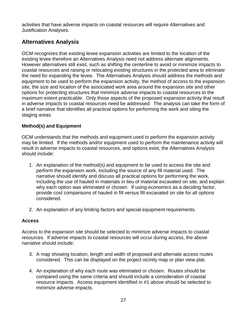activities that have adverse impacts on coastal resources will require Alternatives and Justification Analyses.

## **Alternatives Analysis**

OCM recognizes that existing levee expansion activities are limited to the location of the existing levee therefore an Alternatives Analysis need not address alternate alignments. However alternatives still exist, such as shifting the centerline to avoid or minimize impacts to coastal resources and raising or relocating existing structures in the protected area to eliminate the need for expanding the levee. The Alternatives Analysis should address the methods and equipment to be used to perform the expansion activity, the method of access to the expansion site, the size and location of the associated work area around the expansion site and other options for protecting structures that minimize adverse impacts to coastal resources to the maximum extent practicable. Only those aspects of the proposed expansion activity that result in adverse impacts to coastal resources need be addressed. The analysis can take the form of a brief narrative that identifies all practical options for performing the work and siting the staging areas.

#### **Method(s) and Equipment**

OCM understands that the methods and equipment used to perform the expansion activity may be limited. If the methods and/or equipment used to perform the maintenance activity will result in adverse impacts to coastal resources, and options exist, the Alternatives Analysis should include:

- 1. An explanation of the method(s) and equipment to be used to access the site and perform the expansion work, including the source of any fill material used. The narrative should identify and discuss all practical options for performing the work, including the use of hauled in materials in lieu of material excavated on site, and explain why each option was eliminated or chosen. If using economics as a deciding factor, provide cost comparisons of hauled in fill versus fill excavated on site for all options considered.
- 2. An explanation of any limiting factors and special equipment requirements.

#### **Access**

Access to the expansion site should be selected to minimize adverse impacts to coastal resources. If adverse impacts to coastal resources will occur during access, the above narrative should include:

- 3. A map showing location, length and width of proposed and alternate access routes considered. This can be displayed on the project vicinity map or plan view plat.
- 4. An explanation of why each route was eliminated or chosen. Routes should be compared using the same criteria and should include a consideration of coastal resource impacts. Access equipment identified in #1 above should be selected to minimize adverse impacts.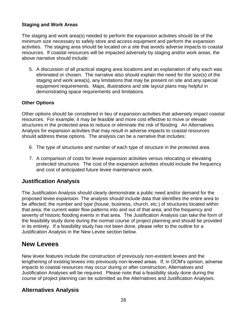#### **Staging and Work Areas**

The staging and work area(s) needed to perform the expansion activities should be of the minimum size necessary to safely store and access equipment and perform the expansion activities. The staging area should be located on a site that avoids adverse impacts to coastal resources. If coastal resources will be impacted adversely by staging and/or work areas, the above narrative should include:

5. A discussion of all practical staging area locations and an explanation of why each was eliminated or chosen. The narrative also should explain the need for the size(s) of the staging and work area(s), any limitations that may be present on site and any special equipment requirements. Maps, illustrations and site layout plans may helpful in demonstrating space requirements and limitations.

#### **Other Options**

Other options should be considered in lieu of expansion activities that adversely impact coastal resources. For example, it may be feasible and more cost effective to move or elevate structures in the protected area to reduce or eliminate the risk of flooding. An Alternatives Analysis for expansion activities that may result in adverse impacts to coastal resources should address these options. The analysis can be a narrative that includes:

- 6. The type of structures and number of each type of structure in the protected area.
- 7. A comparison of costs for levee expansion activities versus relocating or elevating protected structures. The cost of the expansion activities should include the frequency and cost of anticipated future levee maintenance work.

#### **Justification Analysis**

The Justification Analysis should clearly demonstrate a public need and/or demand for the proposed levee expansion. The analysis should include data that identifies the entire area to be affected; the number and type (house, business, church, etc.) of structures located within that area; the current water flow patterns into and out of that area; and the frequency and severity of historic flooding events in that area. The Justification Analysis can take the form of the feasibility study done during the normal course of project planning and should be provided in its entirety. If a feasibility study has not been done, please refer to the outline for a Justification Analysis in the New Levee section below.

## **New Levees**

New levee features include the construction of previously non-existent levees and the lengthening of existing levees into previously non-leveed areas. If, in OCM's opinion, adverse impacts to coastal resources may occur during or after construction, Alternatives and Justification Analyses will be required. Please note that a feasibility study done during the course of project planning can be submitted as the Alternatives and Justification Analyses.

#### **Alternatives Analysis**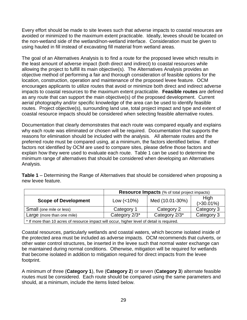Every effort should be made to site levees such that adverse impacts to coastal resources are avoided or minimized to the maximum extent practicable. Ideally, levees should be located on the non-wetland side of the wetland/non-wetland interface. Consideration must be given to using hauled in fill instead of excavating fill material from wetland areas.

The goal of an Alternatives Analysis is to find a route for the proposed levee which results in the least amount of adverse impact (both direct and indirect) to coastal resources while allowing the project to fulfill its main objective(s). The Alternatives Analysis provides an objective method of performing a fair and thorough consideration of feasible options for the location, construction, operation and maintenance of the proposed levee feature. OCM encourages applicants to utilize routes that avoid or minimize both direct and indirect adverse impacts to coastal resources to the maximum extent practicable. **Feasible routes** are defined as any route that can support the main objective(s) of the proposed development. Current aerial photography and/or specific knowledge of the area can be used to identify feasible routes. Project objective(s), surrounding land use, total project impact and type and extent of coastal resource impacts should be considered when selecting feasible alternative routes.

Documentation that clearly demonstrates that each route was compared equally and explains why each route was eliminated or chosen will be required. Documentation that supports the reasons for elimination should be included with the analysis. All alternate routes and the preferred route must be compared using, at a minimum, the factors identified below. If other factors not identified by OCM are used to compare sites, please define those factors and explain how they were used to evaluate each route. Table 1 can be used to determine the minimum range of alternatives that should be considered when developing an Alternatives Analysis.

**Table 1** – Determining the Range of Alternatives that should be considered when proposing a new levee feature.

|                                                                                            | <b>Resource Impacts</b> (% of total project impacts) |                 |                       |  |  |
|--------------------------------------------------------------------------------------------|------------------------------------------------------|-----------------|-----------------------|--|--|
| <b>Scope of Development</b>                                                                | Low $(< 10\%)$                                       | Med (10.01-30%) | High<br>$( >30.01\%)$ |  |  |
| Small (one mile or less)                                                                   | Category 1                                           | Category 2      | Category 3            |  |  |
| Category 2/3*<br>Category 3<br>Category 2/3*<br>Large (more than one mile)                 |                                                      |                 |                       |  |  |
| * If more than 10 acres of resource impact will occur, higher level of detail is required. |                                                      |                 |                       |  |  |

Coastal resources, particularly wetlands and coastal waters, which become isolated inside of the protected area must be included as adverse impacts. OCM recommends that culverts, or other water control structures, be inserted in the levee such that normal water exchange can be maintained during normal conditions. Otherwise, mitigation will be required for wetlands that become isolated in addition to mitigation required for direct impacts from the levee footprint.

A minimum of three (**Category 1**), five (**Category 2**) or seven (**Category 3**) alternate feasible routes must be considered. Each route should be compared using the same parameters and should, at a minimum, include the items listed below.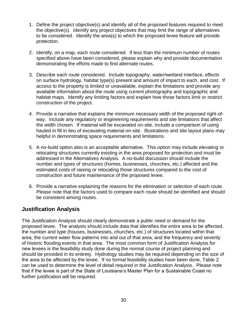- <span id="page-32-0"></span>1. Define the project objective(s) and identify all of the proposed features required to meet the objective(s). Identify any project objectives that may limit the range of alternatives to be considered. Identify the area(s) to which the proposed levee feature will provide protection.
- 2. Identify, on a map, each route considered. If less than the minimum number of routes specified above have been considered, please explain why and provide documentation demonstrating the efforts made to find alternate routes.
- 3. Describe each route considered. Include topography, water/wetland interface, effects on surface hydrology, habitat type(s) present and amount of impact to each, and cost. If access to the property is limited or unavailable, explain the limitations and provide any available information about the route using current photography and topographic and habitat maps. Identify any limiting factors and explain how those factors limit or restrict construction of the project.
- 4. Provide a narrative that explains the minimum necessary width of the proposed right-ofway. Include any regulatory or engineering requirements and site limitations that affect the width chosen. If material will be excavated on-site, include a comparison of using hauled in fill in lieu of excavating material on-site. Illustrations and site layout plans may helpful in demonstrating space requirements and limitations.
- 5. A no-build option also is an acceptable alternative. This option may include elevating or relocating structures currently existing in the area proposed for protection and must be addressed in the Alternatives Analysis. A no-build discussion should include the number and types of structures (homes, businesses, churches, etc.) affected and the estimated costs of raising or relocating those structures compared to the cost of construction and future maintenance of the proposed levee.
- 6. Provide a narrative explaining the reasons for the elimination or selection of each route. Please note that the factors used to compare each route should be identified and should be consistent among routes.

## **Justification Analysis**

The Justification Analysis should clearly demonstrate a public need or demand for the proposed levee. The analysis should include data that identifies the entire area to be affected, the number and type (houses, businesses, churches, etc.) of structures located within that area; the current water flow patterns into and out of that area; and the frequency and severity of historic flooding events in that area. The most common form of Justification Analysis for new levees is the feasibility study done during the normal course of project planning and should be provided in its entirety. Hydrology studies may be required depending on the size of the area to be affected by the levee. If no formal feasibility studies have been done, Table 2 can be used to determine the level of detail required in the Justification Analysis. Please note that if the levee is part of the State of Louisiana's Master Plan for a Sustainable Coast no further justification will be required.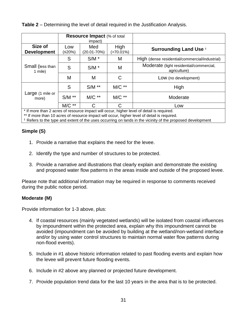**Table 2** – Determining the level of detail required in the Justification Analysis.

|                               | <b>Resource Impact (% of total</b><br>impact) |                        |                      |                                                         |
|-------------------------------|-----------------------------------------------|------------------------|----------------------|---------------------------------------------------------|
| Size of<br><b>Development</b> | Low<br>(≤20%)                                 | Med<br>$(20.01 - 70%)$ | High<br>$(>70.01\%)$ | <b>Surrounding Land Use +</b>                           |
|                               | S                                             | $S/M$ *                | M                    | High (dense residential/commercial/industrial)          |
| Small (less than<br>1 mile)   | S                                             | $S/M$ *                | M                    | Moderate (light residential/commercial,<br>agriculture) |
|                               | M                                             | M                      | C                    | Low (no development)                                    |
|                               | S                                             | $S/M$ **               | $MC**$               | High                                                    |
| Large (1 mile or<br>more)     | $S/M$ **                                      | $MC**$                 | $MC**$               | Moderate                                                |
|                               | $MC**$                                        | C                      | С                    | Low                                                     |

\* If more than 2 acres of resource impact will occur, higher level of detail is required.

\*\* If more than 10 acres of resource impact will occur, higher level of detail is required.

† Refers to the type and extent of the uses occurring on lands in the vicinity of the proposed development

#### **Simple (S)**

- 1. Provide a narrative that explains the need for the levee.
- 2. Identify the type and number of structures to be protected.
- 3. Provide a narrative and illustrations that clearly explain and demonstrate the existing and proposed water flow patterns in the areas inside and outside of the proposed levee.

Please note that additional information may be required in response to comments received during the public notice period.

#### **Moderate (M)**

Provide information for 1-3 above, plus:

- 4. If coastal resources (mainly vegetated wetlands) will be isolated from coastal influences by impoundment within the protected area, explain why this impoundment cannot be avoided (impoundment can be avoided by building at the wetland/non-wetland interface and/or by using water control structures to maintain normal water flow patterns during non-flood events).
- 5. Include in #1 above historic information related to past flooding events and explain how the levee will prevent future flooding events.
- 6. Include in #2 above any planned or projected future development.
- 7. Provide population trend data for the last 10 years in the area that is to be protected.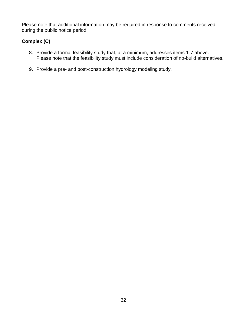Please note that additional information may be required in response to comments received during the public notice period.

#### **Complex (C)**

- 8. Provide a formal feasibility study that, at a minimum, addresses items 1-7 above. Please note that the feasibility study must include consideration of no-build alternatives.
- 9. Provide a pre- and post-construction hydrology modeling study.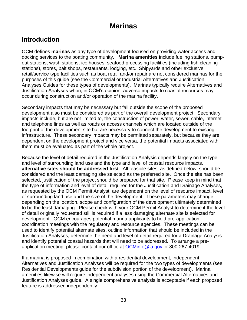# **Marinas**

# **Introduction**

OCM defines **marinas** as any type of development focused on providing water access and docking services to the boating community. **Marina amenities** include fueling stations, pumpout stations, wash stations, ice houses, seafood processing facilities (including fish cleaning stations), stores, bait shops, restaurants, lodging, etc. Shipyards and other exclusive retail/service type facilities such as boat retail and/or repair are not considered marinas for the purposes of this guide (see the Commercial or Industrial Alternatives and Justification Analyses Guides for these types of developments). Marinas typically require Alternatives and Justification Analyses when, in OCM's opinion, adverse impacts to coastal resources may occur during construction and/or operation of the marina facility.

Secondary impacts that may be necessary but fall outside the scope of the proposed development also must be considered as part of the overall development project. Secondary impacts include, but are not limited to, the construction of power, water, sewer, cable, internet and telephone lines as well as roads or access channels which are located outside of the footprint of the development site but are necessary to connect the development to existing infrastructure. These secondary impacts may be permitted separately, but because they are dependent on the development project and vice versa, the potential impacts associated with them must be evaluated as part of the whole project.

Because the level of detail required in the Justification Analysis depends largely on the type and level of surrounding land use and the type and level of coastal resource impacts, **alternative sites should be addressed first**. All feasible sites, as defined below, should be considered and the least damaging site selected as the preferred site. Once the site has been selected, justification of the project should be prepared for that site. Please keep in mind that the type of information and level of detail required for the Justification and Drainage Analyses, as requested by the OCM Permit Analyst, are dependent on the level of resource impact, level of surrounding land use and the size of the development. These parameters may change depending on the location, scope and configuration of the development ultimately determined to be the least damaging. Please check with your OCM Permit Analyst to determine if the level of detail originally requested still is required if a less damaging alternate site is selected for development. OCM encourages potential marina applicants to hold pre-application coordination meetings with the regulatory and resource agencies. These meetings can be used to identify potential alternate sites, outline information that should be included in the Justification Analyses, determine the need and level of detail required for a Drainage Analysis and identify potential coastal hazards that will need to be addressed. To arrange a preapplication meeting, please contact our office at [OCMinfo@la.gov](mailto:OCMinfo@la.gov) or 800-267-4019.

If a marina is proposed in combination with a residential development, independent Alternatives and Justification Analyses will be required for the two types of developments (see Residential Developments guide for the subdivision portion of the development). Marina amenities likewise will require independent analyses using the Commercial Alternatives and Justification Analyses guide. A single comprehensive analysis is acceptable if each proposed feature is addressed independently.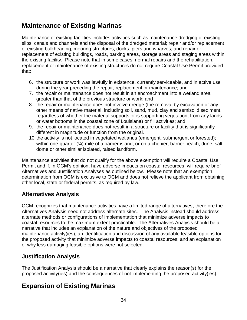# **Maintenance of Existing Marinas**

Maintenance of existing facilities includes activities such as maintenance dredging of existing slips, canals and channels and the disposal of the dredged material; repair and/or replacement of existing bulkheading, mooring structures, docks, piers and wharves; and repair or replacement of existing buildings, roads, parking areas, storage areas and staging areas within the existing facility. Please note that in some cases, normal repairs and the rehabilitation, replacement or maintenance of existing structures do not require Coastal Use Permit provided that:

- 6. the structure or work was lawfully in existence, currently serviceable, and in active use during the year preceding the repair, replacement or maintenance; and
- 7. the repair or maintenance does not result in an encroachment into a wetland area greater than that of the previous structure or work; and
- 8. the repair or maintenance does not involve dredge (the removal by excavation or any other means of native material, including soil, sand, mud, clay and semisolid sediment, regardless of whether the material supports or is supporting vegetation, from any lands or water bottoms in the coastal zone of Louisiana) or fill activities; and
- 9. the repair or maintenance does not result in a structure or facility that is significantly different in magnitude or function from the original.
- 10.the activity is not located in vegetated wetlands (emergent, submergent or forested); within one-quarter (¼) mile of a barrier island; or on a chenier, barrier beach, dune, salt dome or other similar isolated, raised landform.

Maintenance activities that do not qualify for the above exemption will require a Coastal Use Permit and if, in OCM's opinion, have adverse impacts on coastal resources, will require brief Alternatives and Justification Analyses as outlined below. Please note that an exemption determination from OCM is exclusive to OCM and does not relieve the applicant from obtaining other local, state or federal permits, as required by law.

### **Alternatives Analysis**

OCM recognizes that maintenance activities have a limited range of alternatives, therefore the Alternatives Analysis need not address alternate sites. The Analysis instead should address alternate methods or configurations of implementation that minimize adverse impacts to coastal resources to the maximum extent practicable. The Alternatives Analysis should be a narrative that includes an explanation of the nature and objectives of the proposed maintenance activity(ies); an identification and discussion of any available feasible options for the proposed activity that minimize adverse impacts to coastal resources; and an explanation of why less damaging feasible options were not selected.

### **Justification Analysis**

The Justification Analysis should be a narrative that clearly explains the reason(s) for the proposed activity(ies) and the consequences of not implementing the proposed activity(ies).

# **Expansion of Existing Marinas**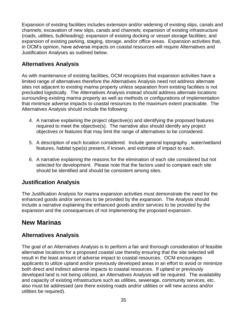Expansion of existing facilities includes extension and/or widening of existing slips, canals and channels; excavation of new slips, canals and channels; expansion of existing infrastructure (roads, utilities, bulkheading); expansion of existing docking or vessel storage facilities; and expansion of existing parking, staging, storage, and/or office areas. Expansion activities that, in OCM's opinion, have adverse impacts on coastal resources will require Alternatives and Justification Analyses as outlined below.

## **Alternatives Analysis**

As with maintenance of existing facilities, OCM recognizes that expansion activities have a limited range of alternatives therefore the Alternatives Analysis need not address alternate sites not adjacent to existing marina property unless separation from existing facilities is not precluded logistically. The Alternatives Analysis instead should address alternate locations surrounding existing marina property as well as methods or configurations of implementation that minimize adverse impacts to coastal resources to the maximum extent practicable. The Alternatives Analysis should include the following:

- 4. A narrative explaining the project objective(s) and identifying the proposed features required to meet the objective(s). The narrative also should identify any project objectives or features that may limit the range of alternatives to be considered.
- 5. A description of each location considered. Include general topography , water/wetland features, habitat type(s) present, if known, and estimate of impact to each.
- 6. A narrative explaining the reasons for the elimination of each site considered but not selected for development. Please note that the factors used to compare each site should be identified and should be consistent among sites.

### **Justification Analysis**

The Justification Analysis for marina expansion activities must demonstrate the need for the enhanced goods and/or services to be provided by the expansion. The Analysis should include a narrative explaining the enhanced goods and/or services to be provided by the expansion and the consequences of not implementing the proposed expansion.

## **New Marinas**

### **Alternatives Analysis**

The goal of an Alternatives Analysis is to perform a fair and thorough consideration of feasible alternative locations for a proposed coastal use thereby ensuring that the site selected will result in the least amount of adverse impact to coastal resources. OCM encourages applicants to utilize upland and/or previously developed areas in an effort to avoid or minimize both direct and indirect adverse impacts to coastal resources. If upland or previously developed land is not being utilized, an Alternatives Analysis will be required. The availability and capacity of existing infrastructure such as utilities, sewerage, community services, etc. also must be addressed (are there existing roads and/or utilities or will new access and/or utilities be required).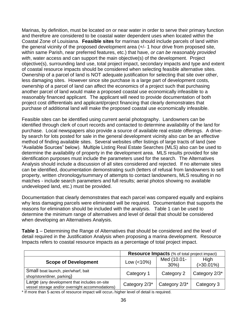Marinas, by definition, must be located on or near water in order to serve their primary function and therefore are considered to be coastal water dependent uses when located within the Coastal Zone of Louisiana. **Feasible sites** for marinas should include parcels of land within the general vicinity of the proposed development area (+/- 1 hour drive from proposed site, within same Parish, near preferred features, etc.) that have, *or can be reasonably provided with*, water access and can support the main objective(s) of the development. Project objective(s), surrounding land use, total project impact, secondary impacts and type and extent of coastal resource impacts should be considered when selecting feasible alternative sites. Ownership of a parcel of land is NOT adequate justification for selecting that site over other, less damaging sites. However since site purchase is a large part of development costs, ownership of a parcel of land can affect the economics of a project such that purchasing another parcel of land would make a proposed coastal use economically infeasible to a reasonably financed applicant. The applicant will need to provide documentation of both project cost differentials and applicant/project financing that clearly demonstrates that purchase of additional land will make the proposed coastal use economically infeasible.

Feasible sites can be identified using current aerial photography. Landowners can be identified through clerk of court records and contacted to determine availability of the land for purchase. Local newspapers also provide a source of available real estate offerings. A driveby search for lots posted for sale in the general development vicinity also can be an effective method of finding available sites. Several websites offer listings of large tracts of land (see "Available Sources" below). Multiple Listing Real Estate Searches (MLS) also can be used to determine the availability of property in the development area. MLS results provided for site identification purposes must include the parameters used for the search. The Alternatives Analysis should include a discussion of all sites considered and rejected. If no alternate sites can be identified, documentation demonstrating such (letters of refusal from landowners to sell property, written chronology/summary of attempts to contact landowners, MLS resulting in no matches - include search parameters and full results; aerial photos showing no available undeveloped land, etc.) must be provided.

Documentation that clearly demonstrates that each parcel was compared equally and explains why less damaging parcels were eliminated will be required. Documentation that supports the reasons for elimination should be included with the analysis. Table 1 can be used to determine the minimum range of alternatives and level of detail that should be considered when developing an Alternatives Analysis.

**Table 1** – Determining the Range of Alternatives that should be considered and the level of detail required in the Justification Analysis when proposing a marina development. Resource Impacts refers to coastal resource impacts as a percentage of total project impact.

|                                                                                                 | <b>Resource Impacts</b> (% of total project impact) |                        |                               |  |
|-------------------------------------------------------------------------------------------------|-----------------------------------------------------|------------------------|-------------------------------|--|
| <b>Scope of Development</b>                                                                     | Low $(<10\%)$                                       | Med (10.01-<br>$30\%)$ | <b>High</b><br>$( > 30.01\%)$ |  |
| Small boat launch, pier/wharf, bait<br>shop/store/diner, parking)                               | Category 1                                          | Category 2             | Category 2/3*                 |  |
| Large (any development that includes on-site<br>vessel storage and/or overnight accommodations) | Category 2/3*                                       | Category 2/3*          | Category 3                    |  |

\* If more than 5 acres of resource impact will occur, higher level of detail is required.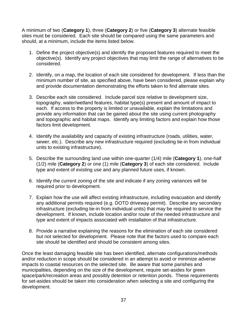A minimum of two (**Category 1**), three (**Category 2**) or five (**Category 3**) alternate feasible sites must be considered. Each site should be compared using the same parameters and should, at a minimum, include the items listed below.

- 1. Define the project objective(s) and identify the proposed features required to meet the objective(s). Identify any project objectives that may limit the range of alternatives to be considered.
- 2. Identify, on a map, the location of each site considered for development. If less than the minimum number of site, as specified above, have been considered, please explain why and provide documentation demonstrating the efforts taken to find alternate sites.
- 3. Describe each site considered. Include parcel size relative to development size, topography, water/wetland features, habitat type(s) present and amount of impact to each. If access to the property is limited or unavailable, explain the limitations and provide any information that can be gained about the site using current photography and topographic and habitat maps. Identify any limiting factors and explain how those factors limit development.
- 4. Identify the availability and capacity of existing infrastructure (roads, utilities, water, sewer, etc.). Describe any new infrastructure required (excluding tie-in from individual units to existing infrastructure).
- 5. Describe the surrounding land use within one-quarter (1/4) mile (**Category 1**), one-half (1/2) mile (**Category 2**) or one (1) mile (**Category 3**) of each site considered. Include type and extent of existing use and any planned future uses, if known.
- 6. Identify the current zoning of the site and indicate if any zoning variances will be required prior to development.
- 7. Explain how the use will affect existing infrastructure, including evacuation and identify any additional permits required (e.g. DOTD driveway permit). Describe any secondary infrastructure (excluding tie-in from individual units) that may be required to service the development. If known, include location and/or route of the needed infrastructure and type and extent of impacts associated with installation of that infrastructure.
- 8. Provide a narrative explaining the reasons for the elimination of each site considered but not selected for development. Please note that the factors used to compare each site should be identified and should be consistent among sites.

Once the least damaging feasible site has been identified, alternate configurations/methods and/or reduction in scope should be considered in an attempt to avoid or minimize adverse impacts to coastal resources on the selected site. Be aware that some parishes and municipalities, depending on the size of the development, require set-asides for green space/park/recreation areas and possibly detention or retention ponds. These requirements for set-asides should be taken into consideration when selecting a site and configuring the development.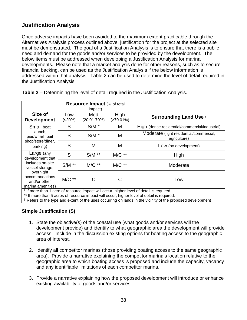## **Justification Analysis**

Once adverse impacts have been avoided to the maximum extent practicable through the Alternatives Analysis process outlined above, justification for the project at the selected site must be demonstrated. The goal of a Justification Analysis is to ensure that there is a public need and demand for the goods and/or services to be provided by the development. The below items must be addressed when developing a Justification Analysis for marina developments. Please note that a market analysis done for other reasons, such as to secure financial backing, can be used as the Justification Analysis if the below information is addressed within that analysis. Table 2 can be used to determine the level of detail required in the Justification Analysis.

|                                                                                                                                           | <b>Resource Impact</b> (% of total<br>impact) |                        |                      |                                                         |
|-------------------------------------------------------------------------------------------------------------------------------------------|-----------------------------------------------|------------------------|----------------------|---------------------------------------------------------|
| Size of<br><b>Development</b>                                                                                                             | Low<br>(≤20%)                                 | Med<br>$(20.01 - 70%)$ | High<br>$(>70.01\%)$ | <b>Surrounding Land Use +</b>                           |
| Small boat<br>launch,<br>pier/wharf, bait<br>shop/store/diner,<br>parking)                                                                | S                                             | $S/M$ *                | M                    | High (dense residential/commercial/industrial)          |
|                                                                                                                                           | S                                             | $S/M$ *                | M                    | Moderate (light residential/commercial,<br>agriculture) |
|                                                                                                                                           | S                                             | М                      | M                    | Low (no development)                                    |
| Large (any<br>development that<br>includes on-site<br>vessel storage,<br>overnight<br>accommodations<br>and/or other<br>marina amenities) | S                                             | $S/M$ **               | $MC**$               | High                                                    |
|                                                                                                                                           | $S/M$ **                                      | $MC**$                 | $MC**$               | Moderate                                                |
|                                                                                                                                           | $MC**$<br>$\epsilon$                          | C                      | C<br>.               | Low<br>.                                                |

**Table 2** – Determining the level of detail required in the Justification Analysis.

\* If more than 1 acre of resource impact will occur, higher level of detail is required.

\*\* If more than 5 acres of resource impact will occur, higher level of detail is required.

† Refers to the type and extent of the uses occurring on lands in the vicinity of the proposed development

#### **Simple Justification (S)**

- 1. State the objective(s) of the coastal use (what goods and/or services will the development provide) and identify to what geographic area the development will provide access. Include in the discussion existing options for boating access to the geographic area of interest.
- 2. Identify all competitor marinas (those providing boating access to the same geographic area). Provide a narrative explaining the competitor marina's location relative to the geographic area to which boating access is proposed and include the capacity, vacancy and any identifiable limitations of each competitor marina.
- 3. Provide a narrative explaining how the proposed development will introduce or enhance existing availability of goods and/or services.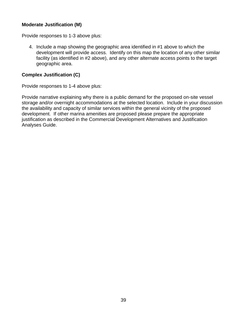#### **Moderate Justification (M)**

Provide responses to 1-3 above plus:

4. Include a map showing the geographic area identified in #1 above to which the development will provide access. Identify on this map the location of any other similar facility (as identified in #2 above), and any other alternate access points to the target geographic area.

#### **Complex Justification (C)**

Provide responses to 1-4 above plus:

Provide narrative explaining why there is a public demand for the proposed on-site vessel storage and/or overnight accommodations at the selected location. Include in your discussion the availability and capacity of similar services within the general vicinity of the proposed development. If other marina amenities are proposed please prepare the appropriate justification as described in the Commercial Development Alternatives and Justification Analyses Guide.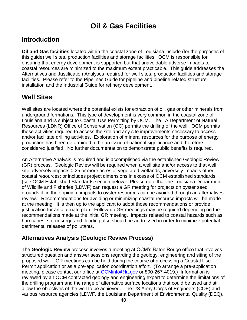# **Oil & Gas Facilities**

# **Introduction**

**Oil and Gas facilities** located within the coastal zone of Louisiana include (for the purposes of this guide) well sites, production facilities and storage facilities. OCM is responsible for ensuring that energy development is supported but that unavoidable adverse impacts to coastal resources are minimized to the maximum extent practicable. This guide addresses the Alternatives and Justification Analyses required for well sites, production facilities and storage facilities. Please refer to the Pipelines Guide for pipeline and pipeline related structure installation and the Industrial Guide for refinery development.

# **Well Sites**

Well sites are located where the potential exists for extraction of oil, gas or other minerals from underground formations. This type of development is very common in the coastal zone of Louisiana and is subject to Coastal Use Permitting by OCM. The LA Department of Natural Resources (LDNR) Office of Conservation (OC) permits the drilling of the well. OCM permits those activities required to access the site and any site improvements necessary to access and/or facilitate drilling activities. Exploration of mineral resources for the purpose of energy production has been determined to be an issue of national significance and therefore considered justified. No further documentation to demonstrate public benefits is required.

An Alternative Analysis is required and is accomplished via the established Geologic Review (GR) process. Geologic Review will be required when a well site and/or access to that well site adversely impacts 0.25 or more acres of vegetated wetlands; adversely impacts other coastal resources; or includes project dimensions in excess of OCM established standards (see OCM Established Standards section below). Please note that the Louisiana Department of Wildlife and Fisheries (LDWF) can request a GR meeting for projects on oyster seed grounds if, in their opinion, impacts to oyster resources can be avoided through an alternatives review. Recommendations for avoiding or minimizing coastal resource impacts will be made at the meeting. It is then up to the applicant to adopt those recommendations or provide justification for an alternate plan. Follow-up GR meetings may be required depending on the recommendations made at the initial GR meeting. Impacts related to coastal hazards such as hurricanes, storm surge and flooding also should be addressed in order to minimize potential detrimental releases of pollutants.

### **Alternatives Analysis (Geologic Review Process)**

The **Geologic Review** process involves a meeting at OCM's Baton Rouge office that involves structured question and answer sessions regarding the geology, engineering and siting of the proposed well. GR meetings can be held during the course of processing a Coastal Use Permit application or as a pre-application coordination effort. (To arrange a pre-application meeting, please contact our office at [OCMinfo@la.gov](mailto:OCMinfo@la.gov) or 800-267-4019.) Information is reviewed by an OCM contracted geology and engineering expert to determine the limitations of the drilling program and the range of alternative surface locations that could be used and still allow the objectives of the well to be achieved. The US Army Corps of Engineers (COE) and various resource agencies (LDWF, the Louisiana Department of Environmental Quality (DEQ),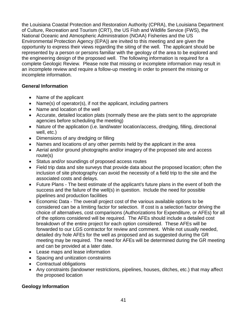the Louisiana Coastal Protection and Restoration Authority (CPRA), the Louisiana Department of Culture, Recreation and Tourism (CRT), the US Fish and Wildlife Service (FWS), the National Oceanic and Atmospheric Administration (NOAA) Fisheries and the US Environmental Protection Agency (EPA)) are invited to this meeting and are given the opportunity to express their views regarding the siting of the well. The applicant should be represented by a person or persons familiar with the geology of the area to be explored and the engineering design of the proposed well. The following information is required for a complete Geologic Review. Please note that missing or incomplete information may result in an incomplete review and require a follow-up meeting in order to present the missing or incomplete information.

#### **General Information**

- Name of the applicant
- Name(s) of operator(s), if not the applicant, including partners
- Name and location of the well
- Accurate, detailed location plats (normally these are the plats sent to the appropriate agencies before scheduling the meeting)
- Nature of the application (i.e. land/water location/access, dredging, filling, directional well, etc.)
- Dimensions of any dredging or filling
- Names and locations of any other permits held by the applicant in the area
- Aerial and/or ground photographs and/or imagery of the proposed site and access route(s)
- Status and/or soundings of proposed access routes
- Field trip data and site surveys that provide data about the proposed location; often the inclusion of site photography can avoid the necessity of a field trip to the site and the associated costs and delays.
- Future Plans The best estimate of the applicant's future plans in the event of both the success and the failure of the well(s) in question. Include the need for possible pipelines and production facilities
- Economic Data The overall project cost of the various available options to be considered can be a limiting factor for selection. If cost is a selection factor driving the choice of alternatives, cost comparisons (Authorizations for Expenditure, or AFEs) for all of the options considered will be required. The AFEs should include a detailed cost breakdown of the entire project for each option considered. These AFEs will be forwarded to our LGS contractor for review and comment. While not usually needed, detailed dry hole AFEs for the well as proposed and as suggested during the GR meeting may be required. The need for AFEs will be determined during the GR meeting and can be provided at a later date.
- Lease maps and lease information
- Spacing and unitization constraints
- Contractual obligations
- Any constraints (landowner restrictions, pipelines, houses, ditches, etc.) that may affect the proposed location

#### **Geology Information**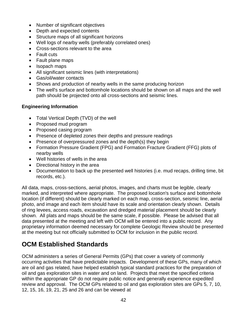- Number of significant objectives
- Depth and expected contents
- Structure maps of all significant horizons
- Well logs of nearby wells (preferably correlated ones)
- Cross-sections relevant to the area
- Fault cuts
- Fault plane maps
- Isopach maps
- All significant seismic lines (with interpretations)
- Gas/oil/water contacts
- Shows and production of nearby wells in the same producing horizon
- The well's surface and bottomhole locations should be shown on all maps and the well path should be projected onto all cross-sections and seismic lines.

#### **Engineering Information**

- Total Vertical Depth (TVD) of the well
- Proposed mud program
- Proposed casing program
- Presence of depleted zones their depths and pressure readings
- Presence of overpressured zones and the depth(s) they begin
- Formation Pressure Gradient (FPG) and Formation Fracture Gradient (FFG) plots of nearby wells
- Well histories of wells in the area
- Directional history in the area
- Documentation to back up the presented well histories (i.e. mud recaps, drilling time, bit records, etc.).

All data, maps, cross-sections, aerial photos, images, and charts must be legible, clearly marked, and interpreted where appropriate. The proposed location's surface and bottomhole location (if different) should be clearly marked on each map, cross-section, seismic line, aerial photo, and image and each item should have its scale and orientation clearly shown. Details of ring levees, access roads, excavation and dredged material placement should be clearly shown. All plats and maps should be the same scale, if possible. Please be advised that all data presented at the meeting and left with OCM will be entered into a public record. Any proprietary information deemed necessary for complete Geologic Review should be presented at the meeting but not officially submitted to OCM for inclusion in the public record.

# **OCM Established Standards**

OCM administers a series of General Permits (GPs) that cover a variety of commonly occurring activities that have predictable impacts. Development of these GPs, many of which are oil and gas related, have helped establish typical standard practices for the preparation of oil and gas exploration sites in water and on land. Projects that meet the specified criteria within the appropriate GP do not require public notice and generally experience expedited review and approval. The OCM GPs related to oil and gas exploration sites are GPs 5, 7, 10, 12, 15, 16, 19, 21, 25 and 26 and can be viewed at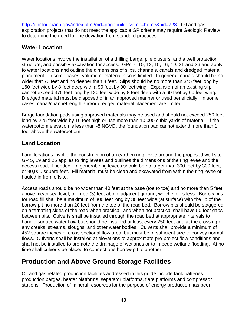[http://dnr.louisiana.gov/index.cfm?md=pagebuilder&tmp=home&pid=728.](http://dnr.louisiana.gov/index.cfm?md=pagebuilder&tmp=home&pid=728) Oil and gas exploration projects that do not meet the applicable GP criteria may require Geologic Review to determine the need for the deviation from standard practices.

## **Water Location**

Water locations involve the installation of a drilling barge, pile clusters, and a well protection structure; and possibly excavation for access. GPs 7, 10, 12, 15, 16, 19, 21 and 26 and apply to water locations and outline the dimensions of slips, channels, canals and dredged material placement. In some cases, volume of material also is limited. In general, canals should be no wider that 70 feet and no deeper than 8 feet. Slips should be no more than 345 feet long by 160 feet wide by 8 feet deep with a 90 feet by 90 feet wing. Expansion of an existing slip cannot exceed 375 feet long by 120 feet wide by 8 feet deep with a 60 feet by 60 feet wing. Dredged material must be disposed of in an approved manner or used beneficially. In some cases, canal/channel length and/or dredged material placement are limited.

Barge foundation pads using approved materials may be used and should not exceed 250 feet long by 225 feet wide by 10 feet high or use more than 10,000 cubic vards of material. If the waterbottom elevation is less than -8 NGVD, the foundation pad cannot extend more than 1 foot above the waterbottom.

## **Land Location**

Land locations involve the construction of an earthen ring levee around the proposed well site. GP 5, 19 and 25 applies to ring levees and outlines the dimensions of the ring levee and the access road, if needed. In general, ring levees should be no larger than 300 feet by 300 feet, or 90,000 square feet. Fill material must be clean and excavated from within the ring levee or hauled in from offsite.

Access roads should be no wider than 40 feet at the base (toe to toe) and no more than 5 feet above mean sea level, or three (3) feet above adjacent ground, whichever is less. Borrow pits for road fill shall be a maximum of 300 feet long by 30 feet wide (at surface) with the lip of the borrow pit no more than 20 feet from the toe of the road bed. Borrow pits should be staggered on alternating sides of the road when practical, and when not practical shall have 50 foot gaps between pits. Culverts shall be installed through the road bed at appropriate intervals to handle surface water flow but should be installed at least every 250 feet and at the crossing of any creeks, streams, sloughs, and other water bodies. Culverts shall provide a minimum of 452 square inches of cross-sectional flow area, but must be of sufficient size to convey normal flows. Culverts shall be installed at elevations to approximate pre-project flow conditions and shall not be installed to promote the drainage of wetlands or to impede wetland flooding. At no time shall culverts be placed to connect one borrow pit to another.

# **Production and Above Ground Storage Facilities**

Oil and gas related production facilities addressed in this guide include tank batteries, production barges, heater platforms, separator platforms, flare platforms and compressor stations. Production of mineral resources for the purpose of energy production has been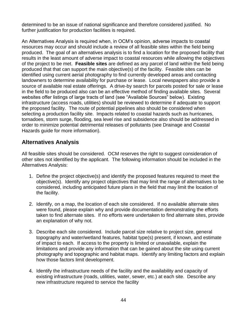determined to be an issue of national significance and therefore considered justified. No further justification for production facilities is required.

An Alternatives Analysis is required when, in OCM's opinion, adverse impacts to coastal resources may occur and should include a review of all feasible sites within the field being produced. The goal of an alternatives analysis is to find a location for the proposed facility that results in the least amount of adverse impact to coastal resources while allowing the objectives of the project to be met. **Feasible sites** are defined as any parcel of land within the field being produced that that can support the main objective(s) of the facility. Feasible sites can be identified using current aerial photography to find currently developed areas and contacting landowners to determine availability for purchase or lease. Local newspapers also provide a source of available real estate offerings. A drive-by search for parcels posted for sale or lease in the field to be produced also can be an effective method of finding available sites. Several websites offer listings of large tracts of land (see "Available Sources" below). Existing infrastructure (access roads, utilities) should be reviewed to determine if adequate to support the proposed facility. The route of potential pipelines also should be considered when selecting a production facility site. Impacts related to coastal hazards such as hurricanes, tornadoes, storm surge, flooding, sea level rise and subsidence also should be addressed in order to minimize potential detrimental releases of pollutants (see Drainage and Coastal Hazards guide for more information).

#### **Alternatives Analysis**

All feasible sites should be considered. OCM reserves the right to suggest consideration of other sites not identified by the applicant. The following information should be included in the Alternatives Analysis:

- 1. Define the project objective(s) and identify the proposed features required to meet the objective(s). Identify any project objectives that may limit the range of alternatives to be considered, including anticipated future plans in the field that may limit the location of the facility.
- 2. Identify, on a map, the location of each site considered. If no available alternate sites were found, please explain why and provide documentation demonstrating the efforts taken to find alternate sites. If no efforts were undertaken to find alternate sites, provide an explanation of why not.
- 3. Describe each site considered. Include parcel size relative to project size, general topography and water/wetland features, habitat type(s) present, if known, and estimate of impact to each. If access to the property is limited or unavailable, explain the limitations and provide any information that can be gained about the site using current photography and topographic and habitat maps. Identify any limiting factors and explain how those factors limit development.
- 4. Identify the infrastructure needs of the facility and the availability and capacity of existing infrastructure (roads, utilities, water, sewer, etc.) at each site. Describe any new infrastructure required to service the facility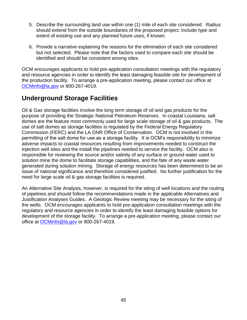- 5. Describe the surrounding land use within one (1) mile of each site considered. Radius should extend from the outside boundaries of the proposed project. Include type and extent of existing use and any planned future uses, if known.
- 6. Provide a narrative explaining the reasons for the elimination of each site considered but not selected. Please note that the factors used to compare each site should be identified and should be consistent among sites.

OCM encourages applicants to hold pre-application consultation meetings with the regulatory and resource agencies in order to identify the least damaging feasible site for development of the production facility. To arrange a pre-application meeting, please contact our office at [OCMinfo@la.gov](mailto:OCMinfo@la.gov) or 800-267-4019.

# **Underground Storage Facilities**

Oil & Gas storage facilities involve the long term storage of oil and gas products for the purpose of providing the Strategic National Petroleum Reserves. In coastal Louisiana, salt domes are the feature most commonly used for large scale storage of oil & gas products. The use of salt domes as storage facilities is regulated by the Federal Energy Regulatory Commission (FERC) and the LA DNR Office of Conservation. OCM is not involved in the permitting of the salt dome for use as a storage facility. It is OCM's responsibility to minimize adverse impacts to coastal resources resulting from improvements needed to construct the injection well sites and the install the pipelines needed to service the facility. OCM also is responsible for reviewing the source and/or salinity of any surface or ground water used to solution mine the dome to facilitate storage capabilities, and the fate of any waste water generated during solution mining. Storage of energy resources has been determined to be an issue of national significance and therefore considered justified. No further justification for the need for large scale oil & gas storage facilities is required.

An Alternative Site Analysis, however, is required for the siting of well locations and the routing of pipelines and should follow the recommendations made in the applicable Alternatives and Justification Analyses Guides. A Geologic Review meeting may be necessary for the siting of the wells. OCM encourages applicants to hold pre-application consultation meetings with the regulatory and resource agencies in order to identify the least damaging feasible options for development of the storage facility. To arrange a pre-application meeting, please contact our office at **OCMinfo@la.gov** or 800-267-4019.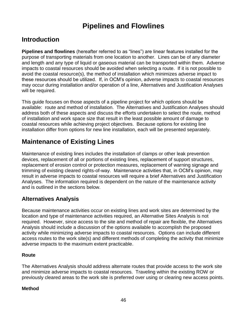# **Pipelines and Flowlines**

## **Introduction**

**Pipelines and flowlines** (hereafter referred to as "lines") are linear features installed for the purpose of transporting materials from one location to another. Lines can be of any diameter and length and any type of liquid or gaseous material can be transported within them. Adverse impacts to coastal resources should be avoided when selecting a route. If it is not possible to avoid the coastal resource(s), the method of installation which minimizes adverse impact to these resources should be utilized. If, in OCM's opinion, adverse impacts to coastal resources may occur during installation and/or operation of a line, Alternatives and Justification Analyses will be required.

This guide focuses on those aspects of a pipeline project for which options should be available: route and method of installation. The Alternatives and Justification Analyses should address both of these aspects and discuss the efforts undertaken to select the route, method of installation and work space size that result in the least possible amount of damage to coastal resources while achieving project objectives. Because options for existing line installation differ from options for new line installation, each will be presented separately.

# **Maintenance of Existing Lines**

Maintenance of existing lines includes the installation of clamps or other leak prevention devices, replacement of all or portions of existing lines, replacement of support structures, replacement of erosion control or protection measures, replacement of warning signage and trimming of existing cleared rights-of-way. Maintenance activities that, in OCM's opinion, may result in adverse impacts to coastal resources will require a brief Alternatives and Justification Analyses. The information required is dependent on the nature of the maintenance activity and is outlined in the sections below.

### **Alternatives Analysis**

Because maintenance activities occur on existing lines and work sites are determined by the location and type of maintenance activities required, an Alternative Sites Analysis is not required. However, since access to the site and method of repair are flexible, the Alternatives Analysis should include a discussion of the options available to accomplish the proposed activity while minimizing adverse impacts to coastal resources. Options can include different access routes to the work site(s) and different methods of completing the activity that minimize adverse impacts to the maximum extent practicable.

#### **Route**

The Alternatives Analysis should address alternate routes that provide access to the work site and minimize adverse impacts to coastal resources. Traveling within the existing ROW or previously cleared areas to the work site is preferred over using or clearing new access points.

#### **Method**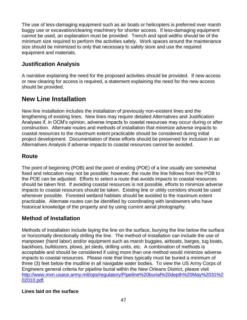The use of less-damaging equipment such as air boats or helicopters is preferred over marsh buggy use or excavation/clearing machinery for shorter access. If less-damaging equipment cannot be used, an explanation must be provided. Trench and spoil widths should be of the minimum size required to perform the activities safely. Work spaces around the maintenance size should be minimized to only that necessary to safely store and use the required equipment and materials.

## **Justification Analysis**

A narrative explaining the need for the proposed activities should be provided. If new access or new clearing for access is required, a statement explaining the need for the new access should be provided.

# **New Line Installation**

New line installation includes the installation of previously non-existent lines and the lengthening of existing lines. New lines may require detailed Alternatives and Justification Analyses if, in OCM's opinion, adverse impacts to coastal resources may occur during or after construction. Alternate routes and methods of installation that minimize adverse impacts to coastal resources to the maximum extent practicable should be considered during initial project development. Documentation of these efforts should be preserved for inclusion in an Alternatives Analysis if adverse impacts to coastal resources cannot be avoided.

## **Route**

The point of beginning (POB) and the point of ending (POE) of a line usually are somewhat fixed and relocation may not be possible; however, the route the line follows from the POB to the POE can be adjusted. Efforts to select a route that avoids impacts to coastal resources should be taken first. If avoiding coastal resources is not possible, efforts to minimize adverse impacts to coastal resources should be taken. Existing line or utility corridors should be used whenever possible. Forested wetland habitats should be avoided to the maximum extent practicable. Alternate routes can be identified by coordinating with landowners who have historical knowledge of the property and by using current aerial photography.

## **Method of Installation**

Methods of installation include laying the line on the surface, burying the line below the surface or horizontally directionally drilling the line. The method of installation can include the use of manpower (hand labor) and/or equipment such as marsh buggies, airboats, barges, tug boats, backhoes, bulldozers, plows, jet sleds, drilling units, etc. A combination of methods is acceptable and should be considered if using more than one method would minimize adverse impacts to coastal resources. Please note that lines typically must be buried a minimum of three (3) feet below the mudline in all navigable water bodies. To view the US Army Corps of Engineers general criteria for pipeline burial within the New Orleans District, please visit [http://www.mvn.usace.army.mil/ops/regulatory/Pipeline%20burial%20depth%20May%2031%2](http://www.mvn.usace.army.mil/ops/regulatory/Pipeline%20burial%20depth%20May%2031%202010.pdf) [02010.pdf.](http://www.mvn.usace.army.mil/ops/regulatory/Pipeline%20burial%20depth%20May%2031%202010.pdf)

#### **Lines laid on the surface**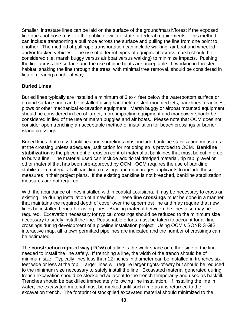Smaller, intrastate lines can be laid on the surface of the ground/marsh/forest if the exposed line does not pose a risk to the public or violate state or federal requirements. This method can include transporting a pull rope across the surface and pulling the line from one point to another. The method of pull rope transportation can include walking, air boat and wheeled and/or tracked vehicles. The use of different types of equipment across marsh should be considered (i.e. marsh buggy versus air boat versus walking) to minimize impacts. Pushing the line across the surface and the use of pipe bents are acceptable. If working in forested habitat, snaking the line through the trees, with minimal tree removal, should be considered in lieu of clearing a right-of-way.

#### **Buried Lines**

Buried lines typically are installed a minimum of 3 to 4 feet below the waterbottom surface or ground surface and can be installed using handheld or sled-mounted jets, backhoes, draglines, plows or other mechanical excavation equipment. Marsh buggy or airboat mounted equipment should be considered in lieu of larger, more impacting equipment and manpower should be considered in lieu of the use of marsh buggies and air boats. Please note that OCM does not consider open trenching an acceptable method of installation for beach crossings or barrier island crossings.

Buried lines that cross banklines and shorelines must include bankline stabilization measures at the crossing unless adequate justification for not doing so is provided to OCM. **Bankline stabilization** is the placement of erosion control material at banklines that must be cut in order to bury a line. The material used can include additional dredged material, rip rap, gravel or other material that has been pre-approved by OCM. OCM requires the use of bankline stabilization material at all bankline crossings and encourages applicants to include these measures in their project plans. If the existing bankline is not breached, bankline stabilization measures are not required.

With the abundance of lines installed within coastal Louisiana, it may be necessary to cross an existing line during installation of a new line. These **line crossings** must be done in a manner that maintains the required depth of cover over the uppermost line and may require that new lines be installed beneath existing lines. Bracing material between the lines also may be required. Excavation necessary for typical crossings should be reduced to the minimum size necessary to safely install the line. Reasonable efforts must be taken to account for all line crossings during development of a pipeline installation project. Using OCM's SONRIS GIS interactive map, all known permitted pipelines are indicated and the number of crossings can be estimated.

The **construction right-of way** (ROW) of a line is the work space on either side of the line needed to install the line safely. If trenching a line, the width of the trench should be of minimum size. Typically lines less than 12 inches in diameter can be installed in trenches six feet wide or less at the top. Larger lines will require larger rights-of-way but should be reduced to the minimum size necessary to safely install the line. Excavated material generated during trench excavation should be stockpiled adjacent to the trench temporarily and used as backfill. Trenches should be backfilled immediately following line installation. If installing the line in water, the excavated material must be marked until such time as it is returned to the excavation trench. The footprint of stockpiled excavated material should minimized to the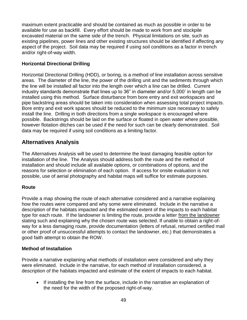maximum extent practicable and should be contained as much as possible in order to be available for use as backfill. Every effort should be made to work from and stockpile excavated material on the same side of the trench. Physical limitations on site, such as existing pipelines, power lines and other existing structures should be identified if affecting any aspect of the project. Soil data may be required if using soil conditions as a factor in trench and/or right-of-way width.

#### **Horizontal Directional Drilling**

Horizontal Directional Drilling (HDD), or boring, is a method of line installation across sensitive areas. The diameter of the line, the power of the drilling unit and the sediments through which the line will be installed all factor into the length over which a line can be drilled. Current industry standards demonstrate that lines up to 36" in diameter and/or 5,000' in length can be installed using this method. Surface disturbance from bore entry and exit workspaces and pipe backstring areas should be taken into consideration when assessing total project impacts. Bore entry and exit work spaces should be reduced to the minimum size necessary to safely install the line. Drilling in both directions from a single workspace is encouraged where possible. Backstrings should be laid on the surface or floated in open water where possible, however flotation ditches can be used if the need for such can be clearly demonstrated. Soil data may be required if using soil conditions as a limiting factor.

#### **Alternatives Analysis**

The Alternatives Analysis will be used to determine the least damaging feasible option for installation of the line. The Analysis should address both the route and the method of installation and should include all available options, or combinations of options, and the reasons for selection or elimination of each option. If access for onsite evaluation is not possible, use of aerial photography and habitat maps will suffice for estimate purposes.

#### **Route**

Provide a map showing the route of each alternative considered and a narrative explaining how the routes were compared and why some were eliminated. Include in the narrative a description of the habitats impacted and the estimated extent of the impacts to each habitat type for each route. If the landowner is limiting the route, provide a letter from the landowner stating such and explaining why the chosen route was selected. If unable to obtain a right-ofway for a less damaging route, provide documentation (letters of refusal, returned certified mail or other proof of unsuccessful attempts to contact the landowner, etc.) that demonstrates a good faith attempt to obtain the ROW.

#### **Method of Installation**

Provide a narrative explaining what methods of installation were considered and why they were eliminated. Include in the narrative, for each method of installation considered, a description of the habitats impacted and estimate of the extent of impacts to each habitat.

 If installing the line from the surface, include in the narrative an explanation of the need for the width of the proposed right-of-way.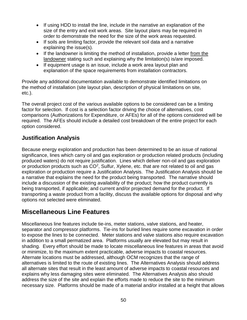- If using HDD to install the line, include in the narrative an explanation of the size of the entry and exit work areas. Site layout plans may be required in order to demonstrate the need for the size of the work areas requested.
- If soils are limiting factor, provide the relevant soil data and a narrative explaining the issue(s).
- If the landowner is limiting the method of installation, provide a letter from the landowner stating such and explaining why the limitation(s) is/are imposed.
- If equipment usage is an issue, include a work area layout plan and explanation of the space requirements from installation contractors.

Provide any additional documentation available to demonstrate identified limitations on the method of installation (site layout plan, description of physical limitations on site, etc.).

The overall project cost of the various available options to be considered can be a limiting factor for selection. If cost is a selection factor driving the choice of alternatives, cost comparisons (Authorizations for Expenditure, or AFEs) for all of the options considered will be required. The AFEs should include a detailed cost breakdown of the entire project for each option considered.

### **Justification Analysis**

Because energy exploration and production has been determined to be an issue of national significance, lines which carry oil and gas exploration or production related products (including produced waters) do not require justification. Lines which deliver non-oil and gas exploration or production products such as  $CO<sup>2</sup>$ , Sulfur, Xylene, etc. that are not related to oil and gas exploration or production require a Justification Analysis. The Justification Analysis should be a narrative that explains the need for the product being transported. The narrative should include a discussion of the existing availability of the product; how the product currently is being transported, if applicable; and current and/or projected demand for the product. If transporting a waste product from a facility, discuss the available options for disposal and why options not selected were eliminated.

# **Miscellaneous Line Features**

Miscellaneous line features include tie-ins, meter stations, valve stations, and heater, separator and compressor platforms. Tie-ins for buried lines require some excavation in order to expose the lines to be connected. Meter stations and valve stations also require excavation in addition to a small permatized area. Platforms usually are elevated but may result in shading. Every effort should be made to locate miscellaneous line features in areas that avoid or minimize, to the maximum extent practicable, adverse impacts to coastal resources. Alternate locations must be addressed, although OCM recognizes that the range of alternatives is limited to the route of existing lines. The Alternatives Analysis should address all alternate sites that result in the least amount of adverse impacts to coastal resources and explains why less damaging sites were eliminated. The Alternatives Analysis also should address the size of the site and explain the efforts made to reduce the site to the minimum necessary size. Platforms should be made of a material and/or installed at a height that allows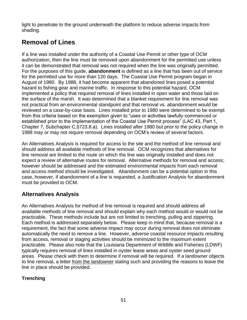light to penetrate to the ground underneath the platform to reduce adverse impacts from shading.

# **Removal of Lines**

If a line was installed under the authority of a Coastal Use Permit or other type of OCM authorization, then the line must be removed upon abandonment for the permitted use unless it can be demonstrated that removal was not required when the line was originally permitted. For the purposes of this guide, **abandonment** is defined as a line that has been out of service for the permitted use for more than 120 days. The Coastal Use Permit program began in August of 1980. By 1988, it had become apparent that abandoned lines posed a potential hazard to fishing gear and marine traffic. In response to this potential hazard, OCM implemented a policy that required removal of lines installed in open water and those laid on the surface of the marsh. It was determined that a blanket requirement for line removal was not practical from an environmental standpoint and that removal vs. abandonment would be reviewed on a case-by-case basis. Lines installed prior to 1980 were determined to be exempt from this criteria based on the exemption given to "uses or activities lawfully commenced or established prior to the implementation of the Coastal Use Permit process" (LAC 43, Part 1, Chapter 7, Subchapter C,§723.8.a). Lines installed after 1980 but prior to the policy change in 1988 may or may not require removal depending on OCM's review of several factors.

An Alternatives Analysis is required for access to the site and the method of line removal and should address all available methods of line removal. OCM recognizes that alternatives for line removal are limited to the route on which the line was originally installed and does not expect a review of alternative routes for removal. Alternative methods for removal and access; however should be addressed and the estimated environmental impacts from each removal and access method should be investigated. Abandonment can be a potential option in this case, however, if abandonment of a line is requested, a Justification Analysis for abandonment must be provided to OCM.

## **Alternatives Analysis**

An Alternatives Analysis for method of line removal is required and should address all available methods of line removal and should explain why each method would or would not be practicable. These methods include but are not limited to trenching, pulling and zippering. Each method is addressed separately below. Please keep in mind that, because removal is a requirement, the fact that some adverse impact may occur during removal does not eliminate automatically the need to remove a line. However, adverse coastal resource impacts resulting from access, removal or staging activities should be minimized to the maximum extent practicable. Please also note that the Louisiana Department of Wildlife and Fisheries (LDWF) typically requires removal of lines installed in oyster lease areas and oyster seed ground areas. Please check with them to determine if removal will be required. If a landowner objects to line removal, a letter from the landowner stating such and providing the reasons to leave the line in place should be provided.

#### **Trenching**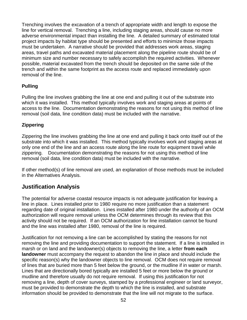Trenching involves the excavation of a trench of appropriate width and length to expose the line for vertical removal. Trenching a line, including staging areas, should cause no more adverse environmental impact than installing the line. A detailed summary of estimated total project impacts by habitat type should be presented and efforts to minimize those impacts must be undertaken. A narrative should be provided that addresses work areas, staging areas, travel paths and excavated material placement along the pipeline route should be of minimum size and number necessary to safely accomplish the required activities. Whenever possible, material excavated from the trench should be deposited on the same side of the trench and within the same footprint as the access route and replaced immediately upon removal of the line.

#### **Pulling**

Pulling the line involves grabbing the line at one end and pulling it out of the substrate into which it was installed. This method typically involves work and staging areas at points of access to the line. Documentation demonstrating the reasons for not using this method of line removal (soil data, line condition data) must be included with the narrative.

#### **Zippering**

Zippering the line involves grabbing the line at one end and pulling it back onto itself out of the substrate into which it was installed. This method typically involves work and staging areas at only one end of the line and an access route along the line route for equipment travel while zippering. Documentation demonstrating the reasons for not using this method of line removal (soil data, line condition data) must be included with the narrative.

If other method(s) of line removal are used, an explanation of those methods must be included in the Alternatives Analysis.

#### **Justification Analysis**

The potential for adverse coastal resource impacts is not adequate justification for leaving a line in place. Lines installed prior to 1980 require no more justification than a statement regarding date of original installation. Lines installed after 1980 under the authority of an OCM authorization will require removal unless the OCM determines through its review that this activity should not be required. If an OCM authorization for line installation cannot be found and the line was installed after 1980, removal of the line is required.

Justification for not removing a line can be accomplished by stating the reasons for not removing the line and providing documentation to support the statement. If a line is installed in marsh or on land and the landowner(s) objects to removing the line, a letter **from each landowner** must accompany the request to abandon the line in place and should include the specific reason(s) why the landowner objects to line removal. OCM does not require removal of lines that are buried more than 5 feet below the ground, or the mudline if in water or marsh. Lines that are directionally bored typically are installed 5 feet or more below the ground or mudline and therefore usually do not require removal. If using this justification for not removing a line, depth of cover surveys, stamped by a professional engineer or land surveyor, must be provided to demonstrate the depth to which the line is installed, and substrate information should be provided to demonstrate that the line will not migrate to the surface.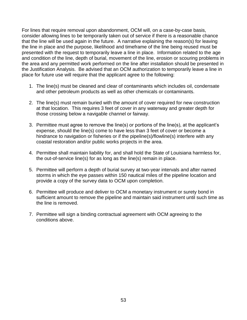For lines that require removal upon abandonment, OCM will, on a case-by-case basis, consider allowing lines to be temporarily taken out of service if there is a reasonable chance that the line will be used again in the future. A narrative explaining the reason(s) for leaving the line in place and the purpose, likelihood and timeframe of the line being reused must be presented with the request to temporarily leave a line in place. Information related to the age and condition of the line, depth of burial, movement of the line, erosion or scouring problems in the area and any permitted work performed on the line after installation should be presented in the Justification Analysis. Be advised that an OCM authorization to temporarily leave a line in place for future use will require that the applicant agree to the following:

- 1. The line(s) must be cleaned and clear of contaminants which includes oil, condensate and other petroleum products as well as other chemicals or contaminants.
- 2. The line(s) must remain buried with the amount of cover required for new construction at that location. This requires 3 feet of cover in any waterway and greater depth for those crossing below a navigable channel or fairway.
- 3. Permittee must agree to remove the line(s) or portions of the line(s), at the applicant's expense, should the line(s) come to have less than 3 feet of cover or become a hindrance to navigation or fisheries or if the pipeline(s)/flowline(s) interfere with any coastal restoration and/or public works projects in the area.
- 4. Permittee shall maintain liability for, and shall hold the State of Louisiana harmless for, the out-of-service line(s) for as long as the line(s) remain in place.
- 5. Permittee will perform a depth of burial survey at two-year intervals and after named storms in which the eye passes within 150 nautical miles of the pipeline location and provide a copy of the survey data to OCM upon completion.
- 6. Permittee will produce and deliver to OCM a monetary instrument or surety bond in sufficient amount to remove the pipeline and maintain said instrument until such time as the line is removed.
- 7. Permittee will sign a binding contractual agreement with OCM agreeing to the conditions above.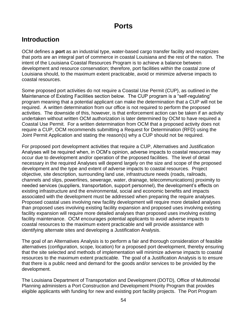# **Ports**

## **Introduction**

OCM defines a **port** as an industrial type, water-based cargo transfer facility and recognizes that ports are an integral part of commerce in coastal Louisiana and the rest of the nation. The intent of the Louisiana Coastal Resources Program is to achieve a balance between development and resource conservation; therefore, port facilities within the coastal zone of Louisiana should, to the maximum extent practicable, avoid or minimize adverse impacts to coastal resources.

Some proposed port activities do not require a Coastal Use Permit (CUP), as outlined in the Maintenance of Existing Facilities section below. The CUP program is a "self-regulating" program meaning that a potential applicant can make the determination that a CUP will not be required. A written determination from our office is not required to perform the proposed activities. The downside of this, however, is that enforcement action can be taken if an activity undertaken without written OCM authorization is later determined by OCM to have required a Coastal Use Permit. For a written determination from OCM that a proposed activity does not require a CUP, OCM recommends submitting a Request for Determination (RFD) using the Joint Permit Application and stating the reason(s) why a CUP should not be required.

For proposed port development activities that require a CUP, Alternatives and Justification Analyses will be required when, in OCM's opinion, adverse impacts to coastal resources may occur due to development and/or operation of the proposed facilities. The level of detail necessary in the required Analyses will depend largely on the size and scope of the proposed development and the type and extent of adverse impacts to coastal resources. Project objective, site description, surrounding land use, infrastructure needs (roads, railroads, channels and slips, powerlines, sewerage, water, drainage, telecommunications) proximity to needed services (suppliers, transportation, support personnel), the development's effects on existing infrastructure and the environmental, social and economic benefits and impacts associated with the development must be addressed when preparing the require analyses. Proposed coastal uses involving new facility development will require more detailed analyses than proposed uses involving existing facility expansion and proposed uses involving existing facility expansion will require more detailed analyses than proposed uses involving existing facility maintenance. OCM encourages potential applicants to avoid adverse impacts to coastal resources to the maximum extent practicable and will provide assistance with identifying alternate sites and developing a Justification Analysis.

The goal of an Alternatives Analysis is to perform a fair and thorough consideration of feasible alternatives (configuration, scope, location) for a proposed port development, thereby ensuring that the site selected and methods of implementation will minimize adverse impacts to coastal resources to the maximum extent practicable. The goal of a Justification Analysis is to ensure that there is a public need and demand for the goods and/or services to be provided by the development.

The Louisiana Department of Transportation and Development (DOTD), Office of Multimodal Planning administers a Port Construction and Development Priority Program that provides eligible applicants with funding for new and existing port facility projects. The Port Program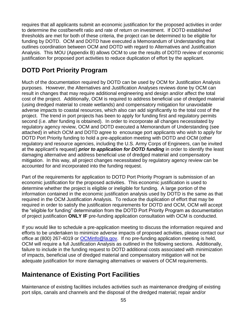requires that all applicants submit an economic justification for the proposed activities in order to determine the cost/benefit ratio and rate of return on investment. If DOTD established thresholds are met for both of these criteria, the project can be determined to be eligible for funding by DOTD. OCM and DOTD have executed a Memorandum of Understanding that outlines coordination between OCM and DOTD with regard to Alternatives and Justification Analysis. This MOU (Appendix B) allows OCM to use the results of DOTD review of economic justification for proposed port activities to reduce duplication of effort by the applicant.

# **DOTD Port Priority Program**

Much of the documentation required by DOTD can be used by OCM for Justification Analysis purposes. However, the Alternatives and Justification Analyses reviews done by OCM can result in changes that may require additional engineering and design and/or affect the total cost of the project. Additionally, OCM is required to address beneficial use of dredged material (using dredged material to create wetlands) and compensatory mitigation for unavoidable adverse impacts to coastal resources, which also can add significantly to the total cost of the project. The trend in port projects has been to apply for funding first and regulatory permits second (i.e. after funding is obtained). In order to incorporate all changes necessitated by regulatory agency review, OCM and DOTD executed a Memorandum of Understanding (see attached) in which OCM and DOTD agree to encourage port applicants who wish to apply for DOTD Port Priority funding to hold a pre-application meeting with DOTD and OCM (other regulatory and resource agencies, including the U.S. Army Corps of Engineers, can be invited at the applicant's request) *prior to application for DOTD funding* in order to identify the least damaging alternative and address beneficial use of dredged material and compensatory mitigation. In this way, all project changes necessitated by regulatory agency review can be accounted for and incorporated into the funding request.

Part of the requirements for application to DOTD Port Priority Program is submission of an economic justification for the proposed activities. This economic justification is used to determine whether the project is eligible or ineligible for funding. A large portion of the information contained in the economic justification analysis used by DOTD is the same as that required in the OCM Justification Analysis. To reduce the duplication of effort that may be required in order to satisfy the justification requirements for DOTD and OCM, OCM will accept the "eligible for funding" determination from the DOTD Port Priority Program as documentation of project justification **ONLY IF** pre-funding application consultation with OCM is conducted.

If you would like to schedule a pre-application meeting to discuss the information required and efforts to be undertaken to minimize adverse impacts of proposed activities, please contact our office at (800) 267-4019 or [OCMinfo@la.gov.](mailto:OCMinfo@la.gov) If no pre-funding application meeting is held, OCM will require a full Justification Analysis as outlined in the following sections. Additionally, failure to include in the funding request to DOTD additional costs associated with minimization of impacts, beneficial use of dredged material and compensatory mitigation will not be adequate justification for more damaging alternatives or waivers of OCM requirements.

# **Maintenance of Existing Port Facilities**

Maintenance of existing facilities includes activities such as maintenance dredging of existing port slips, canals and channels and the disposal of the dredged material; repair and/or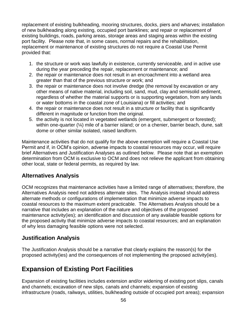replacement of existing bulkheading, mooring structures, docks, piers and wharves; installation of new bulkheading along existing, occupied port banklines; and repair or replacement of existing buildings, roads, parking areas, storage areas and staging areas within the existing port facility. Please note that, in some cases, normal repairs and the rehabilitation, replacement or maintenance of existing structures do not require a Coastal Use Permit provided that:

- 1. the structure or work was lawfully in existence, currently serviceable, and in active use during the year preceding the repair, replacement or maintenance; and
- 2. the repair or maintenance does not result in an encroachment into a wetland area greater than that of the previous structure or work; and
- 3. the repair or maintenance does not involve dredge (the removal by excavation or any other means of native material, including soil, sand, mud, clay and semisolid sediment, regardless of whether the material supports or is supporting vegetation, from any lands or water bottoms in the coastal zone of Louisiana) or fill activities; and
- 4. the repair or maintenance does not result in a structure or facility that is significantly different in magnitude or function from the original.
- 5. the activity is not located in vegetated wetlands (emergent, submergent or forested); within one-quarter (¼) mile of a barrier island; or on a chenier, barrier beach, dune, salt dome or other similar isolated, raised landform.

Maintenance activities that do not qualify for the above exemption will require a Coastal Use Permit and if, in OCM's opinion, adverse impacts to coastal resources may occur, will require brief Alternatives and Justification Analyses as outlined below. Please note that an exemption determination from OCM is exclusive to OCM and does not relieve the applicant from obtaining other local, state or federal permits, as required by law.

#### **Alternatives Analysis**

OCM recognizes that maintenance activities have a limited range of alternatives; therefore, the Alternatives Analysis need not address alternate sites. The Analysis instead should address alternate methods or configurations of implementation that minimize adverse impacts to coastal resources to the maximum extent practicable. The Alternatives Analysis should be a narrative that includes an explanation of the nature and objectives of the proposed maintenance activity(ies); an identification and discussion of any available feasible options for the proposed activity that minimize adverse impacts to coastal resources; and an explanation of why less damaging feasible options were not selected.

### **Justification Analysis**

The Justification Analysis should be a narrative that clearly explains the reason(s) for the proposed activity(ies) and the consequences of not implementing the proposed activity(ies).

# **Expansion of Existing Port Facilities**

Expansion of existing facilities includes extension and/or widening of existing port slips, canals and channels; excavation of new slips, canals and channels; expansion of existing infrastructure (roads, railways, utilities, bulkheading outside of occupied port areas); expansion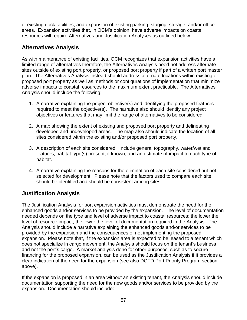of existing dock facilities; and expansion of existing parking, staging, storage, and/or office areas. Expansion activities that, in OCM's opinion, have adverse impacts on coastal resources will require Alternatives and Justification Analyses as outlined below.

## **Alternatives Analysis**

As with maintenance of existing facilities, OCM recognizes that expansion activities have a limited range of alternatives therefore, the Alternatives Analysis need not address alternate sites outside of existing port property, or proposed port property if part of a written port master plan. The Alternatives Analysis instead should address alternate locations within existing or proposed port property as well as methods or configurations of implementation that minimize adverse impacts to coastal resources to the maximum extent practicable. The Alternatives Analysis should include the following:

- 1. A narrative explaining the project objective(s) and identifying the proposed features required to meet the objective(s). The narrative also should identify any project objectives or features that may limit the range of alternatives to be considered.
- 2. A map showing the extent of existing and proposed port property and delineating developed and undeveloped areas. The map also should indicate the location of all sites considered within the existing and/or proposed port property.
- 3. A description of each site considered. Include general topography, water/wetland features, habitat type(s) present, if known, and an estimate of impact to each type of habitat.
- 4. A narrative explaining the reasons for the elimination of each site considered but not selected for development. Please note that the factors used to compare each site should be identified and should be consistent among sites.

## **Justification Analysis**

The Justification Analysis for port expansion activities must demonstrate the need for the enhanced goods and/or services to be provided by the expansion. The level of documentation needed depends on the type and level of adverse impact to coastal resources; the lower the level of resource impact, the lower the level of documentation required in the Analysis. The Analysis should include a narrative explaining the enhanced goods and/or services to be provided by the expansion and the consequences of not implementing the proposed expansion. Please note that, if the expansion area is expected to be leased to a tenant which does not specialize in cargo movement, the Analysis should focus on the tenant's business and not the port's cargo. A market analysis done for other purposes, such as to secure financing for the proposed expansion, can be used as the Justification Analysis if it provides a clear indication of the need for the expansion (see also DOTD Port Priority Program section above).

If the expansion is proposed in an area without an existing tenant, the Analysis should include documentation supporting the need for the new goods and/or services to be provided by the expansion. Documentation should include: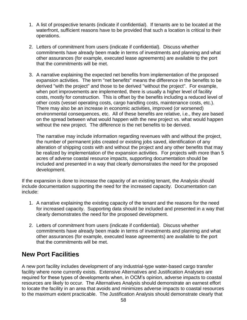- 1. A list of prospective tenants (indicate if confidential). If tenants are to be located at the waterfront, sufficient reasons have to be provided that such a location is critical to their operations.
- 2. Letters of commitment from users (indicate if confidential). Discuss whether commitments have already been made in terms of investments and planning and what other assurances (for example, executed lease agreements) are available to the port that the commitments will be met.
- 3. A narrative explaining the expected net benefits from implementation of the proposed expansion activities. The term "net benefits" means the difference in the benefits to be derived "with the project" and those to be derived "without the project". For example, when port improvements are implemented, there is usually a higher level of facility costs, mostly for construction. This is offset by the benefits including a reduced level of other costs (vessel operating costs, cargo handling costs, maintenance costs, etc.). There may also be an increase in economic activities, improved (or worsened) environmental consequences, etc. All of these benefits are relative, i.e., they are based on the spread between what would happen with the new project vs. what would happen without the new project. The difference is the net benefits to be derived.

The narrative may include information regarding revenues with and without the project, the number of permanent jobs created or existing jobs saved, identification of any alteration of shipping costs with and without the project and any other benefits that may be realized by implementation of the expansion activities. For projects with more than 5 acres of adverse coastal resource impacts, supporting documentation should be included and presented in a way that clearly demonstrates the need for the proposed development.

If the expansion is done to increase the capacity of an existing tenant, the Analysis should include documentation supporting the need for the increased capacity. Documentation can include:

- 1. A narrative explaining the existing capacity of the tenant and the reasons for the need for increased capacity. Supporting data should be included and presented in a way that clearly demonstrates the need for the proposed development.
- 2. Letters of commitment from users (indicate if confidential). Discuss whether commitments have already been made in terms of investments and planning and what other assurances (for example, executed lease agreements) are available to the port that the commitments will be met.

## **New Port Facilities**

A new port facility includes development of any industrial-type water-based cargo transfer facility where none currently exists. Extensive Alternatives and Justification Analyses are required for these types of developments when, in OCM's opinion, adverse impacts to coastal resources are likely to occur. The Alternatives Analysis should demonstrate an earnest effort to locate the facility in an area that avoids and minimizes adverse impacts to coastal resources to the maximum extent practicable. The Justification Analysis should demonstrate clearly that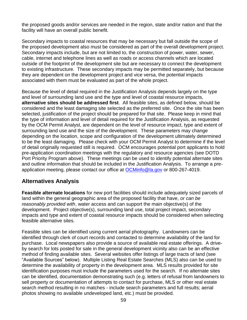the proposed goods and/or services are needed in the region, state and/or nation and that the facility will have an overall public benefit.

Secondary impacts to coastal resources that may be necessary but fall outside the scope of the proposed development also must be considered as part of the overall development project. Secondary impacts include, but are not limited to, the construction of power, water, sewer, cable, internet and telephone lines as well as roads or access channels which are located outside of the footprint of the development site but are necessary to connect the development to existing infrastructure. These secondary impacts may be permitted separately, but because they are dependent on the development project and vice versa, the potential impacts associated with them must be evaluated as part of the whole project.

Because the level of detail required in the Justification Analysis depends largely on the type and level of surrounding land use and the type and level of coastal resource impacts, **alternative sites should be addressed first**. All feasible sites, as defined below, should be considered and the least damaging site selected as the preferred site. Once the site has been selected, justification of the project should be prepared for that site. Please keep in mind that the type of information and level of detail required for the Justification Analysis, as requested by the OCM Permit Analyst, are dependent on the level of resource impact, type and extent of surrounding land use and the size of the development. These parameters may change depending on the location, scope and configuration of the development ultimately determined to be the least damaging. Please check with your OCM Permit Analyst to determine if the level of detail originally requested still is required. OCM encourages potential port applicants to hold pre-application coordination meetings with the regulatory and resource agencies (see DOTD Port Priority Program above). These meetings can be used to identify potential alternate sites and outline information that should be included in the Justification Analysis. To arrange a preapplication meeting, please contact our office at **OCMinfo@la.gov** or 800-267-4019.

### **Alternatives Analysis**

**Feasible alternate locations** for new port facilities should include adequately sized parcels of land within the general geographic area of the proposed facility that have, *or can be reasonably provided with*, water access and can support the main objective(s) of the development. Project objective(s), surrounding land use, total project impact, secondary impacts and type and extent of coastal resource impacts should be considered when selecting feasible alternative sites.

Feasible sites can be identified using current aerial photography. Landowners can be identified through clerk of court records and contacted to determine availability of the land for purchase. Local newspapers also provide a source of available real estate offerings. A driveby search for lots posted for sale in the general development vicinity also can be an effective method of finding available sites. Several websites offer listings of large tracts of land (see "Available Sources" below). Multiple Listing Real Estate Searches (MLS) also can be used to determine the availability of property in the development area. MLS results provided for site identification purposes must include the parameters used for the search. If no alternate sites can be identified, documentation demonstrating such (e.g. letters of refusal from landowners to sell property or documentation of attempts to contact for purchase, MLS or other real estate search method resulting in no matches - include search parameters and full results; aerial photos showing no available undeveloped land, etc.) must be provided.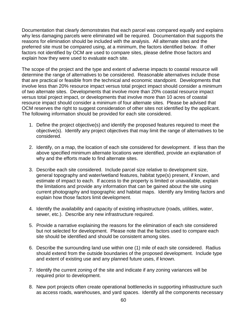Documentation that clearly demonstrates that each parcel was compared equally and explains why less damaging parcels were eliminated will be required. Documentation that supports the reasons for elimination should be included with the analysis. All alternate sites and the preferred site must be compared using, at a minimum, the factors identified below. If other factors not identified by OCM are used to compare sites, please define those factors and explain how they were used to evaluate each site.

The scope of the project and the type and extent of adverse impacts to coastal resource will determine the range of alternatives to be considered. Reasonable alternatives include those that are practical or feasible from the technical and economic standpoint. Developments that involve less than 20% resource impact versus total project impact should consider a minimum of two alternate sites. Developments that involve more than 20% coastal resource impact versus total project impact, or developments that involve more than 10 acres of coastal resource impact should consider a minimum of four alternate sites. Please be advised that OCM reserves the right to suggest consideration of other sites not identified by the applicant. The following information should be provided for each site considered.

- 1. Define the project objective(s) and identify the proposed features required to meet the objective(s). Identify any project objectives that may limit the range of alternatives to be considered.
- 2. Identify, on a map, the location of each site considered for development. If less than the above specified minimum alternate locations were identified, provide an explanation of why and the efforts made to find alternate sites.
- 3. Describe each site considered. Include parcel size relative to development size, general topography and water/wetland features, habitat type(s) present, if known, and estimate of impact to each. If access to the property is limited or unavailable, explain the limitations and provide any information that can be gained about the site using current photography and topographic and habitat maps. Identify any limiting factors and explain how those factors limit development.
- 4. Identify the availability and capacity of existing infrastructure (roads, utilities, water, sewer, etc.). Describe any new infrastructure required.
- 5. Provide a narrative explaining the reasons for the elimination of each site considered but not selected for development. Please note that the factors used to compare each site should be identified and should be consistent among sites.
- 6. Describe the surrounding land use within one (1) mile of each site considered. Radius should extend from the outside boundaries of the proposed development. Include type and extent of existing use and any planned future uses, if known.
- 7. Identify the current zoning of the site and indicate if any zoning variances will be required prior to development.
- 8. New port projects often create operational bottlenecks in supporting infrastructure such as access roads, warehouses, and yard spaces. Identify all the components necessary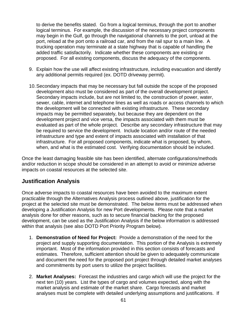to derive the benefits stated. Go from a logical terminus, through the port to another logical terminus. For example, the discussion of the necessary project components may begin in the Gulf, go through the navigational channels to the port, unload at the port, reload at the port onto a railroad car, and from the rail spur to a main line. A trucking operation may terminate at a state highway that is capable of handling the added traffic satisfactorily. Indicate whether these components are existing or proposed. For all existing components, discuss the adequacy of the components.

- 9. Explain how the use will affect existing infrastructure, including evacuation and identify any additional permits required (ex. DOTD driveway permit).
- 10.Secondary impacts that may be necessary but fall outside the scope of the proposed development also must be considered as part of the overall development project. Secondary impacts include, but are not limited to, the construction of power, water, sewer, cable, internet and telephone lines as well as roads or access channels to which the development will be connected with existing infrastructure. These secondary impacts may be permitted separately, but because they are dependent on the development project and vice versa, the impacts associated with them must be evaluated as part of the whole project. Describe any secondary infrastructure that may be required to service the development. Include location and/or route of the needed infrastructure and type and extent of impacts associated with installation of that infrastructure. For all proposed components, indicate what is proposed, by whom, when, and what is the estimated cost. Verifying documentation should be included.

Once the least damaging feasible site has been identified, alternate configurations/methods and/or reduction in scope should be considered in an attempt to avoid or minimize adverse impacts on coastal resources at the selected site.

#### **Justification Analysis**

Once adverse impacts to coastal resources have been avoided to the maximum extent practicable through the Alternatives Analysis process outlined above, justification for the project at the selected site must be demonstrated. The below items must be addressed when developing a Justification Analysis for new Port developments. Please note that a market analysis done for other reasons, such as to secure financial backing for the proposed development, can be used as the Justification Analysis if the below information is addressed within that analysis (see also DOTD Port Priority Program below).

- 1. **Demonstration of Need for Project:** Provide a demonstration of the need for the project and supply supporting documentation. This portion of the Analysis is extremely important. Most of the information provided in this section consists of forecasts and estimates. Therefore, sufficient attention should be given to adequately communicate and document the need for the proposed port project through detailed market analyses and commitments by port users to utilize the project facilities.
- 2. **Market Analyses:** Forecast the industries and cargo which will use the project for the next ten (10) years. List the types of cargo and volumes expected, along with the market analysis and estimate of the market share. Cargo forecasts and market analyses must be complete with detailed underlying assumptions and justifications. If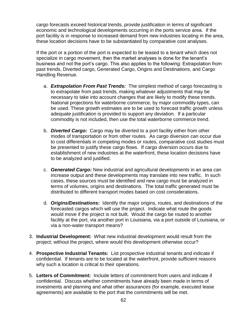cargo forecasts exceed historical trends, provide justification in terms of significant economic and technological developments occurring in the ports service area. If the port facility is in response to increased demand from new industries locating in the area, these location decisions have to be substantiated by comparative cost analyses.

If the port or a portion of the port is expected to be leased to a tenant which does not specialize in cargo movement, then the market analyses is done for the tenant's business and not the port's cargo. This also applies to the following: Extrapolation from past trends, Diverted cargo, Generated Cargo, Origins and Destinations, and Cargo Handling Revenue.

- a. *Extrapolation From Past Trends:* The simplest method of cargo forecasting is to extrapolate from past trends, making whatever adjustments that may be necessary to take into account changes that are likely to modify these trends. National projections for waterborne commerce, by major commodity types, can be used. These growth estimates are to be used to forecast traffic growth unless adequate justification is provided to support any deviation. If a particular commodity is not included, then use the total waterborne commerce trend.
- b. *Diverted Cargo:* Cargo may be diverted to a port facility either from other modes of transportation or from other routes. As cargo diversion can occur due to cost differentials in competing modes or routes, comparative cost studies must be presented to justify these cargo flows. If cargo diversion occurs due to establishment of new industries at the waterfront, these location decisions have to be analyzed and justified.
- c. *Generated Cargo:* New industrial and agricultural developments in an area can increase output and these developments may translate into new traffic. In such cases, these sources must be identified and new cargo must be analyzed in terms of volumes, origins and destinations. The total traffic generated must be distributed to different transport modes based on cost considerations.
- d. *Origins/Destinations:* Identify the major origins, routes, and destinations of the forecasted cargos which will use the project. Indicate what route the goods would move if the project is not built. Would the cargo be routed to another facility at the port, via another port in Louisiana, via a port outside of Louisiana, or via a non-water transport means?
- 3. **Industrial Development:** What new industrial development would result from the project; without the project, where would this development otherwise occur?
- 4. **Prospective Industrial Tenants:** List prospective industrial tenants and indicate if confidential. If tenants are to be located at the waterfront, provide sufficient reasons why such a location is critical to their operations.
- 5. **Letters of Commitment:** Include letters of commitment from users and indicate if confidential. Discuss whether commitments have already been made in terms of investments and planning and what other assurances (for example, executed lease agreements) are available to the port that the commitments will be met.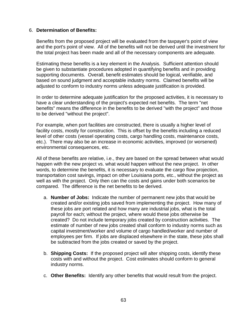#### 6. **Determination of Benefits:**

Benefits from the proposed project will be evaluated from the taxpayer's point of view and the port's point of view. All of the benefits will not be derived until the investment for the total project has been made and all of the necessary components are adequate.

Estimating these benefits is a key element in the Analysis. Sufficient attention should be given to substantiate procedures adopted in quantifying benefits and in providing supporting documents. Overall, benefit estimates should be logical, verifiable, and based on sound judgment and acceptable industry norms. Claimed benefits will be adjusted to conform to industry norms unless adequate justification is provided.

In order to determine adequate justification for the proposed activities, it is necessary to have a clear understanding of the project's expected net benefits. The term "net benefits" means the difference in the benefits to be derived "with the project" and those to be derived "without the project".

For example, when port facilities are constructed, there is usually a higher level of facility costs, mostly for construction. This is offset by the benefits including a reduced level of other costs (vessel operating costs, cargo handling costs, maintenance costs, etc.). There may also be an increase in economic activities, improved (or worsened) environmental consequences, etc.

All of these benefits are relative, i.e., they are based on the spread between what would happen with the new project vs. what would happen without the new project. In other words, to determine the benefits, it is necessary to evaluate the cargo flow projection, transportation cost savings, impact on other Louisiana ports, etc., without the project as well as with the project. Only then can the costs and gains under both scenarios be compared. The difference is the net benefits to be derived.

- a. **Number of Jobs:** Indicate the number of permanent new jobs that would be created and/or existing jobs saved from implementing the project. How many of these jobs are port related and how many are industrial jobs, what is the total payroll for each; without the project, where would these jobs otherwise be created? Do not include temporary jobs created by construction activities. The estimate of number of new jobs created shall conform to industry norms such as capital investment/worker and volume of cargo handled/worker and number of employees per firm. If jobs are displaced elsewhere in the state, these jobs shall be subtracted from the jobs created or saved by the project.
- b. **Shipping Costs:** If the proposed project will alter shipping costs, identify these costs with and without the project. Cost estimates should conform to general industry norms.
- c. **Other Benefits:** Identify any other benefits that would result from the project.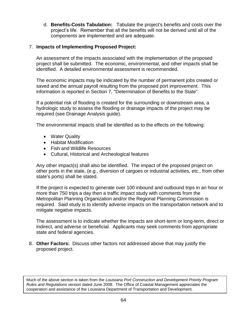d. **Benefits-Costs Tabulation:** Tabulate the project's benefits and costs over the project's life. Remember that all the benefits will not be derived until all of the components are implemented and are adequate.

#### 7. **Impacts of Implementing Proposed Project:**

An assessment of the impacts associated with the implementation of the proposed project shall be submitted. The economic, environmental, and other impacts shall be identified. A detailed environmental assessment is recommended.

The economic impacts may be indicated by the number of permanent jobs created or saved and the annual payroll resulting from the proposed port improvement. This information is reported in Section 7, "Determination of Benefits to the State".

If a potential risk of flooding is created for the surrounding or downstream area, a hydrologic study to assess the flooding or drainage impacts of the project may be required (see Drainage Analysis guide).

The environmental impacts shall be identified as to the effects on the following:

- Water Quality
- Habitat Modification
- Fish and Wildlife Resources
- Cultural, Historical and Archeological features

Any other impact(s) shall also be identified. The impact of the proposed project on other ports in the state, (e.g., diversion of cargoes or industrial activities, etc., from other state's ports) shall be stated.

If the project is expected to generate over 100 inbound and outbound trips in an hour or more than 750 trips a day then a traffic impact study with comments from the Metropolitan Planning Organization and/or the Regional Planning Commission is required. Said study is to identify adverse impacts on the transportation network and to mitigate negative impacts.

The assessment is to indicate whether the impacts are short-term or long-term, direct or indirect, and adverse or beneficial. Applicants may seek comments from appropriate state and federal agencies.

8. **Other Factors:** Discuss other factors not addressed above that may justify the proposed project.

Much of the above section is taken from the *Louisiana Port Construction and Development Priority Program Rules and Regulations* version dated June 2008. The Office of Coastal Management appreciates the cooperation and assistance of the Louisiana Department of Transportation and Development.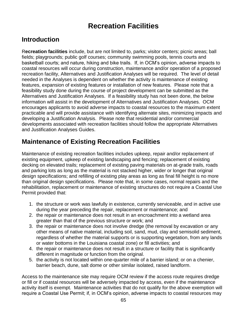# **Recreation Facilities**

# **Introduction**

R**ecreation facilities** include, but are not limited to, parks; visitor centers; picnic areas; ball fields; playgrounds; public golf courses; community swimming pools, tennis courts and basketball courts; and nature, hiking and bike trails. If, in OCM's opinion, adverse impacts to coastal resources will occur during construction, maintenance and/or operation of a proposed recreation facility, Alternatives and Justification Analyses will be required. The level of detail needed in the Analyses is dependent on whether the activity is maintenance of existing features, expansion of existing features or installation of new features. Please note that a feasibility study done during the course of project development can be submitted as the Alternatives and Justification Analyses. If a feasibility study has not been done, the below information will assist in the development of Alternatives and Justification Analyses. OCM encourages applicants to avoid adverse impacts to coastal resources to the maximum extent practicable and will provide assistance with identifying alternate sites, minimizing impacts and developing a Justification Analysis. Please note that residential and/or commercial developments associated with recreation facilities should follow the appropriate Alternatives and Justification Analyses Guides.

# **Maintenance of Existing Recreation Facilities**

Maintenance of existing recreation facilities includes upkeep, repair and/or replacement of existing equipment, upkeep of existing landscaping and fencing; replacement of existing decking on elevated trails; replacement of existing paving materials on at-grade trails, roads and parking lots as long as the material is not stacked higher, wider or longer that original design specifications; and refilling of existing play areas as long as final fill height is no more than original design specifications. Please note that, in some cases, normal repairs and the rehabilitation, replacement or maintenance of existing structures do not require a Coastal Use Permit provided that:

- 1. the structure or work was lawfully in existence, currently serviceable, and in active use during the year preceding the repair, replacement or maintenance; and
- 2. the repair or maintenance does not result in an encroachment into a wetland area greater than that of the previous structure or work; and
- 3. the repair or maintenance does not involve dredge (the removal by excavation or any other means of native material, including soil, sand, mud, clay and semisolid sediment, regardless of whether the material supports or is supporting vegetation, from any lands or water bottoms in the Louisiana coastal zone) or fill activities; and
- 4. the repair or maintenance does not result in a structure or facility that is significantly different in magnitude or function from the original.
- 5. the activity is not located within one-quarter mile of a barrier island; or on a chenier, barrier beach, dune, salt dome or other similar isolated, raised landform.

Access to the maintenance site may require OCM review if the access route requires dredge or fill or if coastal resources will be adversely impacted by access, even if the maintenance activity itself is exempt. Maintenance activities that do not qualify for the above exemption will require a Coastal Use Permit; if, in OCM's opinion, adverse impacts to coastal resources may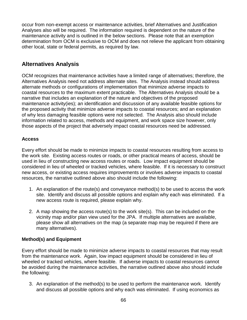occur from non-exempt access or maintenance activities, brief Alternatives and Justification Analyses also will be required. The information required is dependent on the nature of the maintenance activity and is outlined in the below sections. Please note that an exemption determination from OCM is exclusive to OCM and does not relieve the applicant from obtaining other local, state or federal permits, as required by law.

#### **Alternatives Analysis**

OCM recognizes that maintenance activities have a limited range of alternatives; therefore, the Alternatives Analysis need not address alternate sites. The Analysis instead should address alternate methods or configurations of implementation that minimize adverse impacts to coastal resources to the maximum extent practicable. The Alternatives Analysis should be a narrative that includes an explanation of the nature and objectives of the proposed maintenance activity(ies); an identification and discussion of any available feasible options for the proposed activity that minimize adverse impacts to coastal resources; and an explanation of why less damaging feasible options were not selected. The Analysis also should include information related to access, methods and equipment, and work space size however, only those aspects of the project that adversely impact coastal resources need be addressed.

#### **Access**

Every effort should be made to minimize impacts to coastal resources resulting from access to the work site. Existing access routes or roads, or other practical means of access, should be used in lieu of constructing new access routes or roads. Low impact equipment should be considered in lieu of wheeled or tracked vehicles, where feasible. If it is necessary to construct new access, or existing access requires improvements or involves adverse impacts to coastal resources, the narrative outlined above also should include the following:

- 1. An explanation of the route(s) and conveyance method(s) to be used to access the work site. Identify and discuss all possible options and explain why each was eliminated. If a new access route is required, please explain why.
- 2. A map showing the access route(s) to the work site(s). This can be included on the vicinity map and/or plan view used for the JPA. If multiple alternatives are available, please show all alternatives on the map (a separate map may be required if there are many alternatives).

#### **Method(s) and Equipment**

Every effort should be made to minimize adverse impacts to coastal resources that may result from the maintenance work. Again, low impact equipment should be considered in lieu of wheeled or tracked vehicles, where feasible. If adverse impacts to coastal resources cannot be avoided during the maintenance activities, the narrative outlined above also should include the following:

3. An explanation of the method(s) to be used to perform the maintenance work. Identify and discuss all possible options and why each was eliminated. If using economics as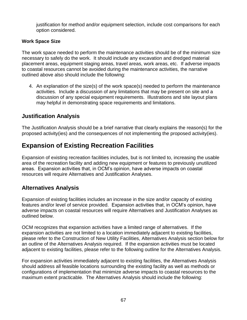justification for method and/or equipment selection, include cost comparisons for each option considered.

#### **Work Space Size**

The work space needed to perform the maintenance activities should be of the minimum size necessary to safely do the work. It should include any excavation and dredged material placement areas, equipment staging areas, travel areas, work areas, etc. If adverse impacts to coastal resources cannot be avoided during the maintenance activities, the narrative outlined above also should include the following:

4. An explanation of the size(s) of the work space(s) needed to perform the maintenance activities. Include a discussion of any limitations that may be present on site and a discussion of any special equipment requirements. Illustrations and site layout plans may helpful in demonstrating space requirements and limitations.

#### **Justification Analysis**

The Justification Analysis should be a brief narrative that clearly explains the reason(s) for the proposed activity(ies) and the consequences of not implementing the proposed activity(ies).

# **Expansion of Existing Recreation Facilities**

Expansion of existing recreation facilities includes, but is not limited to, increasing the usable area of the recreation facility and adding new equipment or features to previously unutilized areas. Expansion activities that, in OCM's opinion, have adverse impacts on coastal resources will require Alternatives and Justification Analyses.

### **Alternatives Analysis**

Expansion of existing facilities includes an increase in the size and/or capacity of existing features and/or level of service provided. Expansion activities that, in OCM's opinion, have adverse impacts on coastal resources will require Alternatives and Justification Analyses as outlined below.

OCM recognizes that expansion activities have a limited range of alternatives. If the expansion activities are not limited to a location immediately adjacent to existing facilities, please refer to the Construction of New Utility Facilities, Alternatives Analysis section below for an outline of the Alternatives Analysis required. If the expansion activities must be located adjacent to existing facilities, please refer to the following outline for the Alternatives Analysis.

For expansion activities immediately adjacent to existing facilities, the Alternatives Analysis should address all feasible locations surrounding the existing facility as well as methods or configurations of implementation that minimize adverse impacts to coastal resources to the maximum extent practicable. The Alternatives Analysis should include the following: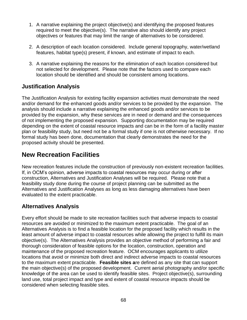- 1. A narrative explaining the project objective(s) and identifying the proposed features required to meet the objective(s). The narrative also should identify any project objectives or features that may limit the range of alternatives to be considered.
- 2. A description of each location considered. Include general topography, water/wetland features, habitat type(s) present, if known, and estimate of impact to each.
- 3. A narrative explaining the reasons for the elimination of each location considered but not selected for development. Please note that the factors used to compare each location should be identified and should be consistent among locations.

### **Justification Analysis**

The Justification Analysis for existing facility expansion activities must demonstrate the need and/or demand for the enhanced goods and/or services to be provided by the expansion. The analysis should include a narrative explaining the enhanced goods and/or services to be provided by the expansion, why these services are in need or demand and the consequences of not implementing the proposed expansion. Supporting documentation may be required depending on the extent of coastal resource impacts and can be in the form of a facility master plan or feasibility study, but need not be a formal study if one is not otherwise necessary. If no formal study has been done, documentation that clearly demonstrates the need for the proposed activity should be presented.

# **New Recreation Facilities**

New recreation features include the construction of previously non-existent recreation facilities. If, in OCM's opinion, adverse impacts to coastal resources may occur during or after construction, Alternatives and Justification Analyses will be required. Please note that a feasibility study done during the course of project planning can be submitted as the Alternatives and Justification Analyses as long as less damaging alternatives have been evaluated to the extent practicable.

## **Alternatives Analysis**

Every effort should be made to site recreation facilities such that adverse impacts to coastal resources are avoided or minimized to the maximum extent practicable. The goal of an Alternatives Analysis is to find a feasible location for the proposed facility which results in the least amount of adverse impact to coastal resources while allowing the project to fulfill its main objective(s). The Alternatives Analysis provides an objective method of performing a fair and thorough consideration of feasible options for the location, construction, operation and maintenance of the proposed recreation feature. OCM encourages applicants to utilize locations that avoid or minimize both direct and indirect adverse impacts to coastal resources to the maximum extent practicable. **Feasible sites a**re defined as any site that can support the main objective(s) of the proposed development. Current aerial photography and/or specific knowledge of the area can be used to identify feasible sites. Project objective(s), surrounding land use, total project impact and type and extent of coastal resource impacts should be considered when selecting feasible sites.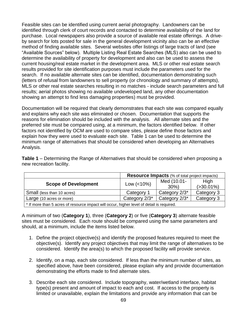Feasible sites can be identified using current aerial photography. Landowners can be identified through clerk of court records and contacted to determine availability of the land for purchase. Local newspapers also provide a source of available real estate offerings. A driveby search for lots posted for sale in the general development vicinity also can be an effective method of finding available sites. Several websites offer listings of large tracts of land (see "Available Sources" below). Multiple Listing Real Estate Searches (MLS) also can be used to determine the availability of property for development and also can be used to assess the current housing/real estate market in the development area. MLS or other real estate search results provided for site identification purposes must include the parameters used for the search. If no available alternate sites can be identified, documentation demonstrating such (letters of refusal from landowners to sell property (or chronology and summary of attempts), MLS or other real estate searches resulting in no matches - include search parameters and full results; aerial photos showing no available undeveloped land, any other documentation showing an attempt to find less damaging properties) must be provided.

Documentation will be required that clearly demonstrates that each site was compared equally and explains why each site was eliminated or chosen. Documentation that supports the reasons for elimination should be included with the analysis. All alternate sites and the preferred site must be compared using, at a minimum, the factors identified below. If other factors not identified by OCM are used to compare sites, please define those factors and explain how they were used to evaluate each site. Table 1 can be used to determine the minimum range of alternatives that should be considered when developing an Alternatives Analysis.

**Table 1** – Determining the Range of Alternatives that should be considered when proposing a new recreation facility.

|                                                                                          |               | <b>Resource Impacts</b> (% of total project impacts) |               |  |  |
|------------------------------------------------------------------------------------------|---------------|------------------------------------------------------|---------------|--|--|
| <b>Scope of Development</b>                                                              | Low $(<10\%)$ | Med (10.01-                                          | High          |  |  |
|                                                                                          |               | $30\%$                                               | $( >30.01\%)$ |  |  |
| Small (less than 10 acres)                                                               | Category 1    | Category 2/3*                                        | Category 3    |  |  |
| Large (10 acres or more)                                                                 | Category 2/3* | Category 2/3*                                        | Category 3    |  |  |
| * If more than 5 acres of resource impact will occur, bigher level of detail is required |               |                                                      |               |  |  |

\* If more than 5 acres of resource impact will occur, higher level of detail is required.

A minimum of two (**Category 1**), three (**Category 2**) or five (**Category 3**) alternate feasible sites must be considered. Each route should be compared using the same parameters and should, at a minimum, include the items listed below.

- 1. Define the project objective(s) and identify the proposed features required to meet the objective(s). Identify any project objectives that may limit the range of alternatives to be considered. Identify the area(s) to which the proposed facility will provide service.
- 2. Identify, on a map, each site considered. If less than the minimum number of sites, as specified above, have been considered, please explain why and provide documentation demonstrating the efforts made to find alternate sites.
- 3. Describe each site considered. Include topography, water/wetland interface, habitat type(s) present and amount of impact to each and cost. If access to the property is limited or unavailable, explain the limitations and provide any information that can be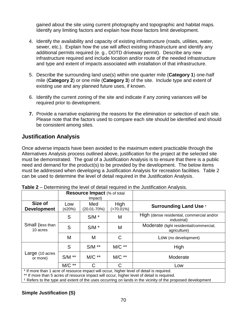gained about the site using current photography and topographic and habitat maps. Identify any limiting factors and explain how those factors limit development.

- 4. Identify the availability and capacity of existing infrastructure (roads, utilities, water, sewer, etc.). Explain how the use will affect existing infrastructure and identify any additional permits required (e. g., DOTD driveway permit). Describe any new infrastructure required and include location and/or route of the needed infrastructure and type and extent of impacts associated with installation of that infrastructure.
- 5. Describe the surrounding land use(s) within one quarter mile (**Category 1**) one-half mile (**Category 2**) or one mile (**Category 3**) of the site. Include type and extent of existing use and any planned future uses, if known.
- 6. Identify the current zoning of the site and indicate if any zoning variances will be required prior to development.
- **7.** Provide a narrative explaining the reasons for the elimination or selection of each site. Please note that the factors used to compare each site should be identified and should be consistent among sites.

#### **Justification Analysis**

Once adverse impacts have been avoided to the maximum extent practicable through the Alternatives Analysis process outlined above, justification for the project at the selected site must be demonstrated. The goal of a Justification Analysis is to ensure that there is a public need and demand for the product(s) to be provided by the development. The below items must be addressed when developing a Justification Analysis for recreation facilities. Table 2 can be used to determine the level of detail required in the Justification Analysis.

|                               | Resource Impact (% of total<br>impact) |                    |                      |                                                           |  |
|-------------------------------|----------------------------------------|--------------------|----------------------|-----------------------------------------------------------|--|
| Size of<br><b>Development</b> | Low<br>(≤20%)                          | Med<br>(20.01-70%) | High<br>$(>70.01\%)$ | <b>Surrounding Land Use +</b>                             |  |
|                               | S                                      | $S/M$ *            | M                    | High (dense residential, commercial and/or<br>industrial) |  |
| Small (less than<br>10 acres  | S                                      | $S/M$ *            | M                    | Moderate (light residential/commercial,<br>agriculture)   |  |
|                               | M                                      | M                  | C                    | Low (no development)                                      |  |
| Large (10 acres<br>or more)   | S                                      | $S/M$ **           | $MC**$               | High                                                      |  |
|                               | $S/M$ **                               | $MC**$             | $MC**$               | Moderate                                                  |  |
|                               | M/C **                                 | С                  | С                    | Low                                                       |  |

|  |  |  | <b>Table 2</b> – Determining the level of detail required in the Justification Analysis. |
|--|--|--|------------------------------------------------------------------------------------------|
|--|--|--|------------------------------------------------------------------------------------------|

\* If more than 1 acre of resource impact will occur, higher level of detail is required.

\*\* If more than 5 acres of resource impact will occur, higher level of detail is required.

† Refers to the type and extent of the uses occurring on lands in the vicinity of the proposed development

#### **Simple Justification (S)**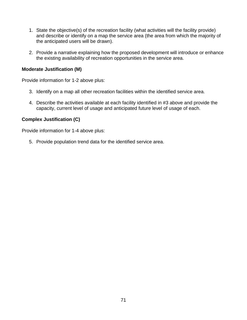- 1. State the objective(s) of the recreation facility (what activities will the facility provide) and describe or identify on a map the service area (the area from which the majority of the anticipated users will be drawn).
- 2. Provide a narrative explaining how the proposed development will introduce or enhance the existing availability of recreation opportunities in the service area.

#### **Moderate Justification (M)**

Provide information for 1-2 above plus:

- 3. Identify on a map all other recreation facilities within the identified service area.
- 4. Describe the activities available at each facility identified in #3 above and provide the capacity, current level of usage and anticipated future level of usage of each.

#### **Complex Justification (C)**

Provide information for 1-4 above plus:

5. Provide population trend data for the identified service area.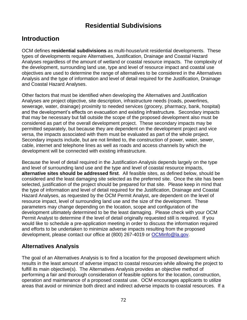# **Residential Subdivisions**

# **Introduction**

OCM defines **residential subdivisions** as multi-house/unit residential developments. These types of developments require Alternatives, Justification, Drainage and Coastal Hazard Analyses regardless of the amount of wetland or coastal resource impacts. The complexity of the development, surrounding land use, type and level of resource impact and coastal use objectives are used to determine the range of alternatives to be considered in the Alternatives Analysis and the type of information and level of detail required for the Justification, Drainage and Coastal Hazard Analyses.

Other factors that must be identified when developing the Alternatives and Justification Analyses are project objective, site description, infrastructure needs (roads, powerlines, sewerage, water, drainage) proximity to needed services (grocery, pharmacy, bank, hospital) and the development's effects on evacuation and existing infrastructure. Secondary impacts that may be necessary but fall outside the scope of the proposed development also must be considered as part of the overall development project. These secondary impacts may be permitted separately, but because they are dependent on the development project and vice versa, the impacts associated with them must be evaluated as part of the whole project. Secondary impacts include, but are not limited to, the construction of power, water, sewer, cable, internet and telephone lines as well as roads and access channels by which the development will be connected with existing infrastructure.

Because the level of detail required in the Justification Analysis depends largely on the type and level of surrounding land use and the type and level of coastal resource impacts, **alternative sites should be addressed first**. All feasible sites, as defined below, should be considered and the least damaging site selected as the preferred site. Once the site has been selected, justification of the project should be prepared for that site. Please keep in mind that the type of information and level of detail required for the Justification, Drainage and Coastal Hazard Analyses, as requested by the OCM Permit Analyst, are dependent on the level of resource impact, level of surrounding land use and the size of the development. These parameters may change depending on the location, scope and configuration of the development ultimately determined to be the least damaging. Please check with your OCM Permit Analyst to determine if the level of detail originally requested still is required. If you would like to schedule a pre-application meeting in order to discuss the information required and efforts to be undertaken to minimize adverse impacts resulting from the proposed development, please contact our office at (800) 267-4019 or [OCMinfo@la.gov.](mailto:OCMinfo@la.gov)

#### **Alternatives Analysis**

The goal of an Alternatives Analysis is to find a location for the proposed development which results in the least amount of adverse impact to coastal resources while allowing the project to fulfill its main objective(s). The Alternatives Analysis provides an objective method of performing a fair and thorough consideration of feasible options for the location, construction, operation and maintenance of a proposed coastal use. OCM encourages applicants to utilize areas that avoid or minimize both direct and indirect adverse impacts to coastal resources. If a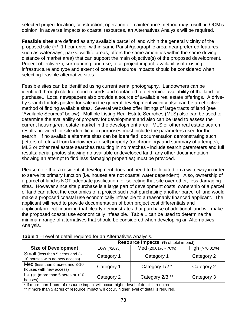selected project location, construction, operation or maintenance method may result, in OCM's opinion, in adverse impacts to coastal resources, an Alternatives Analysis will be required.

**Feasible sites** are defined as any available parcel of land within the general vicinity of the proposed site (+/- 1 hour drive; within same Parish/geographic area; near preferred features such as waterways, parks, wildlife areas; offers the same amenities within the same driving distance of market area) that can support the main objective(s) of the proposed development. Project objective(s), surrounding land use, total project impact, availability of existing infrastructure and type and extent of coastal resource impacts should be considered when selecting feasible alternative sites.

Feasible sites can be identified using current aerial photography. Landowners can be identified through clerk of court records and contacted to determine availability of the land for purchase.. Local newspapers also provide a source of available real estate offerings. A driveby search for lots posted for sale in the general development vicinity also can be an effective method of finding available sites. Several websites offer listings of large tracts of land (see "Available Sources" below). Multiple Listing Real Estate Searches (MLS) also can be used to determine the availability of property for development and also can be used to assess the current housing/real estate market in the development area. MLS or other real estate search results provided for site identification purposes must include the parameters used for the search. If no available alternate sites can be identified, documentation demonstrating such (letters of refusal from landowners to sell property (or chronology and summary of attempts), MLS or other real estate searches resulting in no matches - include search parameters and full results; aerial photos showing no available undeveloped land, any other documentation showing an attempt to find less damaging properties) must be provided.

Please note that a residential development does not need to be located on a waterway in order to serve its primary function (i.e. houses are not coastal water dependent). Also, ownership of a parcel of land is NOT adequate justification for selecting that site over other, less damaging sites. However since site purchase is a large part of development costs, ownership of a parcel of land can affect the economics of a project such that purchasing another parcel of land would make a proposed coastal use economically infeasible to a reasonably financed applicant. The applicant will need to provide documentation of both project cost differentials and applicant/project financing that clearly demonstrates that purchase of additional land will make the proposed coastal use economically infeasible. Table 1 can be used to determine the minimum range of alternatives that should be considered when developing an Alternatives Analysis.

|                                                                                                                                                                                        | <b>Resource Impacts</b> (% of total impact) |                    |                |  |  |
|----------------------------------------------------------------------------------------------------------------------------------------------------------------------------------------|---------------------------------------------|--------------------|----------------|--|--|
| <b>Size of Development</b>                                                                                                                                                             | Low $(≤20%)$                                | Med (20.01% - 70%) | High (>70.01%) |  |  |
| Small (less than 5 acres and 3-<br>10 houses with no new access)                                                                                                                       | Category 1                                  | Category 1         | Category 2     |  |  |
| Med (less than 5 acres and 3-10<br>houses with new access)                                                                                                                             | Category 1                                  | Category 1/2 *     | Category 2     |  |  |
| Large (more than 5 acres or $>10$<br>houses)                                                                                                                                           | Category 2                                  | Category 2/3 **    | Category 3     |  |  |
| * If more than 1 acre of resource impact will occur, higher level of detail is required.<br>** If more than 5 acres of resource impact will occur, higher level of detail is required. |                                             |                    |                |  |  |

**Table 1** –Level of detail required for an Alternatives Analysis.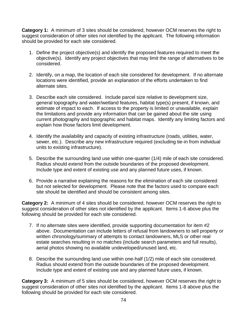**Category 1:** A minimum of 3 sites should be considered, however OCM reserves the right to suggest consideration of other sites not identified by the applicant. The following information should be provided for each site considered.

- 1. Define the project objective(s) and identify the proposed features required to meet the objective(s). Identify any project objectives that may limit the range of alternatives to be considered.
- 2. Identify, on a map, the location of each site considered for development. If no alternate locations were identified, provide an explanation of the efforts undertaken to find alternate sites.
- 3. Describe each site considered. Include parcel size relative to development size, general topography and water/wetland features, habitat type(s) present, if known, and estimate of impact to each. If access to the property is limited or unavailable, explain the limitations and provide any information that can be gained about the site using current photography and topographic and habitat maps. Identify any limiting factors and explain how those factors limit development.
- 4. Identify the availability and capacity of existing infrastructure (roads, utilities, water, sewer, etc.). Describe any new infrastructure required (excluding tie-in from individual units to existing infrastructure).
- 5. Describe the surrounding land use within one-quarter (1/4) mile of each site considered. Radius should extend from the outside boundaries of the proposed development. Include type and extent of existing use and any planned future uses, if known.
- 6. Provide a narrative explaining the reasons for the elimination of each site considered but not selected for development. Please note that the factors used to compare each site should be identified and should be consistent among sites.

**Category 2:** A minimum of 4 sites should be considered, however OCM reserves the right to suggest consideration of other sites not identified by the applicant. Items 1-6 above plus the following should be provided for each site considered.

- 7. If no alternate sites were identified, provide supporting documentation for item #2 above. Documentation can include letters of refusal from landowners to sell property or written chronology/summary of attempts to contact landowners, MLS or other real estate searches resulting in no matches (include search parameters and full results), aerial photos showing no available undeveloped/unused land, etc.
- 8. Describe the surrounding land use within one-half (1/2) mile of each site considered. Radius should extend from the outside boundaries of the proposed development. Include type and extent of existing use and any planned future uses, if known.

**Category 3:** A minimum of 5 sites should be considered, however OCM reserves the right to suggest consideration of other sites not identified by the applicant. Items 1-8 above plus the following should be provided for each site considered.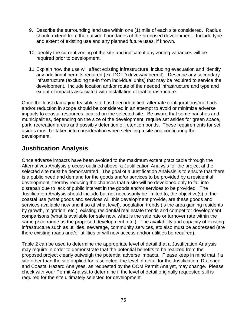- 9. Describe the surrounding land use within one (1) mile of each site considered. Radius should extend from the outside boundaries of the proposed development. Include type and extent of existing use and any planned future uses, if known.
- 10.Identify the current zoning of the site and indicate if any zoning variances will be required prior to development.
- 11.Explain how the use will affect existing infrastructure, including evacuation and identify any additional permits required (ex. DOTD driveway permit). Describe any secondary infrastructure (excluding tie-in from individual units) that may be required to service the development. Include location and/or route of the needed infrastructure and type and extent of impacts associated with installation of that infrastructure.

Once the least damaging feasible site has been identified, alternate configurations/methods and/or reduction in scope should be considered in an attempt to avoid or minimize adverse impacts to coastal resources located on the selected site. Be aware that some parishes and municipalities, depending on the size of the development, require set asides for green space, park, recreation areas and possibly detention or retention ponds. These requirements for set asides must be taken into consideration when selecting a site and configuring the development.

# **Justification Analysis**

Once adverse impacts have been avoided to the maximum extent practicable through the Alternatives Analysis process outlined above, a Justification Analysis for the project at the selected site must be demonstrated. The goal of a Justification Analysis is to ensure that there is a public need and demand for the goods and/or services to be provided by a residential development, thereby reducing the chances that a site will be developed only to fall into disrepair due to lack of public interest in the goods and/or services to be provided. The Justification Analysis should include but not necessarily be limited to, the objective(s) of the coastal use (what goods and services will this development provide, are these goods and services available now and if so at what level), population trends (is the area gaining residents by growth, migration, etc.), existing residential real estate trends and competitor development comparisons (what is available for sale now, what is the sale rate or turnover rate within the same price range as the proposed development, etc.). The availability and capacity of existing infrastructure such as utilities, sewerage, community services, etc also must be addressed (are there existing roads and/or utilities or will new access and/or utilities be required).

Table 2 can be used to determine the appropriate level of detail that a Justification Analysis may require in order to demonstrate that the potential benefits to be realized from the proposed project clearly outweigh the potential adverse impacts. Please keep in mind that if a site other than the site applied for is selected, the level of detail for the Justification, Drainage and Coastal Hazard Analyses, as requested by the OCM Permit Analyst, may change. Please check with your Permit Analyst to determine if the level of detail originally requested still is required for the site ultimately selected for development.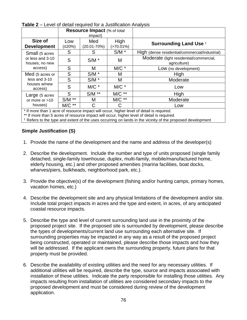| IUNIV L<br>Lover or actual required for a bublingulor maryoid |                                    |                 |              |                                                |  |  |
|---------------------------------------------------------------|------------------------------------|-----------------|--------------|------------------------------------------------|--|--|
|                                                               | <b>Resource Impact (% of total</b> |                 |              |                                                |  |  |
|                                                               | impact)                            |                 |              |                                                |  |  |
| Size of                                                       | Low                                | Med             | High         | <b>Surrounding Land Use +</b>                  |  |  |
| <b>Development</b>                                            | (≤20%)                             | $(20.01 - 70%)$ | $(>70.01\%)$ |                                                |  |  |
| Small (5 acres                                                | S                                  | S               | $S/M$ *      | High (dense residential/commercial/industrial) |  |  |
| or less and 3-10                                              | S                                  | $S/M$ *         | M            | Moderate (light residential/commercial,        |  |  |
| houses, no new                                                |                                    |                 |              | agriculture)                                   |  |  |
| access)                                                       | S                                  | М               | $M/C$ $*$    | Low (no development)                           |  |  |
| Med (5 acres or                                               | S                                  | $S/M$ *         | Μ            | High                                           |  |  |
| less and 3-10                                                 | S                                  | $S/M$ *         | M            | Moderate                                       |  |  |
| houses w/new<br>access)                                       | S                                  | $MC$ *          | $M/C$ $*$    | Low                                            |  |  |
|                                                               | S                                  | $S/M$ **        | $M/C$ **     | High                                           |  |  |
| Large (5 acres                                                |                                    |                 |              |                                                |  |  |
| or more or $>10$                                              | $S/M$ **                           | M               | $M/C$ **     | Moderate                                       |  |  |
| houses)                                                       | $M/C$ **                           | С               | С            | Low                                            |  |  |

**Table 2** – Level of detail required for a Justification Analysis

\* If more than 1 acre of resource impact will occur, higher level of detail is required.

\*\* If more than 5 acres of resource impact will occur, higher level of detail is required.

† Refers to the type and extent of the uses occurring on lands in the vicinity of the proposed development

#### **Simple Justification (S)**

- 1. Provide the name of the development and the name and address of the developer(s)
- 2. Describe the development. Include the number and type of units proposed (single family detached, single-family townhouse, duplex, multi-family, mobile/manufactured home, elderly housing, etc.) and other proposed amenities (marina facilities, boat docks, wharves/piers, bulkheads, neighborhood park, etc.).
- 3. Provide the objective(s) of the development (fishing and/or hunting camps, primary homes, vacation homes, etc.)
- 4. Describe the development site and any physical limitations of the development and/or site. Include total project impacts in acres and the type and extent, in acres, of any anticipated coastal resource impacts.
- 5. Describe the type and level of current surrounding land use in the proximity of the proposed project site. If the proposed site is surrounded by development, please describe the types of developments/current land use surrounding each alternative site. If surrounding properties may be impacted in any way as a result of the proposed project being constructed, operated or maintained, please describe those impacts and how they will be addressed. If the applicant owns the surrounding property, future plans for that property must be provided.
- 6. Describe the availability of existing utilities and the need for any necessary utilities. If additional utilities will be required, describe the type, source and impacts associated with installation of these utilities. Indicate the party responsible for installing those utilities. Any impacts resulting from installation of utilities are considered secondary impacts to the proposed development and must be considered during review of the development application.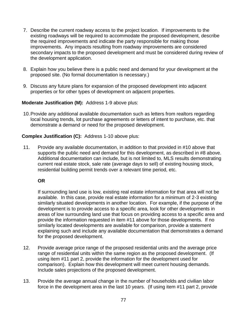- 7. Describe the current roadway access to the project location. If improvements to the existing roadways will be required to accommodate the proposed development, describe the required improvements and indicate the party responsible for making those improvements. Any impacts resulting from roadway improvements are considered secondary impacts to the proposed development and must be considered during review of the development application.
- 8. Explain how you believe there is a public need and demand for your development at the proposed site. (No formal documentation is necessary.)
- 9. Discuss any future plans for expansion of the proposed development into adjacent properties or for other types of development on adjacent properties.

#### **Moderate Justification (M):** Address 1-9 above plus:

10.Provide any additional available documentation such as letters from realtors regarding local housing trends, lot purchase agreements or letters of intent to purchase, etc. that demonstrate a demand or need for the proposed development.

#### **Complex Justification (C):** Address 1-10 above plus:

11. Provide any available documentation, in addition to that provided in #10 above that supports the public need and demand for this development, as described in #8 above. Additional documentation can include, but is not limited to, MLS results demonstrating current real estate stock, sale rate (average days to sell) of existing housing stock, residential building permit trends over a relevant time period, etc.

#### **OR**

If surrounding land use is low, existing real estate information for that area will not be available. In this case, provide real estate information for a minimum of 2-3 existing similarly situated developments in another location. For example, if the purpose of the development is to provide access to a specific area, look for other developments in areas of low surrounding land use that focus on providing access to a specific area and provide the information requested in item #11 above for those developments. If no similarly located developments are available for comparison, provide a statement explaining such and include any available documentation that demonstrates a demand for the proposed development.

- 12. Provide average price range of the proposed residential units and the average price range of residential units within the same region as the proposed development. (If using item #11 part 2, provide the information for the development used for comparison). Explain how this development will meet current housing demands. Include sales projections of the proposed development.
- 13. Provide the average annual change in the number of households and civilian labor force in the development area in the last 10 years. (If using item #11 part 2, provide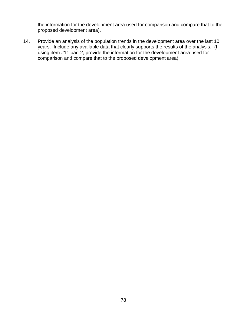the information for the development area used for comparison and compare that to the proposed development area).

14. Provide an analysis of the population trends in the development area over the last 10 years. Include any available data that clearly supports the results of the analysis. (If using item #11 part 2, provide the information for the development area used for comparison and compare that to the proposed development area).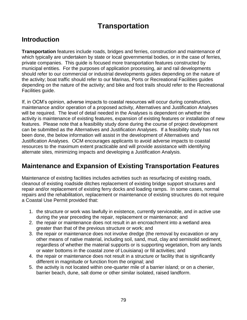# **Transportation**

# **Introduction**

**Transportation** features include roads, bridges and ferries, construction and maintenance of which typically are undertaken by state or local governmental bodies, or in the case of ferries, private companies. This guide is focused more transportation features constructed by municipal entities. For the purposes of application processing, air and rail developments should refer to our commercial or industrial developments guides depending on the nature of the activity; boat traffic should refer to our Marinas, Ports or Recreational Facilities guides depending on the nature of the activity; and bike and foot trails should refer to the Recreational Facilities guide.

If, in OCM's opinion, adverse impacts to coastal resources will occur during construction, maintenance and/or operation of a proposed activity, Alternatives and Justification Analyses will be required. The level of detail needed in the Analyses is dependent on whether the activity is maintenance of existing features, expansion of existing features or installation of new features. Please note that a feasibility study done during the course of project development can be submitted as the Alternatives and Justification Analyses. If a feasibility study has not been done, the below information will assist in the development of Alternatives and Justification Analyses. OCM encourages applicants to avoid adverse impacts to coastal resources to the maximum extent practicable and will provide assistance with identifying alternate sites, minimizing impacts and developing a Justification Analysis.

## **Maintenance and Expansion of Existing Transportation Features**

Maintenance of existing facilities includes activities such as resurfacing of existing roads, cleanout of existing roadside ditches replacement of existing bridge support structures and repair and/or replacement of existing ferry docks and loading ramps. In some cases, normal repairs and the rehabilitation, replacement or maintenance of existing structures do not require a Coastal Use Permit provided that:

- 1. the structure or work was lawfully in existence, currently serviceable, and in active use during the year preceding the repair, replacement or maintenance; and
- 2. the repair or maintenance does not result in an encroachment into a wetland area greater than that of the previous structure or work; and
- 3. the repair or maintenance does not involve dredge (the removal by excavation or any other means of native material, including soil, sand, mud, clay and semisolid sediment, regardless of whether the material supports or is supporting vegetation, from any lands or water bottoms in the coastal zone of Louisiana) or fill activities; and
- 4. the repair or maintenance does not result in a structure or facility that is significantly different in magnitude or function from the original; and
- 5. the activity is not located within one-quarter mile of a barrier island; or on a chenier, barrier beach, dune, salt dome or other similar isolated, raised landform.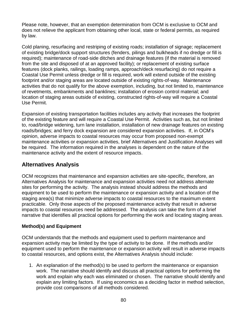Please note, however, that an exemption determination from OCM is exclusive to OCM and does not relieve the applicant from obtaining other local, state or federal permits, as required by law.

Cold planing, resurfacing and restriping of existing roads; installation of signage; replacement of existing bridge/dock support structures (fenders, pilings and bulkheads if no dredge or fill is required); maintenance of road-side ditches and drainage features (if the material is removed from the site and disposed of at an approved facility); or replacement of existing surface features (dock planks, railings, loading ramps, approach/deck resurfacing) do not require a Coastal Use Permit unless dredge or fill is required, work will extend outside of the existing footprint and/or staging areas are located outside of existing rights-of-way. Maintenance activities that do not qualify for the above exemption, including, but not limited to, maintenance of revetments, embankments and banklines; installation of erosion control material; and location of staging areas outside of existing, constructed rights-of-way will require a Coastal Use Permit.

Expansion of existing transportation facilities includes any activity that increases the footprint of the existing feature and will require a Coastal Use Permit. Activities such as, but not limited to, road/bridge widening, turn lane installation, installation of new drainage features on existing roads/bridges; and ferry dock expansion are considered expansion activities. If, in OCM's opinion, adverse impacts to coastal resources may occur from proposed non-exempt maintenance activities or expansion activities, brief Alternatives and Justification Analyses will be required. The information required in the analyses is dependent on the nature of the maintenance activity and the extent of resource impacts.

#### **Alternatives Analysis**

OCM recognizes that maintenance and expansion activities are site-specific, therefore, an Alternatives Analysis for maintenance and expansion activities need not address alternate sites for performing the activity. The analysis instead should address the methods and equipment to be used to perform the maintenance or expansion activity and a location of the staging area(s) that minimize adverse impacts to coastal resources to the maximum extent practicable. Only those aspects of the proposed maintenance activity that result in adverse impacts to coastal resources need be addressed. The analysis can take the form of a brief narrative that identifies all practical options for performing the work and locating staging areas.

#### **Method(s) and Equipment**

OCM understands that the methods and equipment used to perform maintenance and expansion activity may be limited by the type of activity to be done. If the methods and/or equipment used to perform the maintenance or expansion activity will result in adverse impacts to coastal resources, and options exist, the Alternatives Analysis should include:

1. An explanation of the method(s) to be used to perform the maintenance or expansion work. The narrative should identify and discuss all practical options for performing the work and explain why each was eliminated or chosen. The narrative should identify and explain any limiting factors. If using economics as a deciding factor in method selection, provide cost comparisons of all methods considered.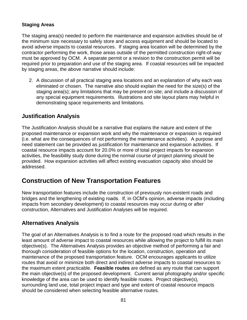#### **Staging Areas**

The staging area(s) needed to perform the maintenance and expansion activities should be of the minimum size necessary to safely store and access equipment and should be located to avoid adverse impacts to coastal resources. If staging area location will be determined by the contractor performing the work, those areas outside of the permitted construction right-of-way must be approved by OCM. A separate permit or a revision to the construction permit will be required prior to preparation and use of the staging area. If coastal resources will be impacted by staging areas, the above narrative should include:

2. A discussion of all practical staging area locations and an explanation of why each was eliminated or chosen. The narrative also should explain the need for the size(s) of the staging area(s); any limitations that may be present on site; and include a discussion of any special equipment requirements. Illustrations and site layout plans may helpful in demonstrating space requirements and limitations.

#### **Justification Analysis**

The Justification Analysis should be a narrative that explains the nature and extent of the proposed maintenance or expansion work and why the maintenance or expansion is required (i.e. what are the consequences of not performing the maintenance activities). A purpose and need statement can be provided as justification for maintenance and expansion activities. If coastal resource impacts account for 20.0% or more of total project impacts for expansion activities, the feasibility study done during the normal course of project planning should be provided. How expansion activities will affect existing evacuation capacity also should be addressed.

## **Construction of New Transportation Features**

New transportation features include the construction of previously non-existent roads and bridges and the lengthening of existing roads. If, in OCM's opinion, adverse impacts (including impacts from secondary development) to coastal resources may occur during or after construction, Alternatives and Justification Analyses will be required.

#### **Alternatives Analysis**

The goal of an Alternatives Analysis is to find a route for the proposed road which results in the least amount of adverse impact to coastal resources while allowing the project to fulfill its main objective(s). The Alternatives Analysis provides an objective method of performing a fair and thorough consideration of feasible options for the location, construction, operation and maintenance of the proposed transportation feature. OCM encourages applicants to utilize routes that avoid or minimize both direct and indirect adverse impacts to coastal resources to the maximum extent practicable. **Feasible routes** are defined as any route that can support the main objective(s) of the proposed development. Current aerial photography and/or specific knowledge of the area can be used to identify feasible routes. Project objective(s), surrounding land use, total project impact and type and extent of coastal resource impacts should be considered when selecting feasible alternative routes.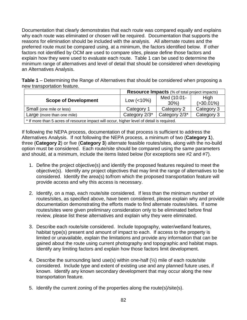Documentation that clearly demonstrates that each route was compared equally and explains why each route was eliminated or chosen will be required. Documentation that supports the reasons for elimination should be included with the analysis. All alternate routes and the preferred route must be compared using, at a minimum, the factors identified below. If other factors not identified by OCM are used to compare sites, please define those factors and explain how they were used to evaluate each route. Table 1 can be used to determine the minimum range of alternatives and level of detail that should be considered when developing an Alternatives Analysis.

**Table 1** – Determining the Range of Alternatives that should be considered when proposing a new transportation feature.

|                                                                                           | <b>Resource Impacts</b> (% of total project impacts) |                        |                        |  |
|-------------------------------------------------------------------------------------------|------------------------------------------------------|------------------------|------------------------|--|
| <b>Scope of Development</b>                                                               | Low $(<10\%)$                                        | Med (10.01-<br>$30\%)$ | High<br>$( > 30.01\%)$ |  |
| Small (one mile or less)                                                                  | Category 1                                           | Category 2             | Category 3             |  |
| Large (more than one mile)                                                                | Category 2/3*                                        | Category 2/3*          | Category 3             |  |
| * If more than 5 acres of resource impact will occur, higher level of detail is required. |                                                      |                        |                        |  |

If following the NEPA process, documentation of that process is sufficient to address the Alternatives Analysis. If not following the NEPA process, a minimum of two (**Category 1**), three (**Category 2**) or five (**Category 3**) alternate feasible routes/sites, along with the no-build option must be considered. Each route/site should be compared using the same parameters and should, at a minimum, include the items listed below (for exceptions see #2 and #7).

- 1. Define the project objective(s) and identify the proposed features required to meet the objective(s). Identify any project objectives that may limit the range of alternatives to be considered. Identify the area(s) to/from which the proposed transportation feature will provide access and why this access is necessary.
- 2. Identify, on a map, each route/site considered. If less than the minimum number of routes/sites, as specified above, have been considered, please explain why and provide documentation demonstrating the efforts made to find alternate routes/sites. If some routes/sites were given preliminary consideration only to be eliminated before final review, please list these alternatives and explain why they were eliminated.
- 3. Describe each route/site considered. Include topography, water/wetland features, habitat type(s) present and amount of impact to each. If access to the property is limited or unavailable, explain the limitations and provide any information that can be gained about the route using current photography and topographic and habitat maps. Identify any limiting factors and explain how those factors limit development.
- 4. Describe the surrounding land use(s) within one-half (½) mile of each route/site considered. Include type and extent of existing use and any planned future uses, if known. Identify any known secondary development that may occur along the new transportation feature.
- 5. Identify the current zoning of the properties along the route(s)/site(s).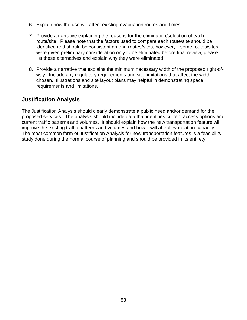- 6. Explain how the use will affect existing evacuation routes and times.
- 7. Provide a narrative explaining the reasons for the elimination/selection of each route/site. Please note that the factors used to compare each route/site should be identified and should be consistent among routes/sites, however, if some routes/sites were given preliminary consideration only to be eliminated before final review, please list these alternatives and explain why they were eliminated.
- 8. Provide a narrative that explains the minimum necessary width of the proposed right-ofway. Include any regulatory requirements and site limitations that affect the width chosen. Illustrations and site layout plans may helpful in demonstrating space requirements and limitations.

#### **Justification Analysis**

The Justification Analysis should clearly demonstrate a public need and/or demand for the proposed services. The analysis should include data that identifies current access options and current traffic patterns and volumes. It should explain how the new transportation feature will improve the existing traffic patterns and volumes and how it will affect evacuation capacity. The most common form of Justification Analysis for new transportation features is a feasibility study done during the normal course of planning and should be provided in its entirety.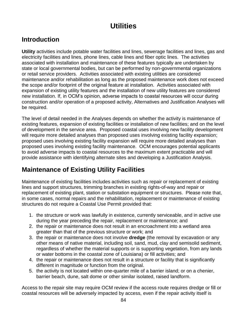# **Utilities**

# **Introduction**

**Utility** activities include potable water facilities and lines, sewerage facilities and lines, gas and electricity facilities and lines, phone lines, cable lines and fiber optic lines. The activities associated with installation and maintenance of these features typically are undertaken by state or local governmental bodies, but can be performed by non-governmental organizations or retail service providers. Activities associated with existing utilities are considered maintenance and/or rehabilitation as long as the proposed maintenance work does not exceed the scope and/or footprint of the original feature at installation. Activities associated with expansion of existing utility features and the installation of new utility features are considered new installation. If, in OCM's opinion, adverse impacts to coastal resources will occur during construction and/or operation of a proposed activity, Alternatives and Justification Analyses will be required.

The level of detail needed in the Analyses depends on whether the activity is maintenance of existing features, expansion of existing facilities or installation of new facilities; and on the level of development in the service area. Proposed coastal uses involving new facility development will require more detailed analyses than proposed uses involving existing facility expansion; proposed uses involving existing facility expansion will require more detailed analyses than proposed uses involving existing facility maintenance. OCM encourages potential applicants to avoid adverse impacts to coastal resources to the maximum extent practicable and will provide assistance with identifying alternate sites and developing a Justification Analysis.

# **Maintenance of Existing Utility Facilities**

Maintenance of existing facilities includes activities such as repair or replacement of existing lines and support structures, trimming branches in existing rights-of-way and repair or replacement of existing plant, station or substation equipment or structures. Please note that, in some cases, normal repairs and the rehabilitation, replacement or maintenance of existing structures do not require a Coastal Use Permit provided that:

- 1. the structure or work was lawfully in existence, currently serviceable, and in active use during the year preceding the repair, replacement or maintenance; and
- 2. the repair or maintenance does not result in an encroachment into a wetland area greater than that of the previous structure or work; and
- 3. the repair or maintenance does not involve **dredge** (the removal by excavation or any other means of native material, including soil, sand, mud, clay and semisolid sediment, regardless of whether the material supports or is supporting vegetation, from any lands or water bottoms in the coastal zone of Louisiana) or fill activities; and
- 4. the repair or maintenance does not result in a structure or facility that is significantly different in magnitude or function from the original.
- 5. the activity is not located within one-quarter mile of a barrier island; or on a chenier, barrier beach, dune, salt dome or other similar isolated, raised landform.

Access to the repair site may require OCM review if the access route requires dredge or fill or coastal resources will be adversely impacted by access, even if the repair activity itself is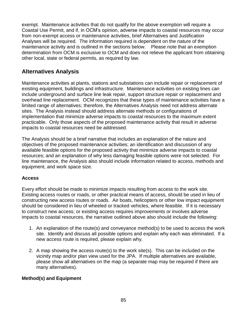exempt. Maintenance activities that do not qualify for the above exemption will require a Coastal Use Permit, and if, in OCM's opinion, adverse impacts to coastal resources may occur from non-exempt access or maintenance activities, brief Alternatives and Justification Analyses will be required. The information required is dependent on the nature of the maintenance activity and is outlined in the sections below. Please note that an exemption determination from OCM is exclusive to OCM and does not relieve the applicant from obtaining other local, state or federal permits, as required by law.

#### **Alternatives Analysis**

Maintenance activities at plants, stations and substations can include repair or replacement of existing equipment, buildings and infrastructure. Maintenance activities on existing lines can include underground and surface line leak repair, support structure repair or replacement and overhead line replacement. OCM recognizes that these types of maintenance activities have a limited range of alternatives; therefore, the Alternatives Analysis need not address alternate sites. The Analysis instead should address alternate methods or configurations of implementation that minimize adverse impacts to coastal resources to the maximum extent practicable. Only those aspects of the proposed maintenance activity that result in adverse impacts to coastal resources need be addressed.

The Analysis should be a brief narrative that includes an explanation of the nature and objectives of the proposed maintenance activities; an identification and discussion of any available feasible options for the proposed activity that minimize adverse impacts to coastal resources; and an explanation of why less damaging feasible options were not selected. For line maintenance, the Analysis also should include information related to access, methods and equipment, and work space size.

#### **Access**

Every effort should be made to minimize impacts resulting from access to the work site. Existing access routes or roads, or other practical means of access, should be used in lieu of constructing new access routes or roads. Air boats, helicopters or other low impact equipment should be considered in lieu of wheeled or tracked vehicles, where feasible. If it is necessary to construct new access; or existing access requires improvements or involves adverse impacts to coastal resources, the narrative outlined above also should include the following:

- 1. An explanation of the route(s) and conveyance method(s) to be used to access the work site. Identify and discuss all possible options and explain why each was eliminated. If a new access route is required, please explain why.
- 2. A map showing the access route(s) to the work site(s). This can be included on the vicinity map and/or plan view used for the JPA. If multiple alternatives are available, please show all alternatives on the map (a separate map may be required if there are many alternatives).

#### **Method(s) and Equipment**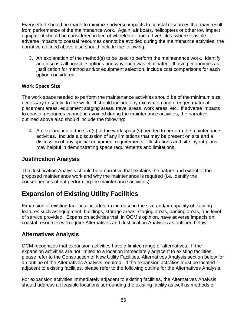Every effort should be made to minimize adverse impacts to coastal resources that may result from performance of the maintenance work. Again, air boats, helicopters or other low impact equipment should be considered in lieu of wheeled or tracked vehicles, where feasible. If adverse impacts to coastal resources cannot be avoided during the maintenance activities, the narrative outlined above also should include the following:

3. An explanation of the method(s) to be used to perform the maintenance work. Identify and discuss all possible options and why each was eliminated. If using economics as justification for method and/or equipment selection, include cost comparisons for each option considered.

#### **Work Space Size**

The work space needed to perform the maintenance activities should be of the minimum size necessary to safely do the work. It should include any excavation and dredged material placement areas, equipment staging areas, travel areas, work areas, etc. If adverse impacts to coastal resources cannot be avoided during the maintenance activities, the narrative outlined above also should include the following:

4. An explanation of the size(s) of the work space(s) needed to perform the maintenance activities. Include a discussion of any limitations that may be present on site and a discussion of any special equipment requirements. Illustrations and site layout plans may helpful in demonstrating space requirements and limitations.

#### **Justification Analysis**

The Justification Analysis should be a narrative that explains the nature and extent of the proposed maintenance work and why the maintenance is required (i.e. identify the consequences of not performing the maintenance activities).

# **Expansion of Existing Utility Facilities**

Expansion of existing facilities includes an increase in the size and/or capacity of existing features such as equipment, buildings, storage areas, staging areas, parking areas, and level of service provided. Expansion activities that, in OCM's opinion, have adverse impacts on coastal resources will require Alternatives and Justification Analyses as outlined below.

#### **Alternatives Analysis**

OCM recognizes that expansion activities have a limited range of alternatives. If the expansion activities are not limited to a location immediately adjacent to existing facilities, please refer to the Construction of New Utility Facilities, Alternatives Analysis section below for an outline of the Alternatives Analysis required. If the expansion activities must be located adjacent to existing facilities, please refer to the following outline for the Alternatives Analysis.

For expansion activities immediately adjacent to existing facilities, the Alternatives Analysis should address all feasible locations surrounding the existing facility as well as methods or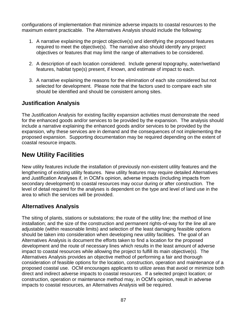configurations of implementation that minimize adverse impacts to coastal resources to the maximum extent practicable. The Alternatives Analysis should include the following:

- 1. A narrative explaining the project objective(s) and identifying the proposed features required to meet the objective(s). The narrative also should identify any project objectives or features that may limit the range of alternatives to be considered.
- 2. A description of each location considered. Include general topography, water/wetland features, habitat type(s) present, if known, and estimate of impact to each.
- 3. A narrative explaining the reasons for the elimination of each site considered but not selected for development. Please note that the factors used to compare each site should be identified and should be consistent among sites.

#### **Justification Analysis**

The Justification Analysis for existing facility expansion activities must demonstrate the need for the enhanced goods and/or services to be provided by the expansion. The analysis should include a narrative explaining the enhanced goods and/or services to be provided by the expansion, why these services are in demand and the consequences of not implementing the proposed expansion. Supporting documentation may be required depending on the extent of coastal resource impacts.

## **New Utility Facilities**

New utility features include the installation of previously non-existent utility features and the lengthening of existing utility features. New utility features may require detailed Alternatives and Justification Analyses if, in OCM's opinion, adverse impacts (including impacts from secondary development) to coastal resources may occur during or after construction. The level of detail required for the analyses is dependent on the type and level of land use in the area to which the services will be provided.

#### **Alternatives Analysis**

The siting of plants, stations or substations; the route of the utility line; the method of line installation; and the size of the construction and permanent rights-of-way for the line all are adjustable (within reasonable limits) and selection of the least damaging feasible options should be taken into consideration when developing new utility facilities. The goal of an Alternatives Analysis is document the efforts taken to find a location for the proposed development and the route of necessary lines which results in the least amount of adverse impact to coastal resources while allowing the project to fulfill its main objective(s). The Alternatives Analysis provides an objective method of performing a fair and thorough consideration of feasible options for the location, construction, operation and maintenance of a proposed coastal use. OCM encourages applicants to utilize areas that avoid or minimize both direct and indirect adverse impacts to coastal resources. If a selected project location; or construction, operation or maintenance method may, in OCM's opinion, result in adverse impacts to coastal resources, an Alternatives Analysis will be required.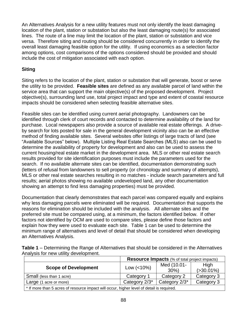An Alternatives Analysis for a new utility features must not only identify the least damaging location of the plant, station or substation but also the least damaging route(s) for associated lines. The route of a line may limit the location of the plant, station or substation and vice versa. Therefore siting and routing should be considered concurrently in order to identify the overall least damaging feasible option for the utility. If using economics as a selection factor among options, cost comparisons of the options considered should be provided and should include the cost of mitigation associated with each option.

#### **Siting**

Siting refers to the location of the plant, station or substation that will generate, boost or serve the utility to be provided. **Feasible sites** are defined as any available parcel of land within the service area that can support the main objective(s) of the proposed development. Project objective(s), surrounding land use, total project impact and type and extent of coastal resource impacts should be considered when selecting feasible alternative sites.

Feasible sites can be identified using current aerial photography. Landowners can be identified through clerk of court records and contacted to determine availability of the land for purchase. Local newspapers also provide a source of available real estate offerings. A driveby search for lots posted for sale in the general development vicinity also can be an effective method of finding available sites. Several websites offer listings of large tracts of land (see "Available Sources" below). Multiple Listing Real Estate Searches (MLS) also can be used to determine the availability of property for development and also can be used to assess the current housing/real estate market in the development area. MLS or other real estate search results provided for site identification purposes must include the parameters used for the search. If no available alternate sites can be identified, documentation demonstrating such (letters of refusal from landowners to sell property (or chronology and summary of attempts), MLS or other real estate searches resulting in no matches - include search parameters and full results; aerial photos showing no available undeveloped land, any other documentation showing an attempt to find less damaging properties) must be provided.

Documentation that clearly demonstrates that each parcel was compared equally and explains why less damaging parcels were eliminated will be required. Documentation that supports the reasons for elimination should be included with the analysis. All alternate sites and the preferred site must be compared using, at a minimum, the factors identified below. If other factors not identified by OCM are used to compare sites, please define those factors and explain how they were used to evaluate each site. Table 1 can be used to determine the minimum range of alternatives and level of detail that should be considered when developing an Alternatives Analysis.

**Table 1** – Determining the Range of Alternatives that should be considered in the Alternatives Analysis for new utility development.

|                                                                                           | <b>Resource Impacts</b> (% of total project impacts) |               |               |  |
|-------------------------------------------------------------------------------------------|------------------------------------------------------|---------------|---------------|--|
| <b>Scope of Development</b>                                                               | Low $(<10\%)$                                        | Med (10.01-   | High          |  |
|                                                                                           |                                                      | $30\%$        | $( >30.01\%)$ |  |
| Small (less than 1 acre)                                                                  | Category 1                                           | Category 2    | Category 3    |  |
| Large (1 acre or more)                                                                    | Category 2/3*                                        | Category 2/3* | Category 3    |  |
| * If more than 5 acres of resource impact will occur, higher level of detail is required. |                                                      |               |               |  |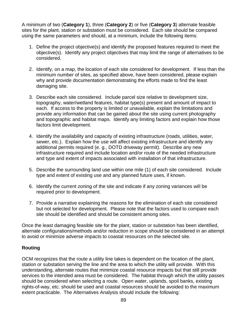A minimum of two (**Category 1**), three (**Category 2**) or five (**Category 3**) alternate feasible sites for the plant, station or substation must be considered. Each site should be compared using the same parameters and should, at a minimum, include the following items:

- 1. Define the project objective(s) and identify the proposed features required to meet the objective(s). Identify any project objectives that may limit the range of alternatives to be considered.
- 2. Identify, on a map, the location of each site considered for development. If less than the minimum number of sites, as specified above, have been considered, please explain why and provide documentation demonstrating the efforts made to find the least damaging site.
- 3. Describe each site considered. Include parcel size relative to development size, topography, water/wetland features, habitat type(s) present and amount of impact to each. If access to the property is limited or unavailable, explain the limitations and provide any information that can be gained about the site using current photography and topographic and habitat maps. Identify any limiting factors and explain how those factors limit development.
- 4. Identify the availability and capacity of existing infrastructure (roads, utilities, water, sewer, etc.). Explain how the use will affect existing infrastructure and identify any additional permits required (e. g., DOTD driveway permit). Describe any new infrastructure required and include location and/or route of the needed infrastructure and type and extent of impacts associated with installation of that infrastructure.
- 5. Describe the surrounding land use within one mile (1) of each site considered. Include type and extent of existing use and any planned future uses, if known.
- 6. Identify the current zoning of the site and indicate if any zoning variances will be required prior to development.
- 7. Provide a narrative explaining the reasons for the elimination of each site considered but not selected for development. Please note that the factors used to compare each site should be identified and should be consistent among sites.

Once the least damaging feasible site for the plant, station or substation has been identified, alternate configurations/methods and/or reduction in scope should be considered in an attempt to avoid or minimize adverse impacts to coastal resources on the selected site.

#### **Routing**

OCM recognizes that the route a utility line takes is dependent on the location of the plant, station or substation serving the line and the area to which the utility will provide. With this understanding, alternate routes that minimize coastal resource impacts but that still provide services to the intended area must be considered. The habitat through which the utility passes should be considered when selecting a route. Open water, uplands, spoil banks, existing rights-of-way, etc. should be used and coastal resources should be avoided to the maximum extent practicable. The Alternatives Analysis should include the following: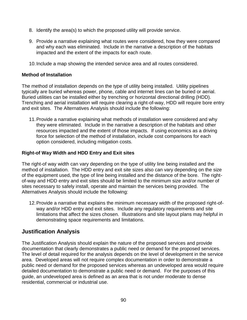- 8. Identify the area(s) to which the proposed utility will provide service.
- 9. Provide a narrative explaining what routes were considered, how they were compared and why each was eliminated. Include in the narrative a description of the habitats impacted and the extent of the impacts for each route.
- 10.Include a map showing the intended service area and all routes considered.

#### **Method of Installation**

The method of installation depends on the type of utility being installed. Utility pipelines typically are buried whereas power, phone, cable and internet lines can be buried or aerial. Buried utilities can be installed either by trenching or horizontal directional drilling (HDD). Trenching and aerial installation will require clearing a right-of-way, HDD will require bore entry and exit sites. The Alternatives Analysis should include the following:

11.Provide a narrative explaining what methods of installation were considered and why they were eliminated. Include in the narrative a description of the habitats and other resources impacted and the extent of those impacts. If using economics as a driving force for selection of the method of installation, include cost comparisons for each option considered, including mitigation costs.

#### **Right-of Way Width and HDD Entry and Exit sites**

The right-of way width can vary depending on the type of utility line being installed and the method of installation. The HDD entry and exit site sizes also can vary depending on the size of the equipment used, the type of line being installed and the distance of the bore. The rightof-way and HDD entry and exit sites should be limited to the minimum size and/or number of sites necessary to safely install, operate and maintain the services being provided. The Alternatives Analysis should include the following:

12.Provide a narrative that explains the minimum necessary width of the proposed right-ofway and/or HDD entry and exit sites. Include any regulatory requirements and site limitations that affect the sizes chosen. Illustrations and site layout plans may helpful in demonstrating space requirements and limitations.

#### **Justification Analysis**

The Justification Analysis should explain the nature of the proposed services and provide documentation that clearly demonstrates a public need or demand for the proposed services. The level of detail required for the analysis depends on the level of development in the service area. Developed areas will not require complex documentation in order to demonstrate a public need or demand for the proposed services whereas an undeveloped area would require detailed documentation to demonstrate a public need or demand. For the purposes of this guide, an undeveloped area is defined as an area that is not under moderate to dense residential, commercial or industrial use.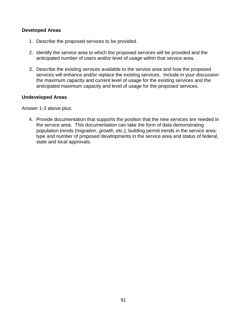#### **Developed Areas**

- 1. Describe the proposed services to be provided.
- 2. Identify the service area to which the proposed services will be provided and the anticipated number of users and/or level of usage within that service area.
- 3. Describe the existing services available to the service area and how the proposed services will enhance and/or replace the existing services. Include in your discussion the maximum capacity and current level of usage for the existing services and the anticipated maximum capacity and level of usage for the proposed services.

#### **Undeveloped Areas**

Answer 1-3 above plus:

4. Provide documentation that supports the position that the new services are needed in the service area. This documentation can take the form of data demonstrating population trends (migration, growth, etc.); building permit trends in the service area; type and number of proposed developments in the service area and status of federal, state and local approvals.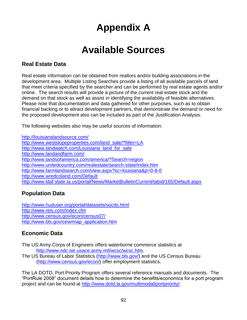# **Appendix A**

# **Available Sources**

#### **Real Estate Data**

Real estate information can be obtained from realtors and/or building associations in the development area. Multiple Listing Searches provide a listing of all available parcels of land that meet criteria specified by the searcher and can be performed by real estate agents and/or online. The search results will provide a picture of the current real estate stock and the demand on that stock as well as assist in identifying the availability of feasible alternatives. Please note that documentation and data gathered for other purposes, such as to obtain financial backing or to attract development partners, that demonstrate the demand or need for the proposed development also can be included as part of the Justification Analysis.

The following websites also may be useful sources of information:

<http://louisianalandsource.com/> [http://www.westslopeproperties.com/land\\_sale/?filter=LA](http://www.westslopeproperties.com/land_sale/?filter=LA) [http://www.landwatch.com/Louisiana\\_land\\_for\\_sale](http://www.landwatch.com/Louisiana_land_for_sale) <http://www.landandfarm.com/> <http://www.landsofamerica.com/america/?Search=region> <http://www.unitedcountry.com/realestate/search-state/index.htm> <http://www.farmlandsearch.com/view.aspx?sc=louisiana&p=0-8-0> <http://www.wredcoland.com/Default> <http://www.ldaf.state.la.us/portal/News/MarketBulletinCurrent/tabid/165/Default.aspx>

#### **Population Data**

<http://www.huduser.org/portal/datasets/socds.html> <http://www.reis.com/index.cfm> <http://www.census.gov/econ/census07/> [http://www.bls.gov/cew/map\\_application.htm](http://www.bls.gov/cew/map_application.htm)

#### **Economic Data**

The US Army Corps of Engineers offers waterborne commerce statistics at [http://www.ndc.iwr.usace.army.mil/wcsc/wcsc.htm.](http://www.ndc.iwr.usace.army.mil/wcsc/wcsc.htm)

The US Bureau of Labor Statistics [\(http://www.bls.gov/\)](http://www.bls.gov/) and the US Census Bureau [\(http://www.census.gov/econ/\)](http://www.census.gov/econ/) offer employment statistics.

The LA DOTD, Port Priority Program offers several reference manuals and documents. The "PortRule 2008" document details how to determine the benefits/economics for a port program project and can be found at [http://www.dotd.la.gov/multimodal/portpriority/.](http://www.dotd.la.gov/multimodal/portpriority/)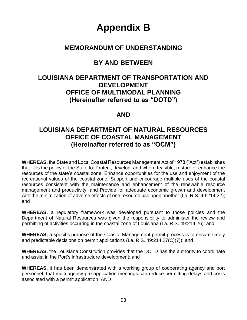# **Appendix B**

### **MEMORANDUM OF UNDERSTANDING**

## **BY AND BETWEEN**

## **LOUISIANA DEPARTMENT OF TRANSPORTATION AND DEVELOPMENT OFFICE OF MULTIMODAL PLANNING (Hereinafter referred to as "DOTD")**

#### **AND**

### **LOUISIANA DEPARTMENT OF NATURAL RESOURCES OFFICE OF COASTAL MANAGEMENT (Hereinafter referred to as "OCM")**

**WHEREAS,** the State and Local Coastal Resources Management Act of 1978 ("Act") establishes that it is the policy of the State to: Protect, develop, and where feasible, restore or enhance the resources of the state's coastal zone; Enhance opportunities for the use and enjoyment of the recreational values of the coastal zone; Support and encourage multiple uses of the coastal resources consistent with the maintenance and enhancement of the renewable resource management and productivity; and Provide for adequate economic growth and development with the minimization of adverse effects of one resource use upon another (La. R.S. 49:214.22); and

**WHEREAS,** a regulatory framework was developed pursuant to those policies and the Department of Natural Resources was given the responsibility to administer the review and permitting of activities occurring in the coastal zone of Louisiana (La. R.S. 49:214.26); and

**WHEREAS,** a specific purpose of the Coastal Management permit process is to ensure timely and predictable decisions on permit applications (La. R.S. 49:214.27(C)(7)); and

**WHEREAS,** the Louisiana Constitution provides that the DOTD has the authority to coordinate and assist in the Port's infrastructure development; and

**WHEREAS,** it has been demonstrated with a working group of cooperating agency and port personnel, that multi-agency pre-application meetings can reduce permitting delays and costs associated with a permit application; AND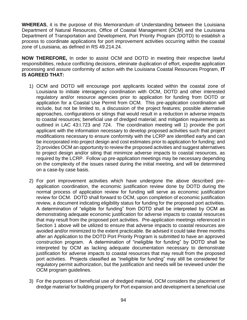**WHEREAS**, it is the purpose of this Memorandum of Understanding between the Louisiana Department of Natural Resources, Office of Coastal Management (OCM) and the Louisiana Department of Transportation and Development, Port Priority Program (DOTD) to establish a process to coordinate applications for port improvement activities occurring within the coastal zone of Louisiana, as defined in RS 49.214.24.

**NOW THEREFORE,** In order to assist OCM and DOTD in meeting their respective lawful responsibilities, reduce conflicting decisions, eliminate duplication of effort, expedite application processing and assure conformity of action with the Louisiana Coastal Resources Program, **IT IS AGREED THAT:**

- 1) OCM and DOTD will encourage port applicants located within the coastal zone of Louisiana to initiate interagency coordination with OCM, DOTD and other interested regulatory and/or resource agencies prior to application for funding from DOTD or application for a Coastal Use Permit from OCM. This pre-application coordination will include, but not be limited to, a discussion of the project features; possible alternative approaches, configurations or sitings that would result in a reduction in adverse impacts to coastal resources; beneficial use of dredged material; and mitigation requirements as outlined in LAC 43:I.723 and 724. The coordination meeting will 1) provide the port applicant with the information necessary to develop proposed activities such that project modifications necessary to ensure conformity with the LCRP are identified early and can be incorporated into project design and cost estimates prior to application for funding; and 2) provides OCM an opportunity to review the proposed activities and suggest alternatives to project design and/or siting that minimize adverse impacts to coastal resources, as required by the LCRP. Follow up pre-application meetings may be necessary depending on the complexity of the issues raised during the initial meeting, and will be determined on a case-by case basis.
- 2) For port improvement activities which have undergone the above described preapplication coordination, the economic justification review done by DOTD during the normal process of application review for funding will serve as economic justification review for OCM. DOTD shall forward to OCM, upon completion of economic justification review, a document indicating eligibility status for funding for the proposed port activities. A determination of "eligible for funding" from DOTD shall be interpreted by OCM as demonstrating adequate economic justification for adverse impacts to coastal resources that may result from the proposed port activities. Pre-application meetings referenced in Section 1 above will be utilized to ensure that adverse impacts to coastal resources are avoided and/or minimized to the extent practicable. Be advised it could take three months after an Application to the DOTD Port Priority Program is submitted to have an approved construction program. A determination of "ineligible for funding" by DOTD shall be interpreted by OCM as lacking adequate documentation necessary to demonstrate justification for adverse impacts to coastal resources that may result from the proposed port activities. Projects classified as "ineligible for funding" may still be considered for regulatory permit authorization, but the justification and needs will be reviewed under the OCM program guidelines.
- 3) For the purposes of beneficial use of dredged material, OCM considers the placement of dredge material for building property for Port expansion and development a beneficial use